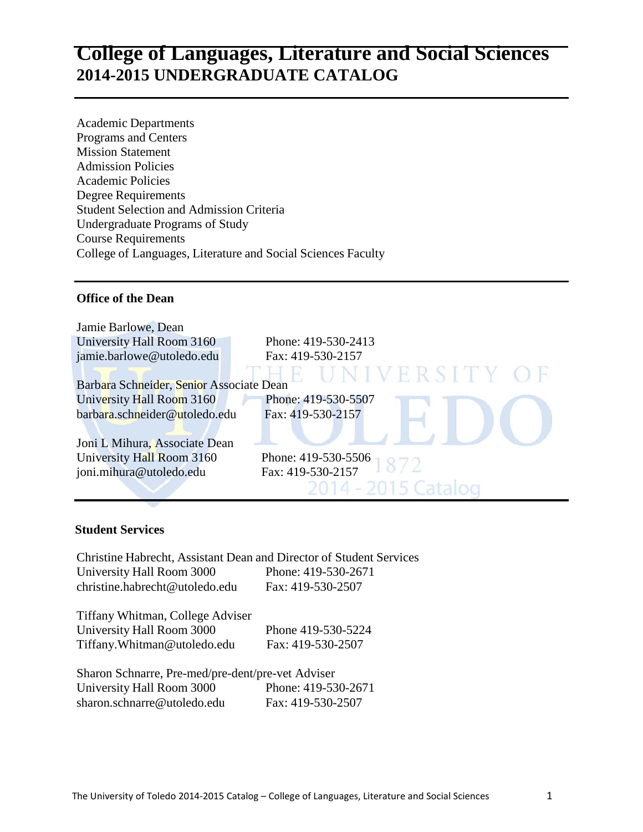# **College of Languages, Literature and Social Sciences 2014-2015 UNDERGRADUATE CATALOG**

Academic Departments Programs and Centers Mission Statement Admission Policies Academic Policies Degree Requirements Student Selection and Admission Criteria Undergraduate Programs of Study Course Requirements College of Languages, Literature and Social Sciences Faculty

#### **Office of the Dean**

| Jamie Barlowe, Dean                      |                     |
|------------------------------------------|---------------------|
| University Hall Room 3160                | Phone: 419-530-2413 |
| jamie.barlowe@utoledo.edu                | Fax: 419-530-2157   |
|                                          | UNIVERSITY OF       |
| Barbara Schneider, Senior Associate Dean |                     |
| University Hall Room 3160                | Phone: 419-530-5507 |
| barbara.schneider@utoledo.edu            | Fax: 419-530-2157   |
| Joni L Mihura, Associate Dean            |                     |
| University Hall Room 3160                | Phone: 419-530-5506 |
| joni.mihura@utoledo.edu                  | Fax: 419-530-2157   |
|                                          | 2014 - 2015 Catalog |

#### **Student Services**

Christine Habrecht, Assistant Dean and Director of Student Services University Hall Room 3000 Phone: 419-530-2671 [christine.habrecht@utoledo.edu](mailto:christine.habrecht@utoledo.edu) Fax: 419-530-2507

Tiffany Whitman, College Adviser University Hall Room 3000 Phone 419-530-5224 [Tiffany.Whitman@utoledo.edu](mailto:Tiffany.Whitman@utoledo.edu) Fax: 419-530-2507

Sharon Schnarre, Pre-med/pre-dent/pre-vet Adviser University Hall Room 3000 Phone: 419-530-2671 sharon.schnarre@utoledo.edu Fax: 419-530-2507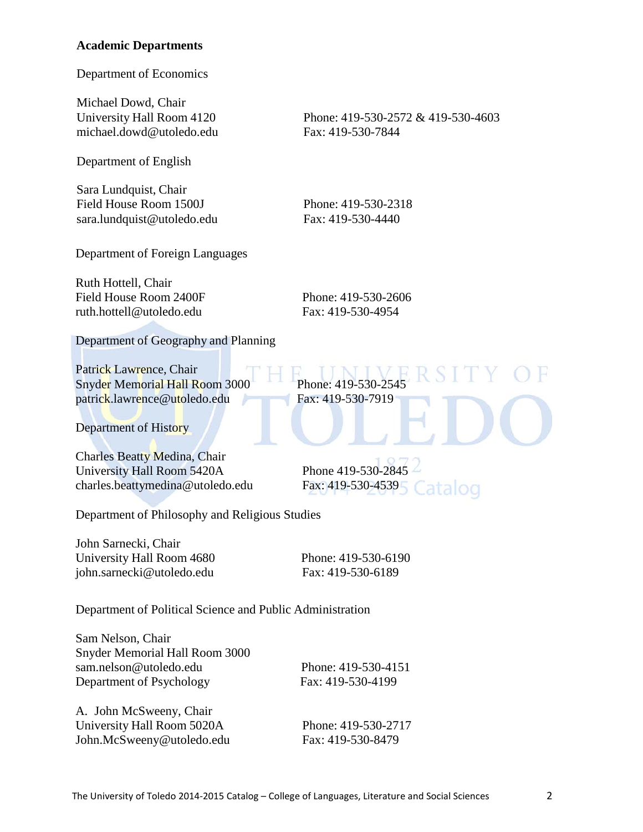#### **Academic Departments**

Department of Economics

Michael Dowd, Chair University Hall Room 4120 Phone: 419-530-2572 & 419-530-4603 [michael.dowd@utoledo.edu](mailto:michael.dowd@utoledo.edu) Fax: 419-530-7844

Department of English

Sara Lundquist, Chair Field House Room 1500J Phone: 419-530-2318 [sara.lundquist@utoledo.edu](mailto:sara.lundquist@utoledo.edu) Fax: 419-530-4440

Department of Foreign Languages

Ruth Hottell, Chair Field House Room 2400F Phone: 419-530-2606 [ruth.hottell@utoledo.edu](mailto:ruth.hottell@utoledo.edu) Fax: 419-530-4954

Department of Geography and Planning

Patrick Lawrence, Chair Snyder Memorial Hall Room 3000 Phone: 419-530-2545 [patrick.lawrence@utoledo.edu](mailto:patrick.lawrence@utoledo.edu) Fax: 419-530-7919

Department of History

Charles Beatty Medina, Chair University Hall Room 5420A Phone 419-530-2845 charles.beattymedina@utoledo.edu Fax: 419-530-4539

Department of Philosophy and Religious Studies

John Sarnecki, Chair University Hall Room 4680 Phone: 419-530-6190 [john.sarnecki@utoledo.edu](mailto:john.sarnecki@utoledo.edu) Fax: 419-530-6189

atalog

Department of Political Science and Public Administration

Sam Nelson, Chair Snyder Memorial Hall Room 3000 sam.nelson@utoledo.edu Phone: 419-530-4151 Department of Psychology Fax: 419-530-4199

A. John McSweeny, Chair University Hall Room 5020A Phone: 419-530-2717 [John.McSweeny@utoledo.edu](mailto:jjasper@utoledo.edu) Fax: 419-530-8479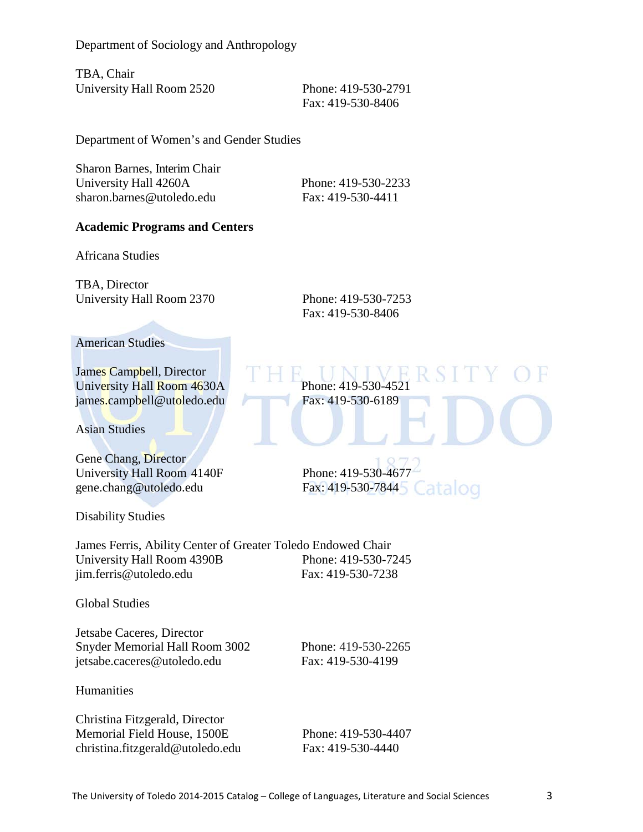Department of Sociology and Anthropology

TBA, Chair University Hall Room 2520 Phone: 419-530-2791

[F](mailto:rubin.patterson@utoledo.edu)ax: 419-530-8406

Department of Women's and Gender Studies

Sharon Barnes, Interim Chair University Hall 4260A Phone: 419-530-2233 [sharon.barnes@utoledo.edu](mailto:charlene.gilbert@utoledo.edu) Fax: 419-530-4411

#### **Academic Programs and Centers**

Africana Studies

TBA, Director University Hall Room 2370 Phone: 419-530-7253

[F](mailto:rubin.patterson@utoledo.edu)ax: 419-530-8406

#### American Studies

James Campbell, Director University Hall Room 4630A Phone: 419-530-452 [james.campbell@utoledo.edu](mailto:james.campbell@utoledo.edu) Fax: 419-530-6189

Asian Studies

Gene Chang, Director University Hall Room 4140F Phone: 419-530-4677 [gene.chang@utoledo.edu](mailto:gene.chang@utoledo.edu) Fax: 419-530-7844

Disability Studies

James Ferris, Ability Center of Greater Toledo Endowed Chair University Hall Room 4390B Phone: 419-530-7245 [jim.ferris@utoledo.edu](mailto:jim.ferris@utoledo.edu) Fax: 419-530-7238

Global Studies

Jetsabe Caceres, Director Snyder Memorial Hall Room 3002 Phone: 419-530-2265 jetsabe.caceres@utoledo.edu Fax: 419-530-4199

**Humanities** 

Christina Fitzgerald, Director Memorial Field House, 1500E Phone: 419-530-4407 christina.fitzgerald@utoledo.edu Fax: 419-530-4440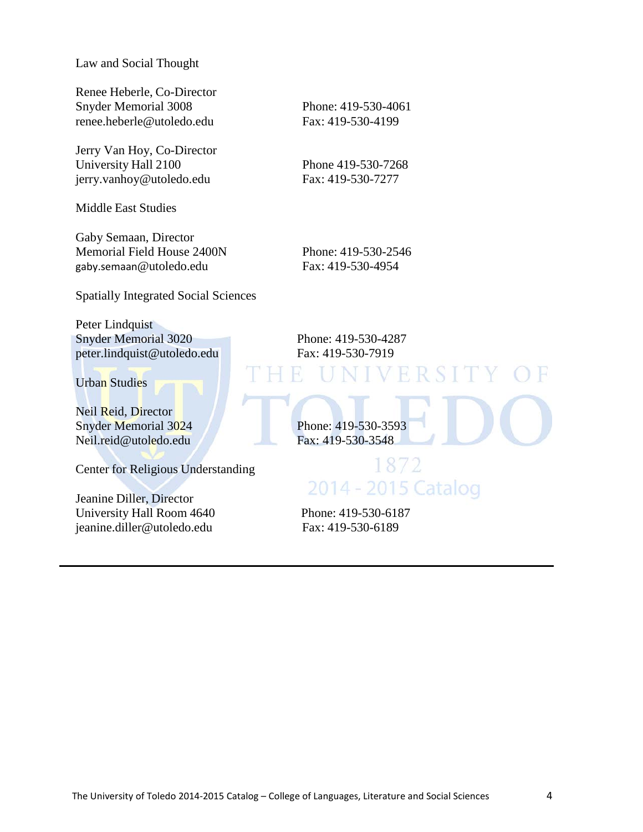Law and Social Thought

Renee Heberle, Co-Director Snyder Memorial 3008 Phone: 419-530-4061 [renee.heberle@utoledo.edu](mailto:renee.heberle@utoledo.edu) Fax: 419-530-4199

Jerry Van Hoy, Co-Director University Hall 2100 Phone 419-530-7268 [jerry.vanhoy@utoledo.edu](mailto:jerry.vanhoy@utoledo.edu) Fax: 419-530-7277

Middle East Studies

Gaby Semaan, Director Memorial Field House 2400N Phone: 419-530-2546 gaby.semaan[@utoledo.edu](mailto:enigem@utoledo.edu) Fax: 419-530-4954

Spatially Integrated Social Sciences

Peter Lindquist Snyder Memorial 3020 Phone: 419-530-4287 peter.lindquist@utoledo.edu Fax: 419-530-7919

Urban Studies

Neil Reid, Director Neil.reid@utoledo.edu

Center for Religious Understanding

Jeanine Diller, Director University Hall Room 4640 Phone: 419-530-6187 [jeanine.diller@utoledo.edu](mailto:jeanine.diller@utoledo.edu) Fax: 419-530-6189

Snyder Memorial 3024<br>
Neil.reid@utoledo.edu<br>
Phone: 419-530-3593<br>
Fax: 419-530-3548 1872 2014 - 2015 Catalog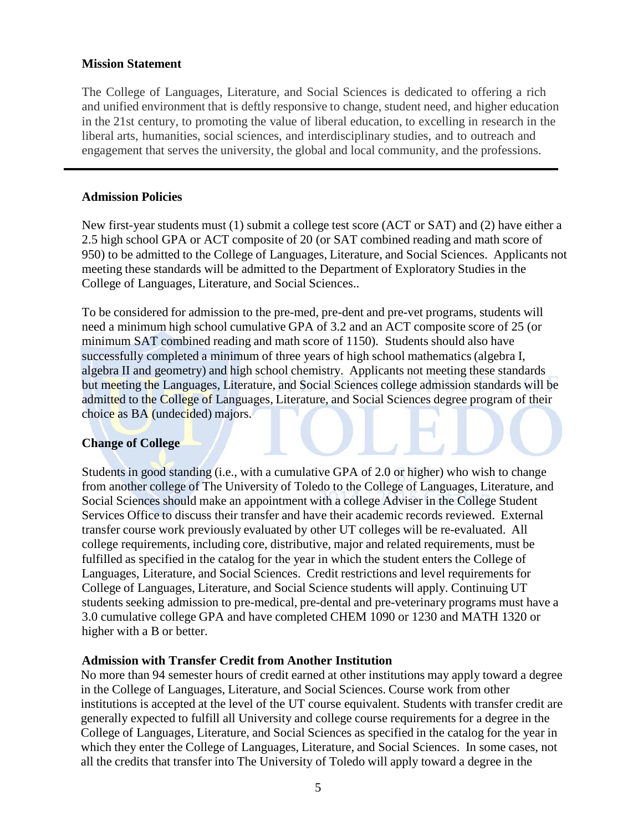#### **Mission Statement**

The College of Languages, Literature, and Social Sciences is dedicated to offering a rich and unified environment that is deftly responsive to change, student need, and higher education in the 21st century, to promoting the value of liberal education, to excelling in research in the liberal arts, humanities, social sciences, and interdisciplinary studies, and to outreach and engagement that serves the university, the global and local community, and the professions.

#### **Admission Policies**

New first-year students must (1) submit a college test score (ACT or SAT) and (2) have either a 2.5 high school GPA or ACT composite of 20 (or SAT combined reading and math score of 950) to be admitted to the College of Languages, Literature, and Social Sciences. Applicants not meeting these standards will be admitted to the Department of Exploratory Studies in the College of Languages, Literature, and Social Sciences..

To be considered for admission to the pre-med, pre-dent and pre-vet programs, students will need a minimum high school cumulative GPA of 3.2 and an ACT composite score of 25 (or minimum SAT combined reading and math score of 1150). Students should also have successfully completed a minimum of three years of high school mathematics (algebra I, algebra II and geometry) and high school chemistry. Applicants not meeting these standards but meeting the Languages, Literature, and Social Sciences college admission standards will be admitted to the College of Languages, Literature, and Social Sciences degree program of their choice as BA (undecided) majors.

#### **Change of College**

Students in good standing (i.e., with a cumulative GPA of 2.0 or higher) who wish to change from another college of The University of Toledo to the College of Languages, Literature, and Social Sciences should make an appointment with a college Adviser in the College Student Services Office to discuss their transfer and have their academic records reviewed. External transfer course work previously evaluated by other UT colleges will be re-evaluated. All college requirements, including core, distributive, major and related requirements, must be fulfilled as specified in the catalog for the year in which the student enters the College of Languages, Literature, and Social Sciences. Credit restrictions and level requirements for College of Languages, Literature, and Social Science students will apply. Continuing UT students seeking admission to pre-medical, pre-dental and pre-veterinary programs must have a 3.0 cumulative college GPA and have completed CHEM 1090 or 1230 and MATH 1320 or higher with a B or better.

#### **Admission with Transfer Credit from Another Institution**

No more than 94 semester hours of credit earned at other institutions may apply toward a degree in the College of Languages, Literature, and Social Sciences. Course work from other institutions is accepted at the level of the UT course equivalent. Students with transfer credit are generally expected to fulfill all University and college course requirements for a degree in the College of Languages, Literature, and Social Sciences as specified in the catalog for the year in which they enter the College of Languages, Literature, and Social Sciences. In some cases, not all the credits that transfer into The University of Toledo will apply toward a degree in the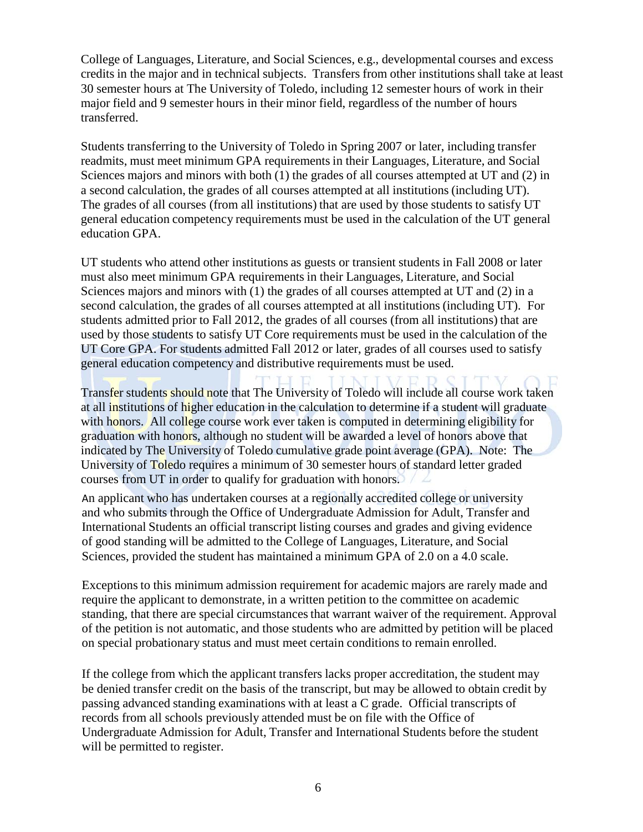College of Languages, Literature, and Social Sciences, e.g., developmental courses and excess credits in the major and in technical subjects. Transfers from other institutions shall take at least 30 semester hours at The University of Toledo, including 12 semester hours of work in their major field and 9 semester hours in their minor field, regardless of the number of hours transferred.

Students transferring to the University of Toledo in Spring 2007 or later, including transfer readmits, must meet minimum GPA requirements in their Languages, Literature, and Social Sciences majors and minors with both (1) the grades of all courses attempted at UT and (2) in a second calculation, the grades of all courses attempted at all institutions (including UT). The grades of all courses (from all institutions) that are used by those students to satisfy UT general education competency requirements must be used in the calculation of the UT general education GPA.

UT students who attend other institutions as guests or transient students in Fall 2008 or later must also meet minimum GPA requirements in their Languages, Literature, and Social Sciences majors and minors with (1) the grades of all courses attempted at UT and (2) in a second calculation, the grades of all courses attempted at all institutions (including UT). For students admitted prior to Fall 2012, the grades of all courses (from all institutions) that are used by those students to satisfy UT Core requirements must be used in the calculation of the UT Core GPA. For students admitted Fall 2012 or later, grades of all courses used to satisfy general education competency and distributive requirements must be used.

Transfer students should note that The University of Toledo will include all course work taken at all institutions of higher education in the calculation to determine if a student will graduate with honors. All college course work ever taken is computed in determining eligibility for graduation with honors, although no student will be awarded a level of honors above that indicated by The University of Toledo cumulative grade point average (GPA). Note: The University of Toledo requires a minimum of 30 semester hours of standard letter graded courses from UT in order to qualify for graduation with honors.

An applicant who has undertaken courses at a regionally accredited college or university and who submits through the Office of Undergraduate Admission for Adult, Transfer and International Students an official transcript listing courses and grades and giving evidence of good standing will be admitted to the College of Languages, Literature, and Social Sciences, provided the student has maintained a minimum GPA of 2.0 on a 4.0 scale.

Exceptions to this minimum admission requirement for academic majors are rarely made and require the applicant to demonstrate, in a written petition to the committee on academic standing, that there are special circumstances that warrant waiver of the requirement. Approval of the petition is not automatic, and those students who are admitted by petition will be placed on special probationary status and must meet certain conditions to remain enrolled.

If the college from which the applicant transfers lacks proper accreditation, the student may be denied transfer credit on the basis of the transcript, but may be allowed to obtain credit by passing advanced standing examinations with at least a C grade. Official transcripts of records from all schools previously attended must be on file with the Office of Undergraduate Admission for Adult, Transfer and International Students before the student will be permitted to register.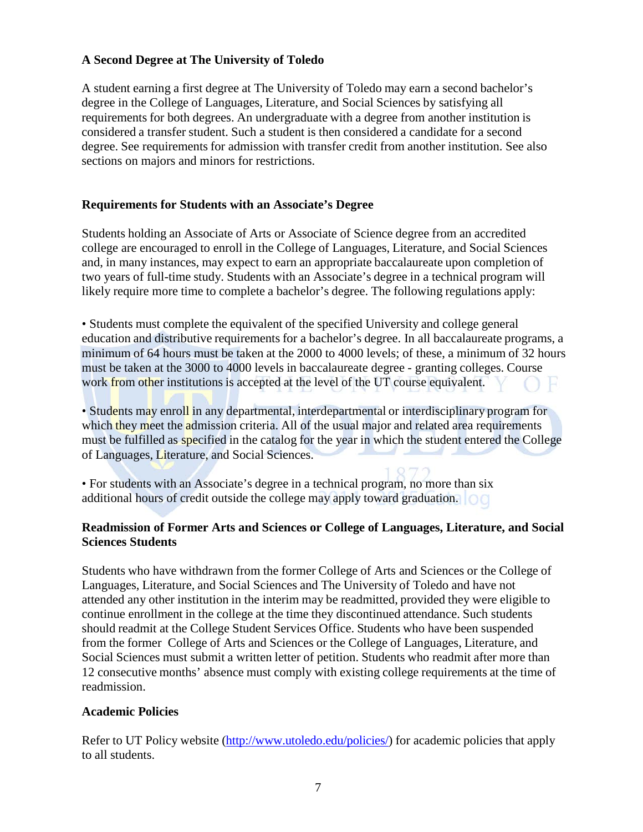#### **A Second Degree at The University of Toledo**

A student earning a first degree at The University of Toledo may earn a second bachelor's degree in the College of Languages, Literature, and Social Sciences by satisfying all requirements for both degrees. An undergraduate with a degree from another institution is considered a transfer student. Such a student is then considered a candidate for a second degree. See requirements for admission with transfer credit from another institution. See also sections on majors and minors for restrictions.

#### **Requirements for Students with an Associate's Degree**

Students holding an Associate of Arts or Associate of Science degree from an accredited college are encouraged to enroll in the College of Languages, Literature, and Social Sciences and, in many instances, may expect to earn an appropriate baccalaureate upon completion of two years of full-time study. Students with an Associate's degree in a technical program will likely require more time to complete a bachelor's degree. The following regulations apply:

• Students must complete the equivalent of the specified University and college general education and distributive requirements for a bachelor's degree. In all baccalaureate programs, a minimum of 64 hours must be taken at the 2000 to 4000 levels; of these, a minimum of 32 hours must be taken at the 3000 to 4000 levels in baccalaureate degree - granting colleges. Course work from other institutions is accepted at the level of the UT course equivalent. H

• Students may enroll in any departmental, interdepartmental or interdisciplinary program for which they meet the admission criteria. All of the usual major and related area requirements must be fulfilled as specified in the catalog for the year in which the student entered the College of Languages, Literature, and Social Sciences.

• For students with an Associate's degree in a technical program, no more than six additional hours of credit outside the college may apply toward graduation.

#### **Readmission of Former Arts and Sciences or College of Languages, Literature, and Social Sciences Students**

Students who have withdrawn from the former College of Arts and Sciences or the College of Languages, Literature, and Social Sciences and The University of Toledo and have not attended any other institution in the interim may be readmitted, provided they were eligible to continue enrollment in the college at the time they discontinued attendance. Such students should readmit at the College Student Services Office. Students who have been suspended from the former College of Arts and Sciences or the College of Languages, Literature, and Social Sciences must submit a written letter of petition. Students who readmit after more than 12 consecutive months' absence must comply with existing college requirements at the time of readmission.

#### **Academic Policies**

Refer to UT Policy website [\(http://www.utoledo.edu/policies/\)](http://www.utoledo.edu/policies/) for academic policies that apply to all students.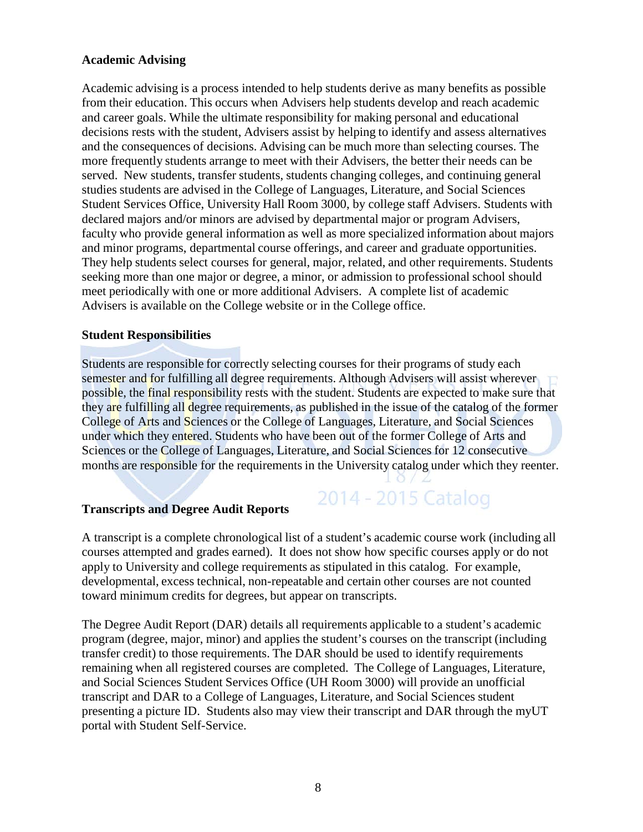#### **Academic Advising**

Academic advising is a process intended to help students derive as many benefits as possible from their education. This occurs when Advisers help students develop and reach academic and career goals. While the ultimate responsibility for making personal and educational decisions rests with the student, Advisers assist by helping to identify and assess alternatives and the consequences of decisions. Advising can be much more than selecting courses. The more frequently students arrange to meet with their Advisers, the better their needs can be served. New students, transfer students, students changing colleges, and continuing general studies students are advised in the College of Languages, Literature, and Social Sciences Student Services Office, University Hall Room 3000, by college staff Advisers. Students with declared majors and/or minors are advised by departmental major or program Advisers, faculty who provide general information as well as more specialized information about majors and minor programs, departmental course offerings, and career and graduate opportunities. They help students select courses for general, major, related, and other requirements. Students seeking more than one major or degree, a minor, or admission to professional school should meet periodically with one or more additional Advisers. A complete list of academic Advisers is available on the College website or in the College office.

#### **Student Responsibilities**

Students are responsible for correctly selecting courses for their programs of study each semester and for fulfilling all degree requirements. Although Advisers will assist wherever possible, the final responsibility rests with the student. Students are expected to make sure that they are fulfilling all degree requirements, as published in the issue of the catalog of the former College of Arts and Sciences or the College of Languages, Literature, and Social Sciences under which they entered. Students who have been out of the former College of Arts and Sciences or the College of Languages, Literature, and Social Sciences for 12 consecutive months are responsible for the requirements in the University catalog under which they reenter.

#### **Transcripts and Degree Audit Reports**

A transcript is a complete chronological list of a student's academic course work (including all courses attempted and grades earned). It does not show how specific courses apply or do not apply to University and college requirements as stipulated in this catalog. For example, developmental, excess technical, non-repeatable and certain other courses are not counted toward minimum credits for degrees, but appear on transcripts.

2014 - 2015 Catalog

The Degree Audit Report (DAR) details all requirements applicable to a student's academic program (degree, major, minor) and applies the student's courses on the transcript (including transfer credit) to those requirements. The DAR should be used to identify requirements remaining when all registered courses are completed. The College of Languages, Literature, and Social Sciences Student Services Office (UH Room 3000) will provide an unofficial transcript and DAR to a College of Languages, Literature, and Social Sciences student presenting a picture ID. Students also may view their transcript and DAR through the myUT portal with Student Self-Service.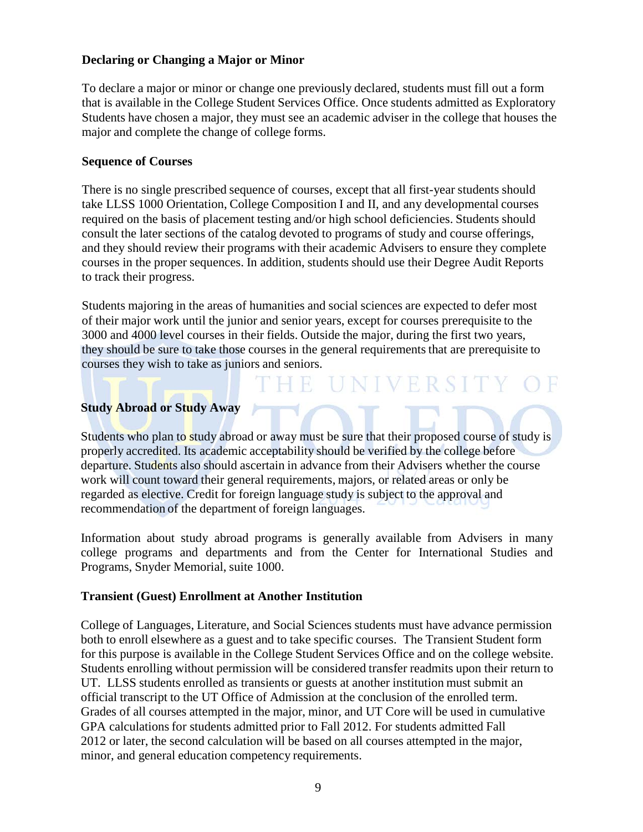#### **Declaring or Changing a Major or Minor**

To declare a major or minor or change one previously declared, students must fill out a form that is available in the College Student Services Office. Once students admitted as Exploratory Students have chosen a major, they must see an academic adviser in the college that houses the major and complete the change of college forms.

#### **Sequence of Courses**

There is no single prescribed sequence of courses, except that all first-year students should take LLSS 1000 Orientation, College Composition I and II, and any developmental courses required on the basis of placement testing and/or high school deficiencies. Students should consult the later sections of the catalog devoted to programs of study and course offerings, and they should review their programs with their academic Advisers to ensure they complete courses in the proper sequences. In addition, students should use their Degree Audit Reports to track their progress.

Students majoring in the areas of humanities and social sciences are expected to defer most of their major work until the junior and senior years, except for courses prerequisite to the 3000 and 4000 level courses in their fields. Outside the major, during the first two years, they should be sure to take those courses in the general requirements that are prerequisite to courses they wish to take as juniors and seniors.

**HE UNIVERSITY** 

#### **Study Abroad or Study Away**

Students who plan to study abroad or away must be sure that their proposed course of study is properly accredited. Its academic acceptability should be verified by the college before departure. Students also should ascertain in advance from their Advisers whether the course work will count toward their general requirements, majors, or related areas or only be regarded as elective. Credit for foreign language study is subject to the approval and recommendation of the department of foreign languages.

Information about study abroad programs is generally available from Advisers in many college programs and departments and from the Center for International Studies and Programs, Snyder Memorial, suite 1000.

#### **Transient (Guest) Enrollment at Another Institution**

College of Languages, Literature, and Social Sciences students must have advance permission both to enroll elsewhere as a guest and to take specific courses. The Transient Student form for this purpose is available in the College Student Services Office and on the college website. Students enrolling without permission will be considered transfer readmits upon their return to UT. LLSS students enrolled as transients or guests at another institution must submit an official transcript to the UT Office of Admission at the conclusion of the enrolled term. Grades of all courses attempted in the major, minor, and UT Core will be used in cumulative GPA calculations for students admitted prior to Fall 2012. For students admitted Fall 2012 or later, the second calculation will be based on all courses attempted in the major, minor, and general education competency requirements.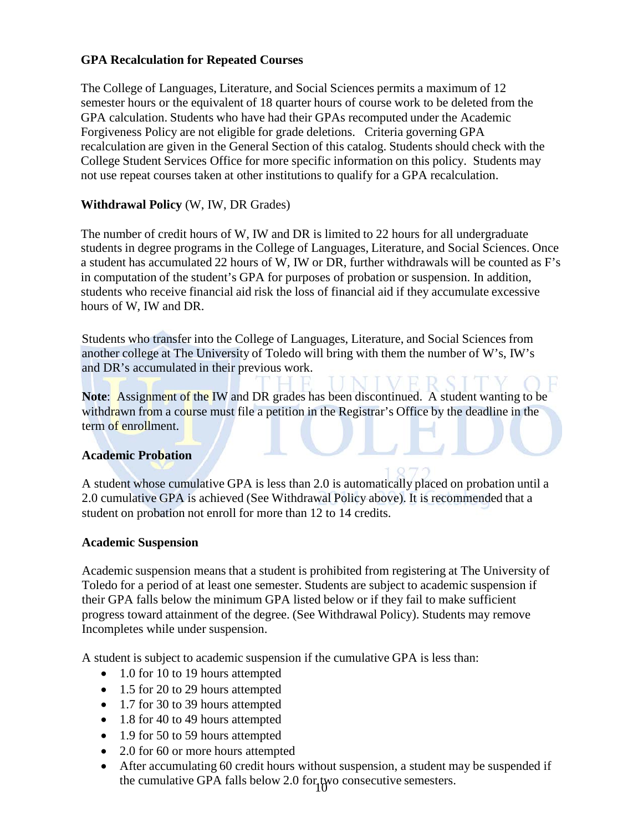#### **GPA Recalculation for Repeated Courses**

The College of Languages, Literature, and Social Sciences permits a maximum of 12 semester hours or the equivalent of 18 quarter hours of course work to be deleted from the GPA calculation. Students who have had their GPAs recomputed under the Academic Forgiveness Policy are not eligible for grade deletions. Criteria governing GPA recalculation are given in the General Section of this catalog. Students should check with the College Student Services Office for more specific information on this policy. Students may not use repeat courses taken at other institutions to qualify for a GPA recalculation.

#### **Withdrawal Policy** (W, IW, DR Grades)

The number of credit hours of W, IW and DR is limited to 22 hours for all undergraduate students in degree programs in the College of Languages, Literature, and Social Sciences. Once a student has accumulated 22 hours of W, IW or DR, further withdrawals will be counted as F's in computation of the student's GPA for purposes of probation or suspension. In addition, students who receive financial aid risk the loss of financial aid if they accumulate excessive hours of W, IW and DR.

Students who transfer into the College of Languages, Literature, and Social Sciences from another college at The University of Toledo will bring with them the number of W's, IW's and DR's accumulated in their previous work.

Note: Assignment of the IW and DR grades has been discontinued. A student wanting to be withdrawn from a course must file a petition in the Registrar's Office by the deadline in the term of enrollment.

#### **Academic Probation**

A student whose cumulative GPA is less than 2.0 is automatically placed on probation until a 2.0 cumulative GPA is achieved (See Withdrawal Policy above). It is recommended that a student on probation not enroll for more than 12 to 14 credits.

#### **Academic Suspension**

Academic suspension means that a student is prohibited from registering at The University of Toledo for a period of at least one semester. Students are subject to academic suspension if their GPA falls below the minimum GPA listed below or if they fail to make sufficient progress toward attainment of the degree. (See Withdrawal Policy). Students may remove Incompletes while under suspension.

A student is subject to academic suspension if the cumulative GPA is less than:

- 1.0 for 10 to 19 hours attempted
- 1.5 for 20 to 29 hours attempted
- 1.7 for 30 to 39 hours attempted
- 1.8 for 40 to 49 hours attempted
- 1.9 for 50 to 59 hours attempted
- 2.0 for 60 or more hours attempted
- the cumulative GPA falls below 2.0 for two consecutive semesters. • After accumulating 60 credit hours without suspension, a student may be suspended if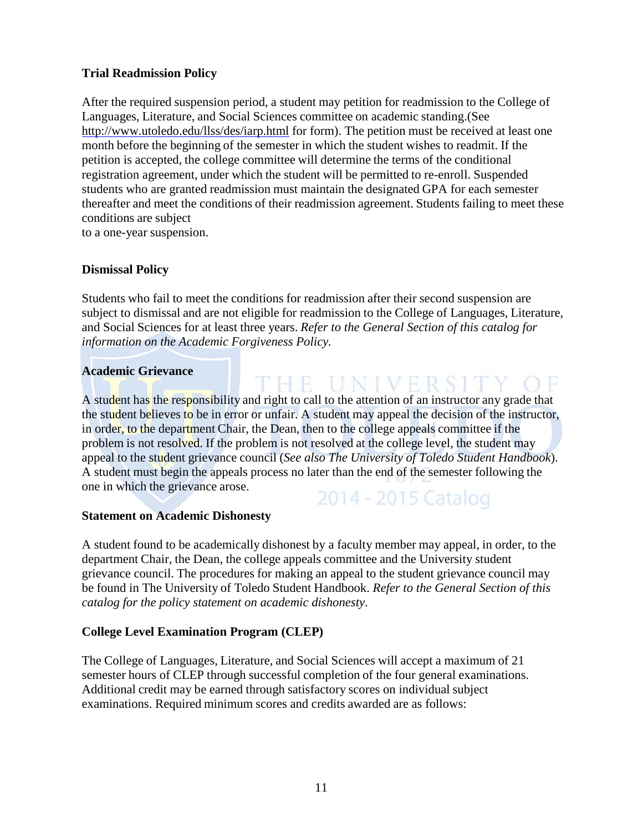#### **Trial Readmission Policy**

After the required suspension period, a student may petition for readmission to the College of Languages, Literature, and Social Sciences committee on academic standing.(See <http://www.utoledo.edu/llss/des/iarp.html> for form). The petition must be received at least one month before the beginning of the semester in which the student wishes to readmit. If the petition is accepted, the college committee will determine the terms of the conditional registration agreement, under which the student will be permitted to re-enroll. Suspended students who are granted readmission must maintain the designated GPA for each semester thereafter and meet the conditions of their readmission agreement. Students failing to meet these conditions are subject

to a one-year suspension.

#### **Dismissal Policy**

Students who fail to meet the conditions for readmission after their second suspension are subject to dismissal and are not eligible for readmission to the College of Languages, Literature, and Social Sciences for at least three years. *Refer to the General Section of this catalog for information on the Academic Forgiveness Policy.*

THE UNIVERSI

#### **Academic Grievance**

A student has the responsibility and right to call to the attention of an instructor any grade that the student believes to be in error or unfair. A student may appeal the decision of the instructor, in order, to the department Chair, the Dean, then to the college appeals committee if the problem is not resolved. If the problem is not resolved at the college level, the student may appeal to the student grievance council (*See also The University of Toledo Student Handbook*). A student must begin the appeals process no later than the end of the semester following the one in which the grievance arose. 2014 - 2015 Catalog

#### **Statement on Academic Dishonesty**

A student found to be academically dishonest by a faculty member may appeal, in order, to the department Chair, the Dean, the college appeals committee and the University student grievance council. The procedures for making an appeal to the student grievance council may be found in The University of Toledo Student Handbook. *Refer to the General Section of this catalog for the policy statement on academic dishonesty*.

#### **College Level Examination Program (CLEP)**

The College of Languages, Literature, and Social Sciences will accept a maximum of 21 semester hours of CLEP through successful completion of the four general examinations. Additional credit may be earned through satisfactory scores on individual subject examinations. Required minimum scores and credits awarded are as follows: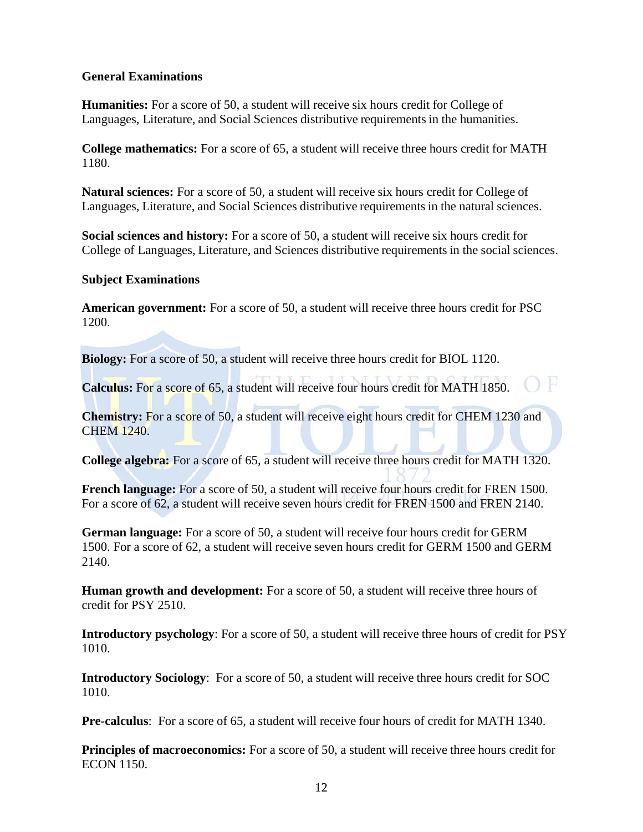#### **General Examinations**

**Humanities:** For a score of 50, a student will receive six hours credit for College of Languages, Literature, and Social Sciences distributive requirements in the humanities.

**College mathematics:** For a score of 65, a student will receive three hours credit for MATH 1180.

**Natural sciences:** For a score of 50, a student will receive six hours credit for College of Languages, Literature, and Social Sciences distributive requirements in the natural sciences.

**Social sciences and history:** For a score of 50, a student will receive six hours credit for College of Languages, Literature, and Sciences distributive requirements in the social sciences.

#### **Subject Examinations**

**American government:** For a score of 50, a student will receive three hours credit for PSC 1200.

**Biology:** For a score of 50, a student will receive three hours credit for BIOL 1120.

Calculus: For a score of 65, a student will receive four hours credit for MATH 1850.

**Chemistry:** For a score of 50, a student will receive eight hours credit for CHEM 1230 and CHEM 1240.

**College algebra:** For a score of 65, a student will receive three hours credit for MATH 1320.

**French language:** For a score of 50, a student will receive four hours credit for FREN 1500. For a score of 62, a student will receive seven hours credit for FREN 1500 and FREN 2140.

**German language:** For a score of 50, a student will receive four hours credit for GERM 1500. For a score of 62, a student will receive seven hours credit for GERM 1500 and GERM 2140.

**Human growth and development:** For a score of 50, a student will receive three hours of credit for PSY 2510.

**Introductory psychology**: For a score of 50, a student will receive three hours of credit for PSY 1010.

**Introductory Sociology**: For a score of 50, a student will receive three hours credit for SOC 1010.

**Pre-calculus**: For a score of 65, a student will receive four hours of credit for MATH 1340.

**Principles of macroeconomics:** For a score of 50, a student will receive three hours credit for ECON 1150.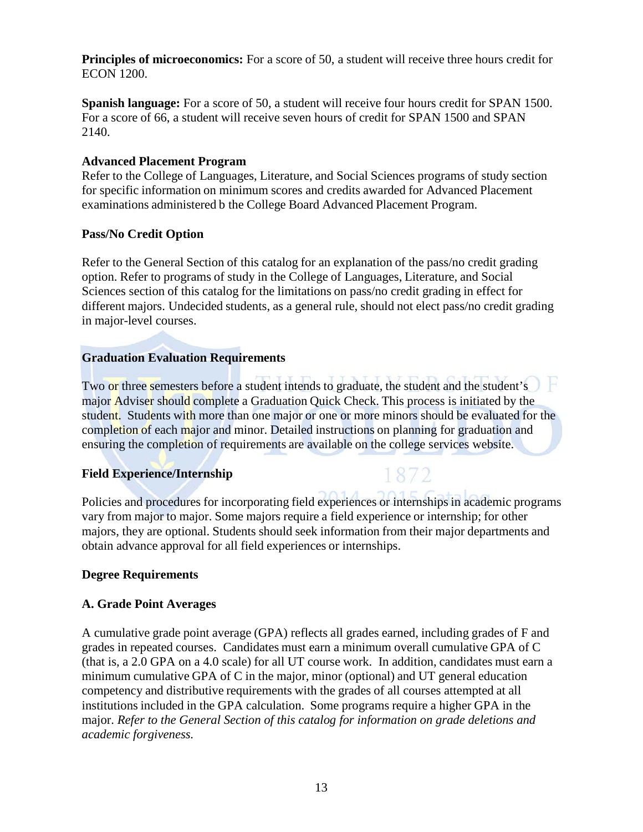**Principles of microeconomics:** For a score of 50, a student will receive three hours credit for ECON 1200.

**Spanish language:** For a score of 50, a student will receive four hours credit for SPAN 1500. For a score of 66, a student will receive seven hours of credit for SPAN 1500 and SPAN 2140.

#### **Advanced Placement Program**

Refer to the College of Languages, Literature, and Social Sciences programs of study section for specific information on minimum scores and credits awarded for Advanced Placement examinations administered b the College Board Advanced Placement Program.

#### **Pass/No Credit Option**

Refer to the General Section of this catalog for an explanation of the pass/no credit grading option. Refer to programs of study in the College of Languages, Literature, and Social Sciences section of this catalog for the limitations on pass/no credit grading in effect for different majors. Undecided students, as a general rule, should not elect pass/no credit grading in major-level courses.

#### **Graduation Evaluation Requirements**

Two or three semesters before a student intends to graduate, the student and the student's major Adviser should complete a Graduation Quick Check. This process is initiated by the student. Students with more than one major or one or more minors should be evaluated for the completion of each major and minor. Detailed instructions on planning for graduation and ensuring the completion of requirements are available on the college services website.

#### **Field Experience/Internship**

Policies and procedures for incorporating field experiences or internships in academic programs vary from major to major. Some majors require a field experience or internship; for other majors, they are optional. Students should seek information from their major departments and obtain advance approval for all field experiences or internships.

#### **Degree Requirements**

#### **A. Grade Point Averages**

A cumulative grade point average (GPA) reflects all grades earned, including grades of F and grades in repeated courses. Candidates must earn a minimum overall cumulative GPA of C (that is, a 2.0 GPA on a 4.0 scale) for all UT course work. In addition, candidates must earn a minimum cumulative GPA of C in the major, minor (optional) and UT general education competency and distributive requirements with the grades of all courses attempted at all institutions included in the GPA calculation. Some programs require a higher GPA in the major. *Refer to the General Section of this catalog for information on grade deletions and academic forgiveness.*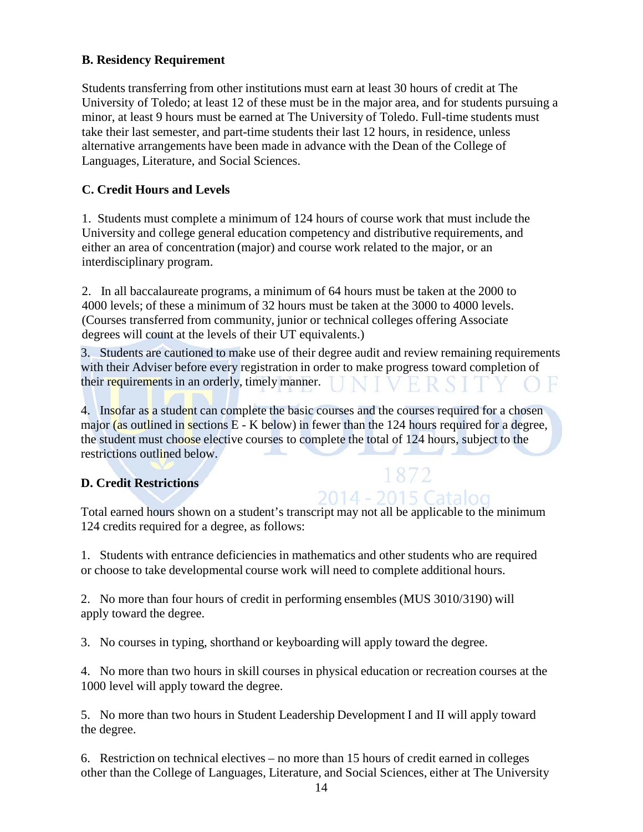#### **B. Residency Requirement**

Students transferring from other institutions must earn at least 30 hours of credit at The University of Toledo; at least 12 of these must be in the major area, and for students pursuing a minor, at least 9 hours must be earned at The University of Toledo. Full-time students must take their last semester, and part-time students their last 12 hours, in residence, unless alternative arrangements have been made in advance with the Dean of the College of Languages, Literature, and Social Sciences.

#### **C. Credit Hours and Levels**

1. Students must complete a minimum of 124 hours of course work that must include the University and college general education competency and distributive requirements, and either an area of concentration (major) and course work related to the major, or an interdisciplinary program.

2. In all baccalaureate programs, a minimum of 64 hours must be taken at the 2000 to 4000 levels; of these a minimum of 32 hours must be taken at the 3000 to 4000 levels. (Courses transferred from community, junior or technical colleges offering Associate degrees will count at the levels of their UT equivalents.)

3. Students are cautioned to make use of their degree audit and review remaining requirements with their Adviser before every registration in order to make progress toward completion of their requirements in an orderly, timely manner. R

4. Insofar as a student can complete the basic courses and the courses required for a chosen major (as outlined in sections  $E - K$  below) in fewer than the 124 hours required for a degree, the student must choose elective courses to complete the total of 124 hours, subject to the restrictions outlined below.

#### **D. Credit Restrictions**

1872

Total earned hours shown on a student's transcript may not all be applicable to the minimum 124 credits required for a degree, as follows:

1. Students with entrance deficiencies in mathematics and other students who are required or choose to take developmental course work will need to complete additional hours.

2. No more than four hours of credit in performing ensembles (MUS 3010/3190) will apply toward the degree.

3. No courses in typing, shorthand or keyboarding will apply toward the degree.

4. No more than two hours in skill courses in physical education or recreation courses at the 1000 level will apply toward the degree.

5. No more than two hours in Student Leadership Development I and II will apply toward the degree.

6. Restriction on technical electives – no more than 15 hours of credit earned in colleges other than the College of Languages, Literature, and Social Sciences, either at The University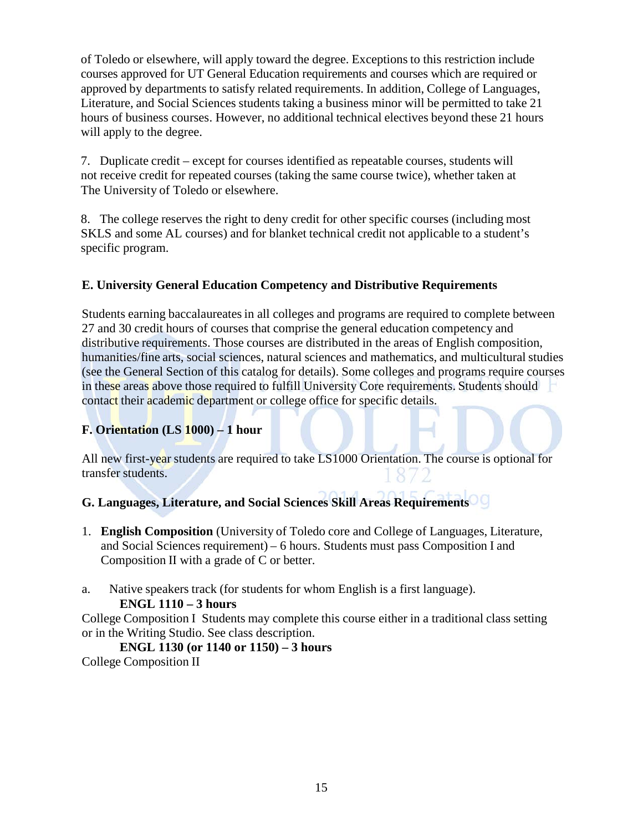of Toledo or elsewhere, will apply toward the degree. Exceptions to this restriction include courses approved for UT General Education requirements and courses which are required or approved by departments to satisfy related requirements. In addition, College of Languages, Literature, and Social Sciences students taking a business minor will be permitted to take 21 hours of business courses. However, no additional technical electives beyond these 21 hours will apply to the degree.

7. Duplicate credit – except for courses identified as repeatable courses, students will not receive credit for repeated courses (taking the same course twice), whether taken at The University of Toledo or elsewhere.

8. The college reserves the right to deny credit for other specific courses (including most SKLS and some AL courses) and for blanket technical credit not applicable to a student's specific program.

#### **E. University General Education Competency and Distributive Requirements**

Students earning baccalaureatesin all colleges and programs are required to complete between 27 and 30 credit hours of courses that comprise the general education competency and distributive requirements. Those courses are distributed in the areas of English composition, humanities/fine arts, social sciences, natural sciences and mathematics, and multicultural studies (see the General Section of this catalog for details). Some colleges and programs require courses in these areas above those required to fulfill University Core requirements. Students should contact their academic department or college office for specific details.

#### **F. Orientation (LS 1000) – 1 hour**

All new first-year students are required to take LS1000 Orientation. The course is optional for transfer students.

#### **G. Languages, Literature, and Social Sciences Skill Areas Requirements**

- 1. **English Composition** (University of Toledo core and College of Languages, Literature, and Social Sciences requirement) – 6 hours. Students must pass Composition I and Composition II with a grade of C or better.
- a. Native speakers track (for students for whom English is a first language).

#### **ENGL 1110 – 3 hours**

College Composition I Students may complete this course either in a traditional class setting or in the Writing Studio. See class description.

#### **ENGL 1130 (or 1140 or 1150) – 3 hours** College Composition II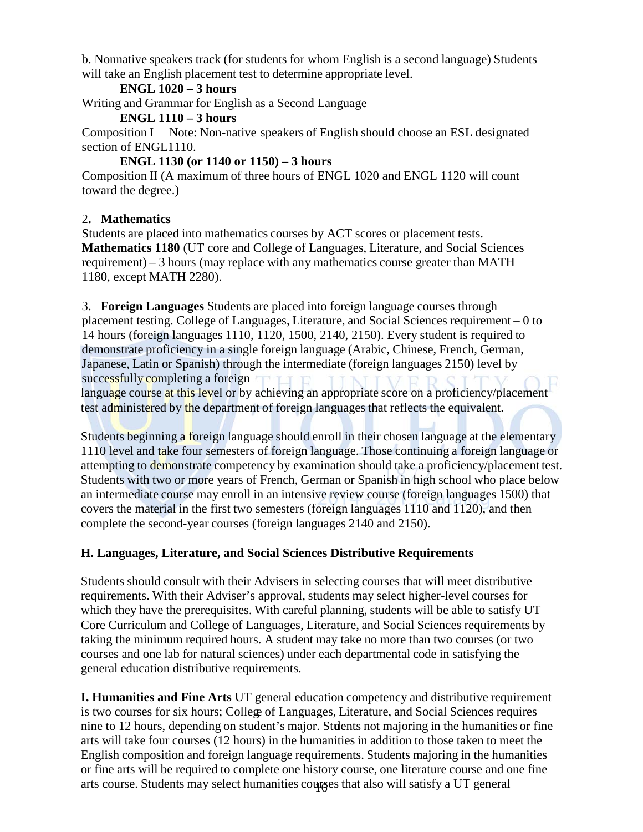b. Nonnative speakers track (for students for whom English is a second language) Students will take an English placement test to determine appropriate level.

#### **ENGL 1020 – 3 hours**

Writing and Grammar for English as a Second Language

#### **ENGL 1110 – 3 hours**

Composition I Note: Non-native speakers of English should choose an ESL designated section of ENGL1110.

#### **ENGL 1130 (or 1140 or 1150) – 3 hours**

Composition II (A maximum of three hours of ENGL 1020 and ENGL 1120 will count toward the degree.)

#### 2**. Mathematics**

Students are placed into mathematics courses by ACT scores or placement tests. **Mathematics 1180** (UT core and College of Languages, Literature, and Social Sciences requirement) – 3 hours (may replace with any mathematics course greater than MATH 1180, except MATH 2280).

3. **Foreign Languages** Students are placed into foreign language courses through placement testing. College of Languages, Literature, and Social Sciences requirement – 0 to 14 hours (foreign languages 1110, 1120, 1500, 2140, 2150). Every student is required to demonstrate proficiency in a single foreign language (Arabic, Chinese, French, German, Japanese, Latin or Spanish) through the intermediate (foreign languages 2150) level by successfully completing a foreign

language course at this level or by achieving an appropriate score on a proficiency/placement test administered by the department of foreign languages that reflects the equivalent.

Students beginning a foreign language should enroll in their chosen language at the elementary 1110 level and take four semesters of foreign language. Those continuing a foreign language or attempting to demonstrate competency by examination should take a proficiency/placement test. Students with two or more years of French, German or Spanish in high school who place below an intermediate course may enroll in an intensive review course (foreign languages 1500) that covers the material in the first two semesters (foreign languages 1110 and 1120), and then complete the second-year courses (foreign languages 2140 and 2150).

#### **H. Languages, Literature, and Social Sciences Distributive Requirements**

Students should consult with their Advisers in selecting courses that will meet distributive requirements. With their Adviser's approval, students may select higher-level courses for which they have the prerequisites. With careful planning, students will be able to satisfy UT Core Curriculum and College of Languages, Literature, and Social Sciences requirements by taking the minimum required hours. A student may take no more than two courses (or two courses and one lab for natural sciences) under each departmental code in satisfying the general education distributive requirements.

arts course. Students may select humanities courses that also will satisfy a UT general **I. Humanities and Fine Arts** UT general education competency and distributive requirement is two courses for six hours; College of Languages, Literature, and Social Sciences requires nine to 12 hours, depending on student's major. Students not majoring in the humanities or fine arts will take four courses (12 hours) in the humanities in addition to those taken to meet the English composition and foreign language requirements. Students majoring in the humanities or fine arts will be required to complete one history course, one literature course and one fine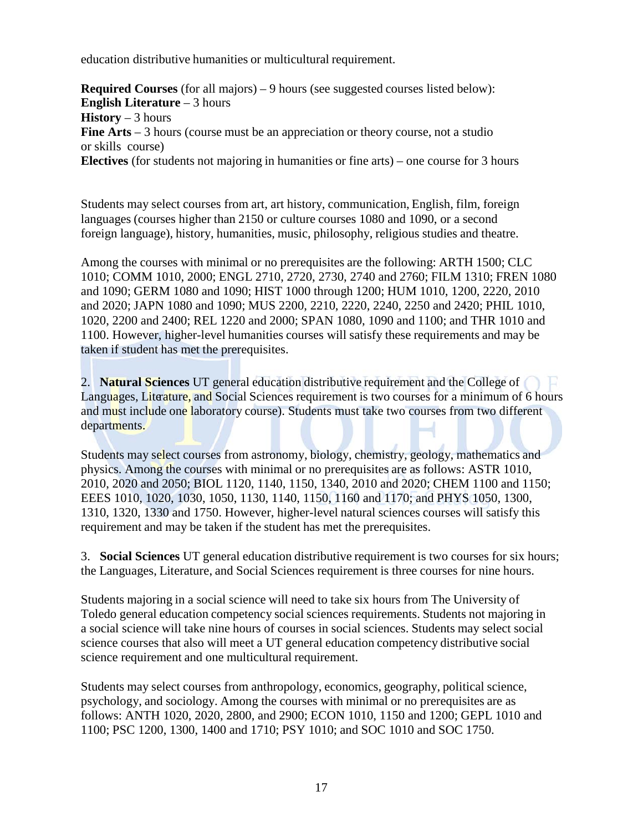education distributive humanities or multicultural requirement.

**Required Courses** (for all majors) – 9 hours (see suggested courses listed below): **English Literature** – 3 hours **History** – 3 hours **Fine Arts** – 3 hours (course must be an appreciation or theory course, not a studio or skills course) **Electives** (for students not majoring in humanities or fine arts) – one course for 3 hours

Students may select courses from art, art history, communication, English, film, foreign languages (courses higher than 2150 or culture courses 1080 and 1090, or a second foreign language), history, humanities, music, philosophy, religious studies and theatre.

Among the courses with minimal or no prerequisites are the following: ARTH 1500; CLC 1010; COMM 1010, 2000; ENGL 2710, 2720, 2730, 2740 and 2760; FILM 1310; FREN 1080 and 1090; GERM 1080 and 1090; HIST 1000 through 1200; HUM 1010, 1200, 2220, 2010 and 2020; JAPN 1080 and 1090; MUS 2200, 2210, 2220, 2240, 2250 and 2420; PHIL 1010, 1020, 2200 and 2400; REL 1220 and 2000; SPAN 1080, 1090 and 1100; and THR 1010 and 1100. However, higher-level humanities courses will satisfy these requirements and may be taken if student has met the prerequisites.

2. **Natural Sciences** UT general education distributive requirement and the College of Languages, Literature, and Social Sciences requirement is two courses for a minimum of 6 hours and must include one laboratory course). Students must take two courses from two different departments.

Students may select courses from astronomy, biology, chemistry, geology, mathematics and physics. Among the courses with minimal or no prerequisites are as follows: ASTR 1010, 2010, 2020 and 2050; BIOL 1120, 1140, 1150, 1340, 2010 and 2020; CHEM 1100 and 1150; EEES 1010, 1020, 1030, 1050, 1130, 1140, 1150, 1160 and 1170; and PHYS 1050, 1300, 1310, 1320, 1330 and 1750. However, higher-level natural sciences courses will satisfy this requirement and may be taken if the student has met the prerequisites.

3. **Social Sciences** UT general education distributive requirement is two courses for six hours; the Languages, Literature, and Social Sciences requirement is three courses for nine hours.

Students majoring in a social science will need to take six hours from The University of Toledo general education competency social sciences requirements. Students not majoring in a social science will take nine hours of courses in social sciences. Students may select social science courses that also will meet a UT general education competency distributive social science requirement and one multicultural requirement.

Students may select courses from anthropology, economics, geography, political science, psychology, and sociology. Among the courses with minimal or no prerequisites are as follows: ANTH 1020, 2020, 2800, and 2900; ECON 1010, 1150 and 1200; GEPL 1010 and 1100; PSC 1200, 1300, 1400 and 1710; PSY 1010; and SOC 1010 and SOC 1750.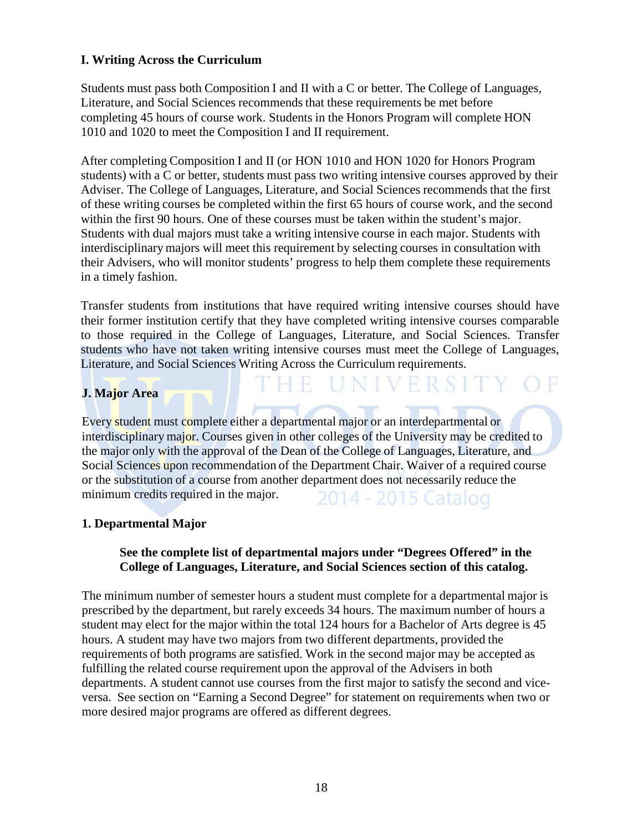#### **I. Writing Across the Curriculum**

Students must pass both Composition I and II with a C or better. The College of Languages, Literature, and Social Sciences recommends that these requirements be met before completing 45 hours of course work. Students in the Honors Program will complete HON 1010 and 1020 to meet the Composition I and II requirement.

After completing Composition I and II (or HON 1010 and HON 1020 for Honors Program students) with a C or better, students must pass two writing intensive courses approved by their Adviser. The College of Languages, Literature, and Social Sciences recommends that the first of these writing courses be completed within the first 65 hours of course work, and the second within the first 90 hours. One of these courses must be taken within the student's major. Students with dual majors must take a writing intensive course in each major. Students with interdisciplinary majors will meet this requirement by selecting courses in consultation with their Advisers, who will monitor students' progress to help them complete these requirements in a timely fashion.

Transfer students from institutions that have required writing intensive courses should have their former institution certify that they have completed writing intensive courses comparable to those required in the College of Languages, Literature, and Social Sciences. Transfer students who have not taken writing intensive courses must meet the College of Languages, Literature, and Social Sciences Writing Across the Curriculum requirements.

Fersi

#### **J. Major Area**

Every student must complete either a departmental major or an interdepartmental or interdisciplinary major. Courses given in other colleges of the University may be credited to the major only with the approval of the Dean of the College of Languages, Literature, and Social Sciences upon recommendation of the Department Chair. Waiver of a required course or the substitution of a course from another department does not necessarily reduce the minimum credits required in the major. 2014 - 2015 Catalog

#### **1. Departmental Major**

#### **See the complete list of departmental majors under "Degrees Offered" in the College of Languages, Literature, and Social Sciences section of this catalog.**

The minimum number of semester hours a student must complete for a departmental major is prescribed by the department, but rarely exceeds 34 hours. The maximum number of hours a student may elect for the major within the total 124 hours for a Bachelor of Arts degree is 45 hours. A student may have two majors from two different departments, provided the requirements of both programs are satisfied. Work in the second major may be accepted as fulfilling the related course requirement upon the approval of the Advisers in both departments. A student cannot use courses from the first major to satisfy the second and viceversa. See section on "Earning a Second Degree" for statement on requirements when two or more desired major programs are offered as different degrees.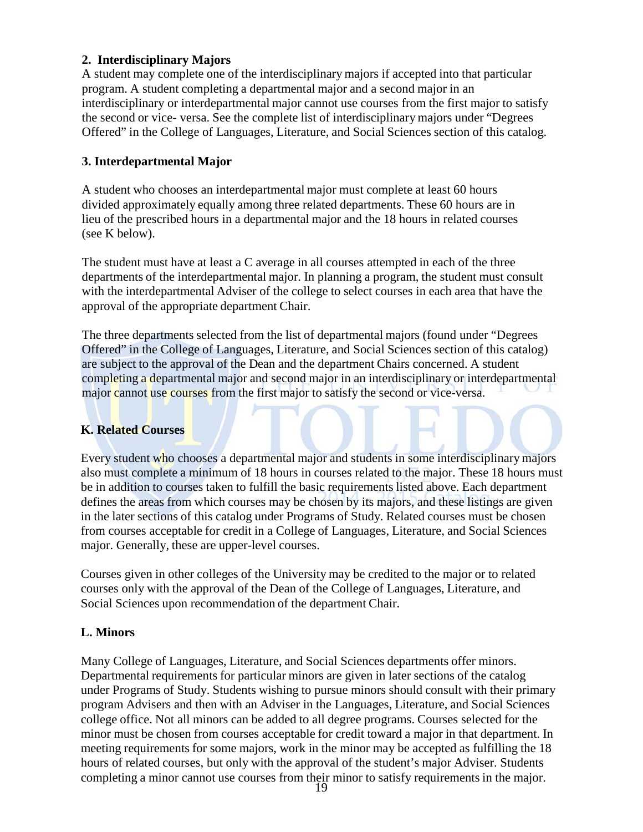#### **2. Interdisciplinary Majors**

A student may complete one of the interdisciplinary majors if accepted into that particular program. A student completing a departmental major and a second major in an interdisciplinary or interdepartmental major cannot use courses from the first major to satisfy the second or vice- versa. See the complete list of interdisciplinary majors under "Degrees Offered" in the College of Languages, Literature, and Social Sciences section of this catalog.

#### **3. Interdepartmental Major**

A student who chooses an interdepartmental major must complete at least 60 hours divided approximately equally among three related departments. These 60 hours are in lieu of the prescribed hours in a departmental major and the 18 hours in related courses (see K below).

The student must have at least a C average in all courses attempted in each of the three departments of the interdepartmental major. In planning a program, the student must consult with the interdepartmental Adviser of the college to select courses in each area that have the approval of the appropriate department Chair.

The three departments selected from the list of departmental majors (found under "Degrees Offered" in the College of Languages, Literature, and Social Sciences section of this catalog) are subject to the approval of the Dean and the department Chairs concerned. A student completing a departmental major and second major in an interdisciplinary or interdepartmental major cannot use courses from the first major to satisfy the second or vice-versa.

#### **K. Related Courses**

Every student who chooses a departmental major and students in some interdisciplinary majors also must complete a minimum of 18 hours in courses related to the major. These 18 hours must be in addition to courses taken to fulfill the basic requirements listed above. Each department defines the areas from which courses may be chosen by its majors, and these listings are given in the later sections of this catalog under Programs of Study. Related courses must be chosen from courses acceptable for credit in a College of Languages, Literature, and Social Sciences major. Generally, these are upper-level courses.

Courses given in other colleges of the University may be credited to the major or to related courses only with the approval of the Dean of the College of Languages, Literature, and Social Sciences upon recommendation of the department Chair.

#### **L. Minors**

Many College of Languages, Literature, and Social Sciences departments offer minors. Departmental requirements for particular minors are given in later sections of the catalog under Programs of Study. Students wishing to pursue minors should consult with their primary program Advisers and then with an Adviser in the Languages, Literature, and Social Sciences college office. Not all minors can be added to all degree programs. Courses selected for the minor must be chosen from courses acceptable for credit toward a major in that department. In meeting requirements for some majors, work in the minor may be accepted as fulfilling the 18 hours of related courses, but only with the approval of the student's major Adviser. Students completing a minor cannot use courses from their minor to satisfy requirements in the major.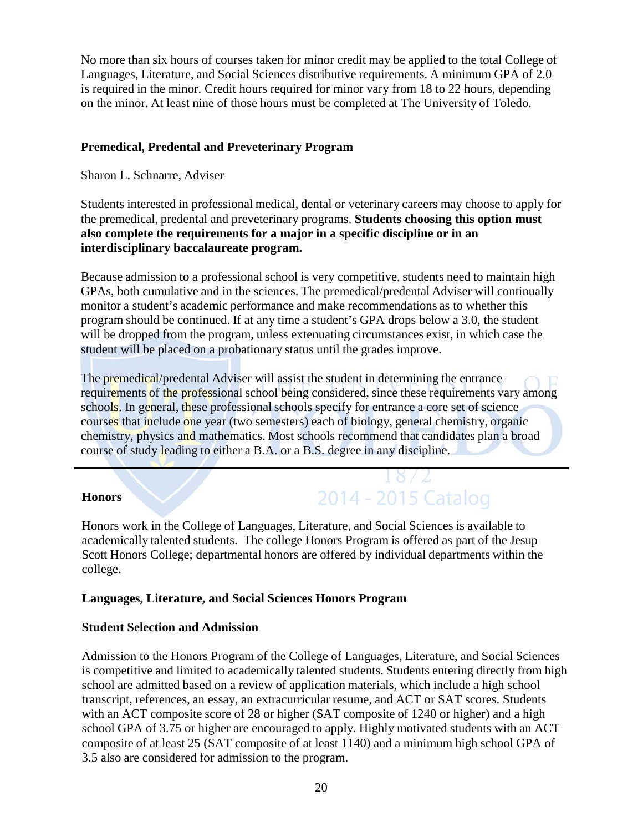No more than six hours of courses taken for minor credit may be applied to the total College of Languages, Literature, and Social Sciences distributive requirements. A minimum GPA of 2.0 is required in the minor. Credit hours required for minor vary from 18 to 22 hours, depending on the minor. At least nine of those hours must be completed at The University of Toledo.

#### **Premedical, Predental and Preveterinary Program**

Sharon L. Schnarre, Adviser

Students interested in professional medical, dental or veterinary careers may choose to apply for the premedical, predental and preveterinary programs. **Students choosing this option must also complete the requirements for a major in a specific discipline or in an interdisciplinary baccalaureate program.**

Because admission to a professional school is very competitive, students need to maintain high GPAs, both cumulative and in the sciences. The premedical/predental Adviser will continually monitor a student's academic performance and make recommendations as to whether this program should be continued. If at any time a student's GPA drops below a 3.0, the student will be dropped from the program, unless extenuating circumstances exist, in which case the student will be placed on a probationary status until the grades improve.

The premedical/predental Adviser will assist the student in determining the entrance requirements of the professional school being considered, since these requirements vary among schools. In general, these professional schools specify for entrance a core set of science courses that include one year (two semesters) each of biology, general chemistry, organic chemistry, physics and mathematics. Most schools recommend that candidates plan a broad course of study leading to either a B.A. or a B.S. degree in any discipline.

#### **Honors**

2014 - 2015 Catalog

Honors work in the College of Languages, Literature, and Social Sciences is available to academically talented students. The college Honors Program is offered as part of the Jesup Scott Honors College; departmental honors are offered by individual departments within the college.

#### **Languages, Literature, and Social Sciences Honors Program**

#### **Student Selection and Admission**

Admission to the Honors Program of the College of Languages, Literature, and Social Sciences is competitive and limited to academically talented students. Students entering directly from high school are admitted based on a review of application materials, which include a high school transcript, references, an essay, an extracurricular resume, and ACT or SAT scores. Students with an ACT composite score of 28 or higher (SAT composite of 1240 or higher) and a high school GPA of 3.75 or higher are encouraged to apply. Highly motivated students with an ACT composite of at least 25 (SAT composite of at least 1140) and a minimum high school GPA of 3.5 also are considered for admission to the program.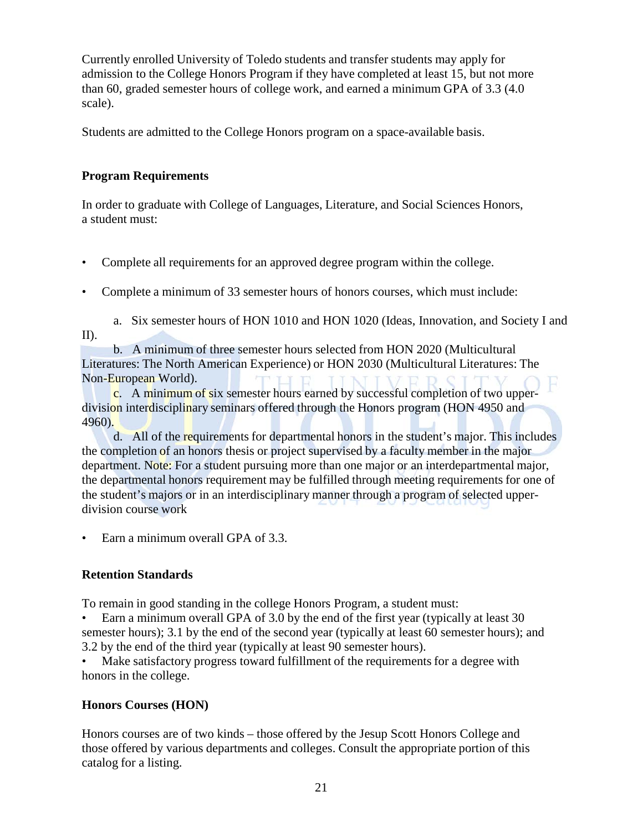Currently enrolled University of Toledo students and transfer students may apply for admission to the College Honors Program if they have completed at least 15, but not more than 60, graded semester hours of college work, and earned a minimum GPA of 3.3 (4.0 scale).

Students are admitted to the College Honors program on a space-available basis.

#### **Program Requirements**

In order to graduate with College of Languages, Literature, and Social Sciences Honors, a student must:

- Complete all requirements for an approved degree program within the college.
- Complete a minimum of 33 semester hours of honors courses, which must include:

a. Six semester hours of HON 1010 and HON 1020 (Ideas, Innovation, and Society I and II).

b. A minimum of three semester hours selected from HON 2020 (Multicultural Literatures: The North American Experience) or HON 2030 (Multicultural Literatures: The Non-European World).

c. A minimum of six semester hours earned by successful completion of two upperdivision interdisciplinary seminars offered through the Honors program (HON 4950 and 4960).

d. All of the requirements for departmental honors in the student's major. This includes the completion of an honors thesis or project supervised by a faculty member in the major department. Note: For a student pursuing more than one major or an interdepartmental major, the departmental honors requirement may be fulfilled through meeting requirements for one of the student's majors or in an interdisciplinary manner through a program of selected upperdivision course work

• Earn a minimum overall GPA of 3.3.

#### **Retention Standards**

To remain in good standing in the college Honors Program, a student must:

• Earn a minimum overall GPA of 3.0 by the end of the first year (typically at least 30 semester hours); 3.1 by the end of the second year (typically at least 60 semester hours); and 3.2 by the end of the third year (typically at least 90 semester hours).

Make satisfactory progress toward fulfillment of the requirements for a degree with honors in the college.

#### **Honors Courses (HON)**

Honors courses are of two kinds – those offered by the Jesup Scott Honors College and those offered by various departments and colleges. Consult the appropriate portion of this catalog for a listing.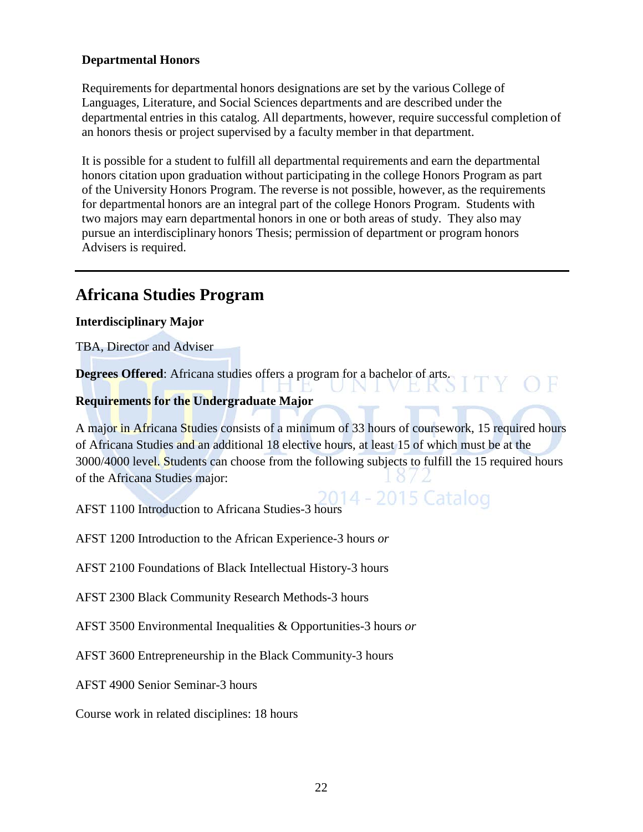#### **Departmental Honors**

Requirements for departmental honors designations are set by the various College of Languages, Literature, and Social Sciences departments and are described under the departmental entries in this catalog. All departments, however, require successful completion of an honors thesis or project supervised by a faculty member in that department.

It is possible for a student to fulfill all departmental requirements and earn the departmental honors citation upon graduation without participating in the college Honors Program as part of the University Honors Program. The reverse is not possible, however, as the requirements for departmental honors are an integral part of the college Honors Program. Students with two majors may earn departmental honors in one or both areas of study. They also may pursue an interdisciplinary honors Thesis; permission of department or program honors Advisers is required.

# **Africana Studies Program**

#### **Interdisciplinary Major**

TBA, Director and Adviser

**Degrees Offered**: Africana studies offers a program for a bachelor of arts.

#### **Requirements for the Undergraduate Major**

A major in Africana Studies consists of a minimum of 33 hours of coursework, 15 required hours of Africana Studies and an additional 18 elective hours, at least 15 of which must be at the 3000/4000 level. Students can choose from the following subjects to fulfill the 15 required hours of the Africana Studies major:

 $\bigcap$  E

5 K J

AFST 1100 Introduction to Africana Studies-3 hours

AFST 1200 Introduction to the African Experience-3 hours *or*

AFST 2100 Foundations of Black Intellectual History-3 hours

AFST 2300 Black Community Research Methods-3 hours

AFST 3500 Environmental Inequalities & Opportunities-3 hours *or* 

AFST 3600 Entrepreneurship in the Black Community-3 hours

AFST 4900 Senior Seminar-3 hours

Course work in related disciplines: 18 hours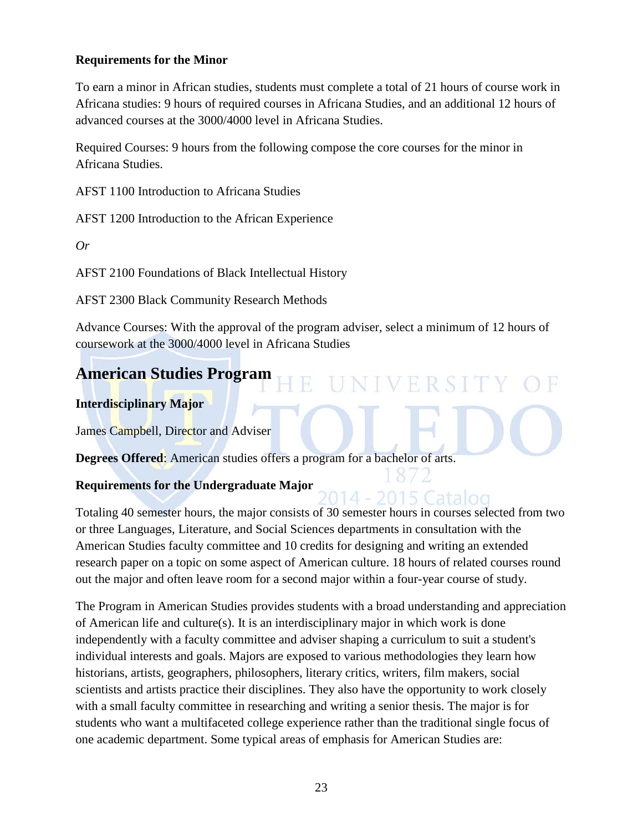#### **Requirements for the Minor**

To earn a minor in African studies, students must complete a total of 21 hours of course work in Africana studies: 9 hours of required courses in Africana Studies, and an additional 12 hours of advanced courses at the 3000/4000 level in Africana Studies.

Required Courses: 9 hours from the following compose the core courses for the minor in Africana Studies.

AFST 1100 Introduction to Africana Studies

AFST 1200 Introduction to the African Experience

*Or*

AFST 2100 Foundations of Black Intellectual History

AFST 2300 Black Community Research Methods

Advance Courses: With the approval of the program adviser, select a minimum of 12 hours of coursework at the 3000/4000 level in Africana Studies

VERSI

2015 Catalog

# **American Studies Program**

#### **Interdisciplinary Major**

James Campbell, Director and Adviser

**Degrees Offered**: American studies offers a program for a bachelor of arts.

#### **Requirements for the Undergraduate Major**

Totaling 40 semester hours, the major consists of 30 semester hours in courses selected from two or three Languages, Literature, and Social Sciences departments in consultation with the American Studies faculty committee and 10 credits for designing and writing an extended research paper on a topic on some aspect of American culture. 18 hours of related courses round out the major and often leave room for a second major within a four-year course of study.

The Program in American Studies provides students with a broad understanding and appreciation of American life and culture(s). It is an interdisciplinary major in which work is done independently with a faculty committee and adviser shaping a curriculum to suit a student's individual interests and goals. Majors are exposed to various methodologies they learn how historians, artists, geographers, philosophers, literary critics, writers, film makers, social scientists and artists practice their disciplines. They also have the opportunity to work closely with a small faculty committee in researching and writing a senior thesis. The major is for students who want a multifaceted college experience rather than the traditional single focus of one academic department. Some typical areas of emphasis for American Studies are: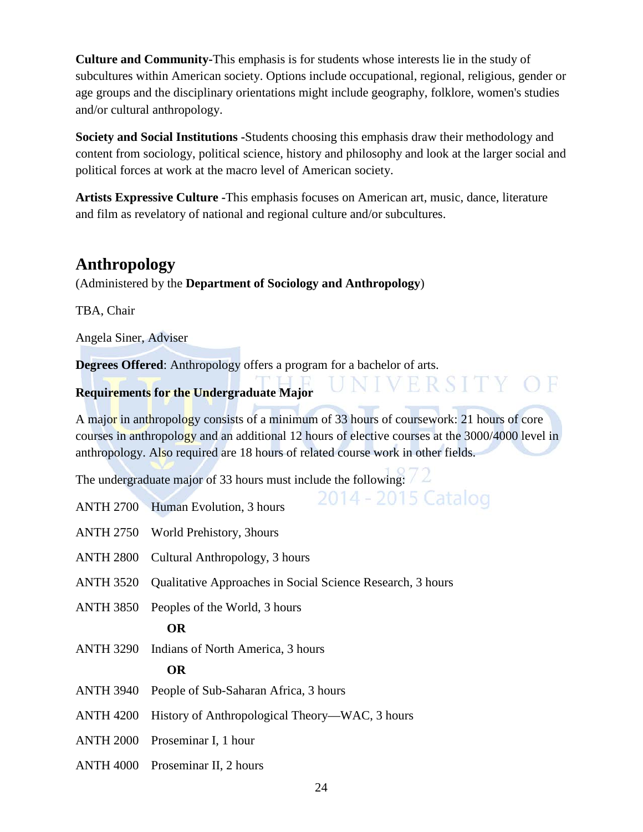**Culture and Community-**This emphasis is for students whose interests lie in the study of subcultures within American society. Options include occupational, regional, religious, gender or age groups and the disciplinary orientations might include geography, folklore, women's studies and/or cultural anthropology.

**Society and Social Institutions -**Students choosing this emphasis draw their methodology and content from sociology, political science, history and philosophy and look at the larger social and political forces at work at the macro level of American society.

**Artists Expressive Culture -**This emphasis focuses on American art, music, dance, literature and film as revelatory of national and regional culture and/or subcultures.

# **Anthropology**

(Administered by the **Department of Sociology and Anthropology**)

TBA, Chair

Angela Siner, Adviser

**Degrees Offered**: Anthropology offers a program for a bachelor of arts.

### **Requirements for the Undergraduate Major**

A major in anthropology consists of a minimum of 33 hours of coursework: 21 hours of core courses in anthropology and an additional 12 hours of elective courses at the 3000/4000 level in anthropology. Also required are 18 hours of related course work in other fields.

ERSITY

2014 - 2015 Catalog

 $\bigcap$   $\vdash$ 

The undergraduate major of 33 hours must include the following:

- ANTH 2700 Human Evolution, 3 hours
- ANTH 2750 World Prehistory, 3hours
- ANTH 2800 Cultural Anthropology, 3 hours
- ANTH 3520 Qualitative Approaches in Social Science Research, 3 hours
- ANTH 3850 Peoples of the World, 3 hours

#### **OR**

ANTH 3290 Indians of North America, 3 hours

#### **OR**

- ANTH 3940 People of Sub-Saharan Africa, 3 hours
- ANTH 4200 History of Anthropological Theory—WAC, 3 hours
- ANTH 2000 Proseminar I, 1 hour
- ANTH 4000 Proseminar II, 2 hours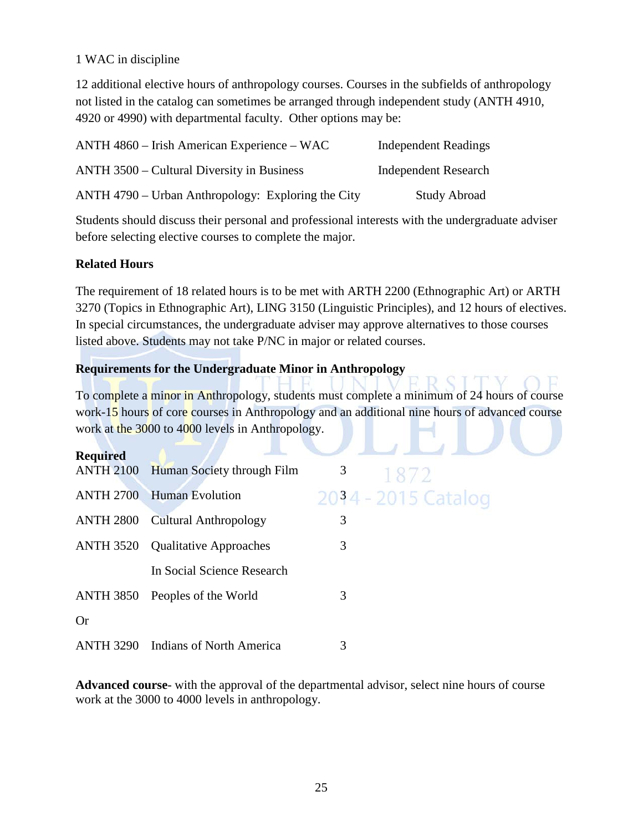#### 1 WAC in discipline

12 additional elective hours of anthropology courses. Courses in the subfields of anthropology not listed in the catalog can sometimes be arranged through independent study (ANTH 4910, 4920 or 4990) with departmental faculty. Other options may be:

| $\triangle$ NTH 4860 – Irish American Experience – WAC | <b>Independent Readings</b> |
|--------------------------------------------------------|-----------------------------|
| ANTH 3500 – Cultural Diversity in Business             | <b>Independent Research</b> |
| ANTH 4790 – Urban Anthropology: Exploring the City     | <b>Study Abroad</b>         |

Students should discuss their personal and professional interests with the undergraduate adviser before selecting elective courses to complete the major.

#### **Related Hours**

The requirement of 18 related hours is to be met with ARTH 2200 (Ethnographic Art) or ARTH 3270 (Topics in Ethnographic Art), LING 3150 (Linguistic Principles), and 12 hours of electives. In special circumstances, the undergraduate adviser may approve alternatives to those courses listed above. Students may not take P/NC in major or related courses.

#### **Requirements for the Undergraduate Minor in Anthropology**

To complete a minor in Anthropology, students must complete a minimum of 24 hours of course work-15 hours of core courses in Anthropology and an additional nine hours of advanced course work at the 3000 to 4000 levels in Anthropology.

| <b>Required</b>  |                                |                     |  |
|------------------|--------------------------------|---------------------|--|
| <b>ANTH 2100</b> | Human Society through Film     | 3<br>1872           |  |
| <b>ANTH 2700</b> | <b>Human Evolution</b>         | 2034 - 2015 Catalog |  |
| <b>ANTH 2800</b> | <b>Cultural Anthropology</b>   | 3                   |  |
| <b>ANTH 3520</b> | <b>Qualitative Approaches</b>  | 3                   |  |
|                  | In Social Science Research     |                     |  |
|                  | ANTH 3850 Peoples of the World | 3                   |  |
| <b>Or</b>        |                                |                     |  |
| <b>ANTH 3290</b> | Indians of North America       | 3                   |  |

**Advanced course**- with the approval of the departmental advisor, select nine hours of course work at the 3000 to 4000 levels in anthropology.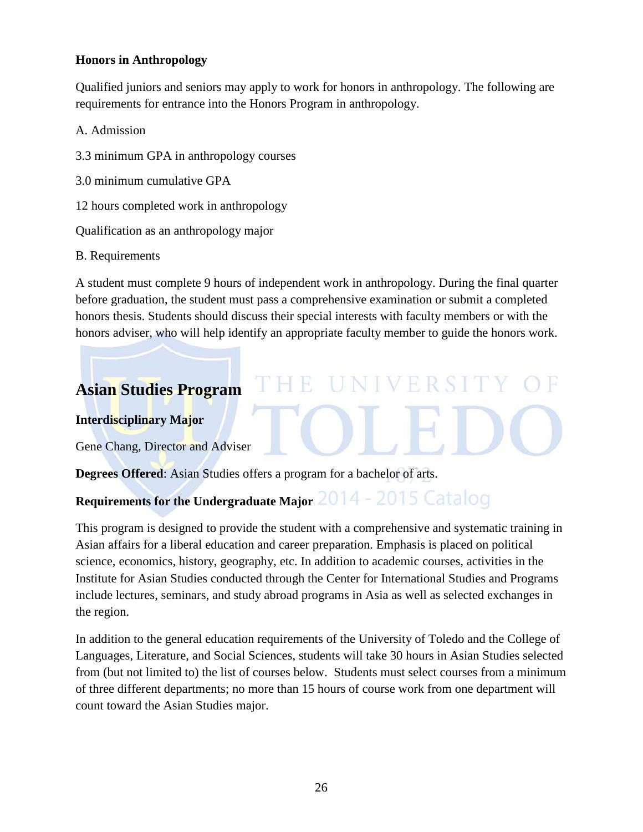#### **Honors in Anthropology**

Qualified juniors and seniors may apply to work for honors in anthropology. The following are requirements for entrance into the Honors Program in anthropology.

A. Admission

- 3.3 minimum GPA in anthropology courses
- 3.0 minimum cumulative GPA

12 hours completed work in anthropology

Qualification as an anthropology major

#### B. Requirements

A student must complete 9 hours of independent work in anthropology. During the final quarter before graduation, the student must pass a comprehensive examination or submit a completed honors thesis. Students should discuss their special interests with faculty members or with the honors adviser, who will help identify an appropriate faculty member to guide the honors work.

# **Asian Studies Program**

#### **Interdisciplinary Major**

Gene Chang, Director and Adviser

**Degrees Offered**: Asian Studies offers a program for a bachelor of arts.

# **Requirements for the Undergraduate Major** 2014 - 2015 Catalog

This program is designed to provide the student with a comprehensive and systematic training in Asian affairs for a liberal education and career preparation. Emphasis is placed on political science, economics, history, geography, etc. In addition to academic courses, activities in the Institute for Asian Studies conducted through the Center for International Studies and Programs include lectures, seminars, and study abroad programs in Asia as well as selected exchanges in the region.

In addition to the general education requirements of the University of Toledo and the College of Languages, Literature, and Social Sciences, students will take 30 hours in Asian Studies selected from (but not limited to) the list of courses below. Students must select courses from a minimum of three different departments; no more than 15 hours of course work from one department will count toward the Asian Studies major.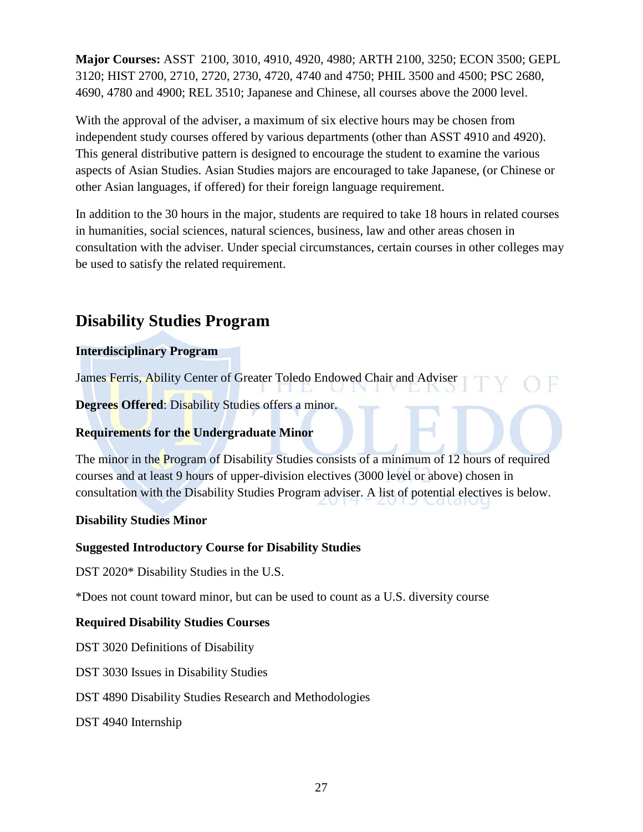**Major Courses:** ASST 2100, 3010, 4910, 4920, 4980; ARTH 2100, 3250; ECON 3500; GEPL 3120; HIST 2700, 2710, 2720, 2730, 4720, 4740 and 4750; PHIL 3500 and 4500; PSC 2680, 4690, 4780 and 4900; REL 3510; Japanese and Chinese, all courses above the 2000 level.

With the approval of the adviser, a maximum of six elective hours may be chosen from independent study courses offered by various departments (other than ASST 4910 and 4920). This general distributive pattern is designed to encourage the student to examine the various aspects of Asian Studies. Asian Studies majors are encouraged to take Japanese, (or Chinese or other Asian languages, if offered) for their foreign language requirement.

In addition to the 30 hours in the major, students are required to take 18 hours in related courses in humanities, social sciences, natural sciences, business, law and other areas chosen in consultation with the adviser. Under special circumstances, certain courses in other colleges may be used to satisfy the related requirement.

# **Disability Studies Program**

#### **Interdisciplinary Program**

James Ferris, Ability Center of Greater Toledo Endowed Chair and Adviser

**Degrees Offered:** Disability Studies offers a minor.

#### **Requirements for the Undergraduate Minor**

The minor in the Program of Disability Studies consists of a minimum of 12 hours of required courses and at least 9 hours of upper-division electives (3000 level or above) chosen in consultation with the Disability Studies Program adviser. A list of potential electives is below.

#### **Disability Studies Minor**

#### **Suggested Introductory Course for Disability Studies**

DST 2020\* Disability Studies in the U.S.

\*Does not count toward minor, but can be used to count as a U.S. diversity course

#### **Required Disability Studies Courses**

DST 3020 Definitions of Disability

DST 3030 Issues in Disability Studies

#### DST 4890 Disability Studies Research and Methodologies

DST 4940 Internship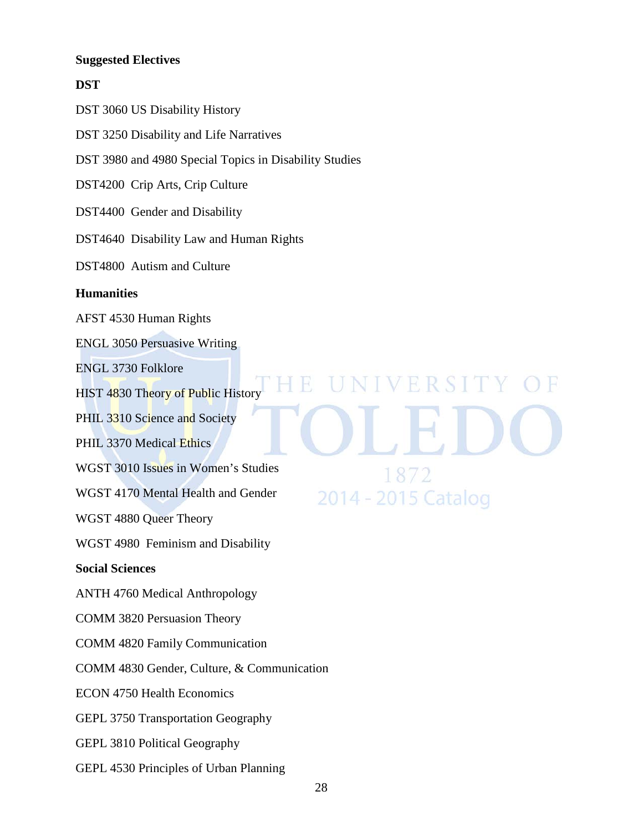#### **Suggested Electives**

#### **DST**

DST 3060 US Disability History

DST 3250 Disability and Life Narratives

DST 3980 and 4980 Special Topics in Disability Studies

DST4200 Crip Arts, Crip Culture

DST4400 Gender and Disability

DST4640 Disability Law and Human Rights

DST4800 Autism and Culture

#### **Humanities**

AFST 4530 Human Rights

ENGL 3050 Persuasive Writing

ENGL 3730 Folklore

HIST 4830 Theory of Public History

PHIL 3310 Science and Society

PHIL 3370 Medical Ethics

WGST 3010 Issues in Women's Studies

WGST 4170 Mental Health and Gender

WGST 4880 Queer Theory

WGST 4980 Feminism and Disability

#### **Social Sciences**

ANTH 4760 Medical Anthropology

COMM 3820 Persuasion Theory

COMM 4820 Family Communication

COMM 4830 Gender, Culture, & Communication

ECON 4750 Health Economics

GEPL 3750 Transportation Geography

GEPL 3810 Political Geography

GEPL 4530 Principles of Urban Planning

VERSITY  $18/$ 2014 - 2015 Catalog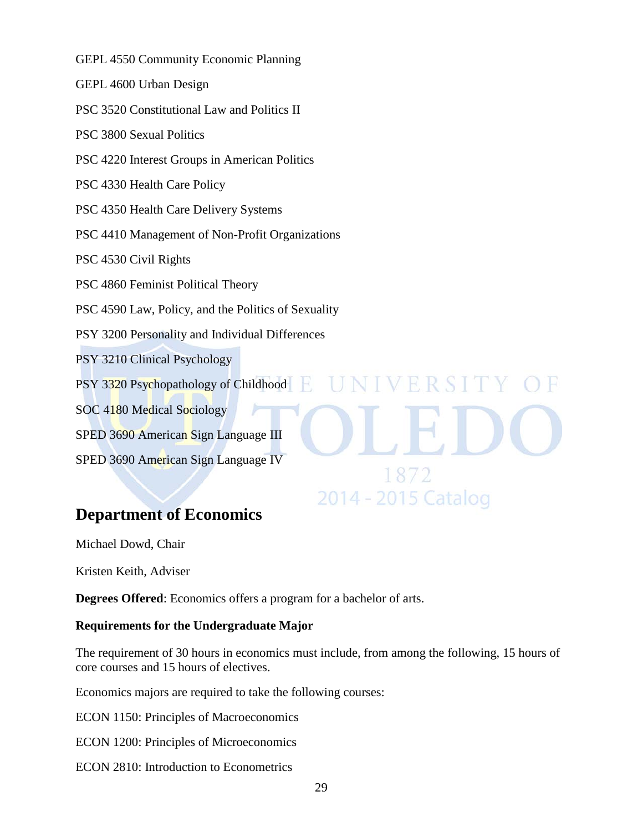GEPL 4550 Community Economic Planning GEPL 4600 Urban Design PSC 3520 Constitutional Law and Politics II PSC 3800 Sexual Politics PSC 4220 Interest Groups in American Politics PSC 4330 Health Care Policy PSC 4350 Health Care Delivery Systems PSC 4410 Management of Non-Profit Organizations PSC 4530 Civil Rights PSC 4860 Feminist Political Theory PSC 4590 Law, Policy, and the Politics of Sexuality PSY 3200 Personality and Individual Differences PSY 3210 Clinical Psychology IVERSIT PSY 3320 Psychopathology of Childhood H. SOC 4180 Medical Sociology SPED 3690 American Sign Language III SPED 3690 American Sign Language IV 1872

# **Department of Economics**

Michael Dowd, Chair

Kristen Keith, Adviser

**Degrees Offered**: Economics offers a program for a bachelor of arts.

#### **Requirements for the Undergraduate Major**

The requirement of 30 hours in economics must include, from among the following, 15 hours of core courses and 15 hours of electives.

2014 - 2015 Catalog

Economics majors are required to take the following courses:

ECON 1150: Principles of Macroeconomics

ECON 1200: Principles of Microeconomics

ECON 2810: Introduction to Econometrics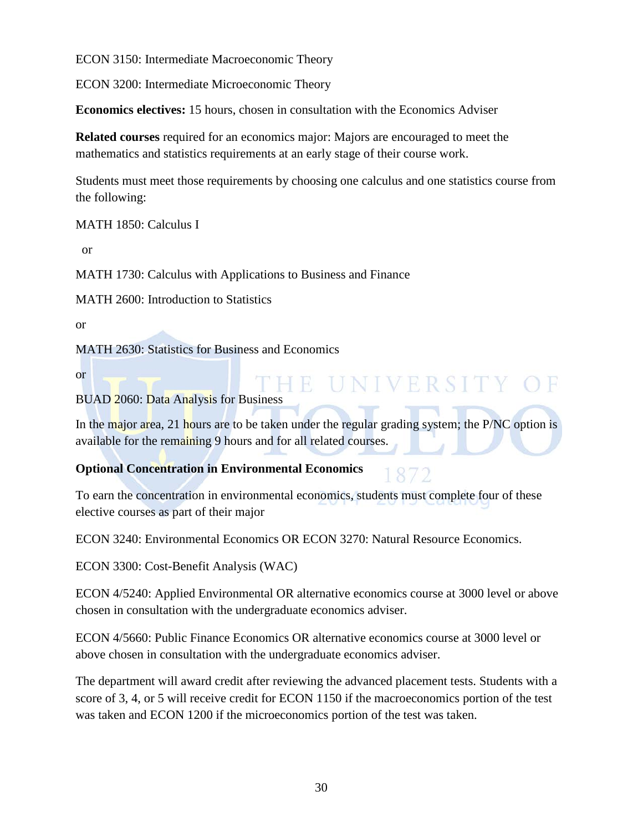ECON 3150: Intermediate Macroeconomic Theory

ECON 3200: Intermediate Microeconomic Theory

**Economics electives:** 15 hours, chosen in consultation with the Economics Adviser

**Related courses** required for an economics major: Majors are encouraged to meet the mathematics and statistics requirements at an early stage of their course work.

Students must meet those requirements by choosing one calculus and one statistics course from the following:

MATH 1850: Calculus I

or

MATH 1730: Calculus with Applications to Business and Finance

MATH 2600: Introduction to Statistics

or

MATH 2630: Statistics for Business and Economics

or

BUAD 2060: Data Analysis for Business

In the major area, 21 hours are to be taken under the regular grading system; the P/NC option is available for the remaining 9 hours and for all related courses.

#### **Optional Concentration in Environmental Economics**

IE UNIVERSITY

To earn the concentration in environmental economics, students must complete four of these elective courses as part of their major

ECON 3240: Environmental Economics OR ECON 3270: Natural Resource Economics.

ECON 3300: Cost-Benefit Analysis (WAC)

ECON 4/5240: Applied Environmental OR alternative economics course at 3000 level or above chosen in consultation with the undergraduate economics adviser.

ECON 4/5660: Public Finance Economics OR alternative economics course at 3000 level or above chosen in consultation with the undergraduate economics adviser.

The department will award credit after reviewing the advanced placement tests. Students with a score of 3, 4, or 5 will receive credit for ECON 1150 if the macroeconomics portion of the test was taken and ECON 1200 if the microeconomics portion of the test was taken.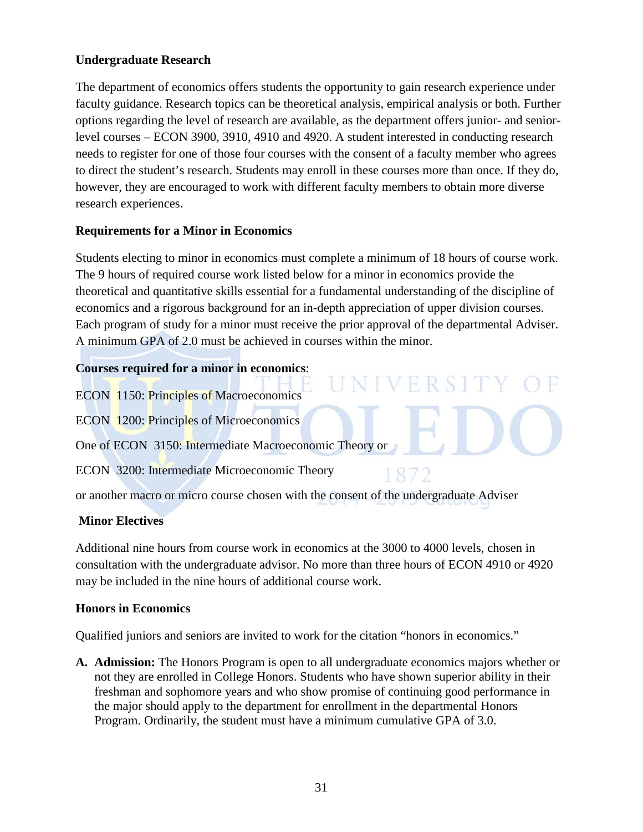#### **Undergraduate Research**

The department of economics offers students the opportunity to gain research experience under faculty guidance. Research topics can be theoretical analysis, empirical analysis or both. Further options regarding the level of research are available, as the department offers junior- and seniorlevel courses – ECON 3900, 3910, 4910 and 4920. A student interested in conducting research needs to register for one of those four courses with the consent of a faculty member who agrees to direct the student's research. Students may enroll in these courses more than once. If they do, however, they are encouraged to work with different faculty members to obtain more diverse research experiences.

#### **Requirements for a Minor in Economics**

Students electing to minor in economics must complete a minimum of 18 hours of course work. The 9 hours of required course work listed below for a minor in economics provide the theoretical and quantitative skills essential for a fundamental understanding of the discipline of economics and a rigorous background for an in-depth appreciation of upper division courses. Each program of study for a minor must receive the prior approval of the departmental Adviser. A minimum GPA of 2.0 must be achieved in courses within the minor.

#### **Courses required for a minor in economics**:

ECON 1150: Principles of Macroeconomics

ECON 1200: Principles of Microeconomics

One of ECON 3150: Intermediate Macroeconomic Theory or

ECON 3200: Intermediate Microeconomic Theory

187

V F R S I

or another macro or micro course chosen with the consent of the undergraduate Adviser

#### **Minor Electives**

Additional nine hours from course work in economics at the 3000 to 4000 levels, chosen in consultation with the undergraduate advisor. No more than three hours of ECON 4910 or 4920 may be included in the nine hours of additional course work.

#### **Honors in Economics**

Qualified juniors and seniors are invited to work for the citation "honors in economics."

**A. Admission:** The Honors Program is open to all undergraduate economics majors whether or not they are enrolled in College Honors. Students who have shown superior ability in their freshman and sophomore years and who show promise of continuing good performance in the major should apply to the department for enrollment in the departmental Honors Program. Ordinarily, the student must have a minimum cumulative GPA of 3.0.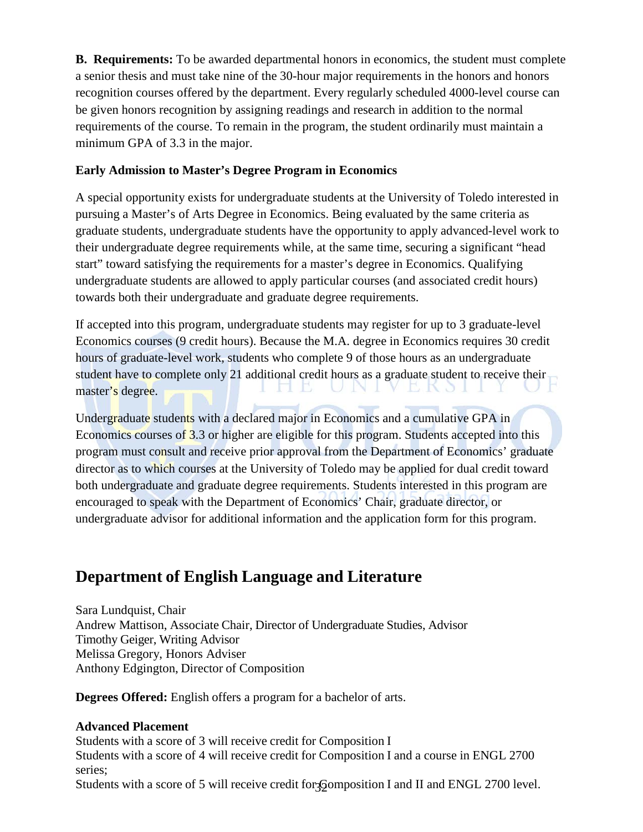**B. Requirements:** To be awarded departmental honors in economics, the student must complete a senior thesis and must take nine of the 30-hour major requirements in the honors and honors recognition courses offered by the department. Every regularly scheduled 4000-level course can be given honors recognition by assigning readings and research in addition to the normal requirements of the course. To remain in the program, the student ordinarily must maintain a minimum GPA of 3.3 in the major.

#### **Early Admission to Master's Degree Program in Economics**

A special opportunity exists for undergraduate students at the University of Toledo interested in pursuing a Master's of Arts Degree in Economics. Being evaluated by the same criteria as graduate students, undergraduate students have the opportunity to apply advanced-level work to their undergraduate degree requirements while, at the same time, securing a significant "head start" toward satisfying the requirements for a master's degree in Economics. Qualifying undergraduate students are allowed to apply particular courses (and associated credit hours) towards both their undergraduate and graduate degree requirements.

If accepted into this program, undergraduate students may register for up to 3 graduate-level Economics courses (9 credit hours). Because the M.A. degree in Economics requires 30 credit hours of graduate-level work, students who complete 9 of those hours as an undergraduate student have to complete only 21 additional credit hours as a graduate student to receive their **EKO1** master's degree. L).

Undergraduate students with a declared major in Economics and a cumulative GPA in Economics courses of 3.3 or higher are eligible for this program. Students accepted into this program must consult and receive prior approval from the Department of Economics' graduate director as to which courses at the University of Toledo may be applied for dual credit toward both undergraduate and graduate degree requirements. Students interested in this program are encouraged to speak with the Department of Economics' Chair, graduate director, or undergraduate advisor for additional information and the application form for this program.

# **Department of English Language and Literature**

Sara Lundquist, Chair Andrew Mattison, Associate Chair, Director of Undergraduate Studies, Advisor Timothy Geiger, Writing Advisor Melissa Gregory, Honors Adviser Anthony Edgington, Director of Composition

**Degrees Offered:** English offers a program for a bachelor of arts.

#### **Advanced Placement**

Students with a score of 3 will receive credit for Composition I Students with a score of 4 will receive credit for Composition I and a course in ENGL 2700 series;

Students with a score of 5 will receive credit for Gomposition I and II and ENGL 2700 level.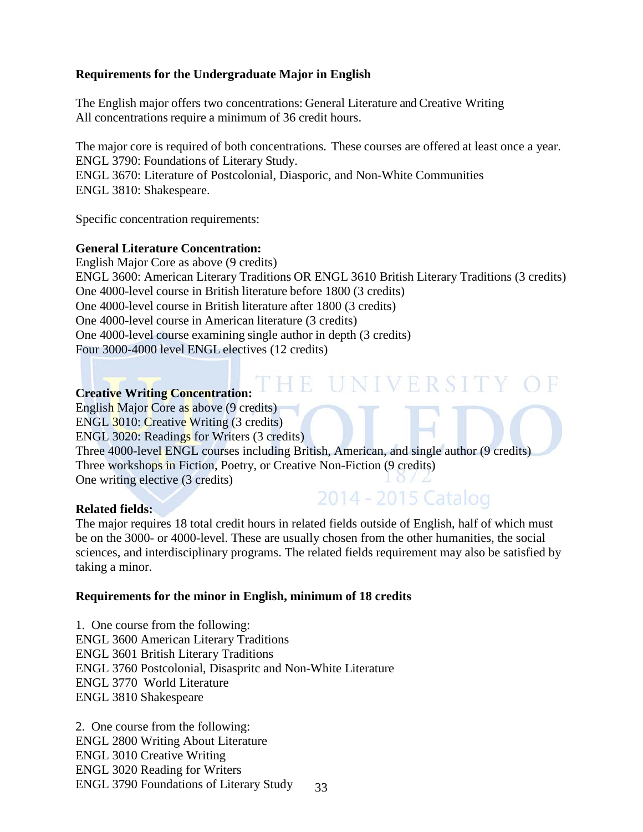#### **Requirements for the Undergraduate Major in English**

The English major offers two concentrations: General Literature and Creative Writing All concentrations require a minimum of 36 credit hours.

The major core is required of both concentrations. These courses are offered at least once a year. ENGL 3790: Foundations of Literary Study. ENGL 3670: Literature of Postcolonial, Diasporic, and Non-White Communities ENGL 3810: Shakespeare.

Specific concentration requirements:

#### **General Literature Concentration:**

English Major Core as above (9 credits) ENGL 3600: American Literary Traditions OR ENGL 3610 British Literary Traditions (3 credits) One 4000-level course in British literature before 1800 (3 credits) One 4000-level course in British literature after 1800 (3 credits) One 4000-level course in American literature (3 credits) One 4000-level course examining single author in depth (3 credits) Four 3000-4000 level ENGL electives (12 credits)

# **Creative Writing Concentration:**

English Major Core as above (9 credits) ENGL 3010: Creative Writing (3 credits) ENGL 3020: Readings for Writers (3 credits) Three 4000-level ENGL courses including British, American, and single author (9 credits) Three workshops in Fiction, Poetry, or Creative Non-Fiction (9 credits) One writing elective (3 credits)

#### **Related fields:**

The major requires 18 total credit hours in related fields outside of English, half of which must be on the 3000- or 4000-level. These are usually chosen from the other humanities, the social sciences, and interdisciplinary programs. The related fields requirement may also be satisfied by taking a minor.

2014 - 2015 Catalog

#### **Requirements for the minor in English, minimum of 18 credits**

1. One course from the following: ENGL 3600 American Literary Traditions ENGL 3601 British Literary Traditions ENGL 3760 Postcolonial, Disaspritc and Non-White Literature ENGL 3770 World Literature ENGL 3810 Shakespeare

33 2. One course from the following: ENGL 2800 Writing About Literature ENGL 3010 Creative Writing ENGL 3020 Reading for Writers ENGL 3790 Foundations of Literary Study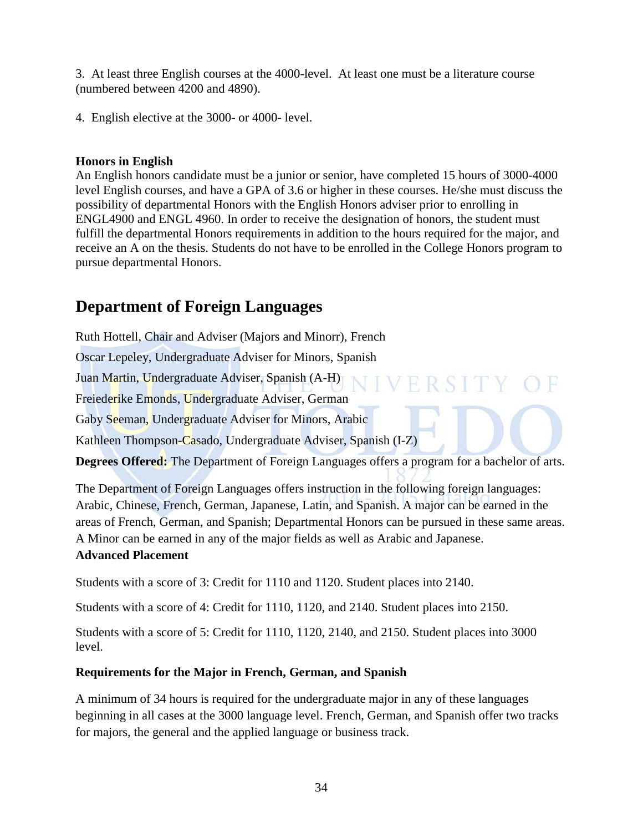3. At least three English courses at the 4000-level. At least one must be a literature course (numbered between 4200 and 4890).

4. English elective at the 3000- or 4000- level.

#### **Honors in English**

An English honors candidate must be a junior or senior, have completed 15 hours of 3000-4000 level English courses, and have a GPA of 3.6 or higher in these courses. He/she must discuss the possibility of departmental Honors with the English Honors adviser prior to enrolling in ENGL4900 and ENGL 4960. In order to receive the designation of honors, the student must fulfill the departmental Honors requirements in addition to the hours required for the major, and receive an A on the thesis. Students do not have to be enrolled in the College Honors program to pursue departmental Honors.

# **Department of Foreign Languages**

Ruth Hottell, Chair and Adviser (Majors and Minorr), French

Oscar Lepeley, Undergraduate Adviser for Minors, Spanish

Juan Martin, Undergraduate Adviser, Spanish (A-H)

Freiederike Emonds, Undergraduate Adviser, German

Gaby Seeman, Undergraduate Adviser for Minors, Arabic

Kathleen Thompson-Casado, Undergraduate Adviser, Spanish (I-Z)

**Degrees Offered:** The Department of Foreign Languages offers a program for a bachelor of arts.

The Department of Foreign Languages offers instruction in the following foreign languages: Arabic, Chinese, French, German, Japanese, Latin, and Spanish. A major can be earned in the areas of French, German, and Spanish; Departmental Honors can be pursued in these same areas. A Minor can be earned in any of the major fields as well as Arabic and Japanese. **Advanced Placement**

Students with a score of 3: Credit for 1110 and 1120. Student places into 2140.

Students with a score of 4: Credit for 1110, 1120, and 2140. Student places into 2150.

Students with a score of 5: Credit for 1110, 1120, 2140, and 2150. Student places into 3000 level.

#### **Requirements for the Major in French, German, and Spanish**

A minimum of 34 hours is required for the undergraduate major in any of these languages beginning in all cases at the 3000 language level. French, German, and Spanish offer two tracks for majors, the general and the applied language or business track.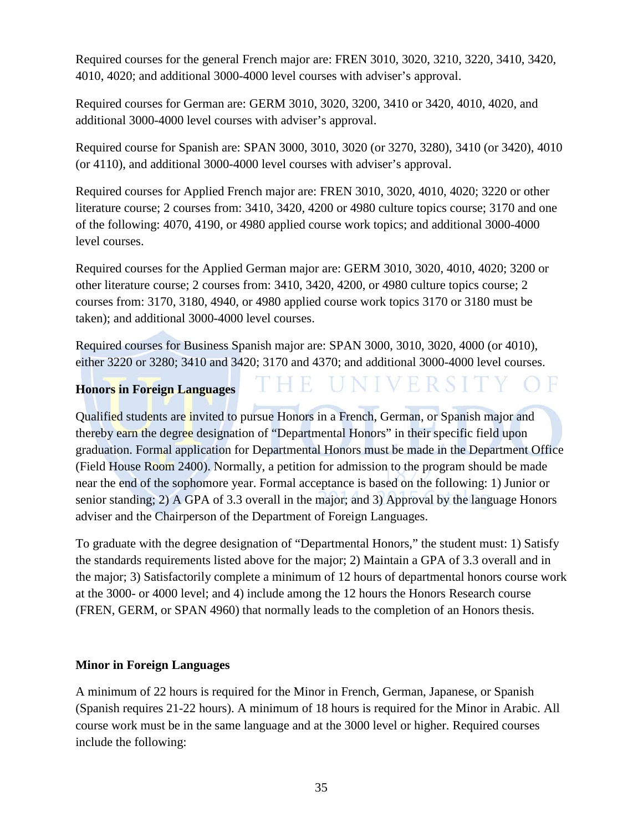Required courses for the general French major are: FREN 3010, 3020, 3210, 3220, 3410, 3420, 4010, 4020; and additional 3000-4000 level courses with adviser's approval.

Required courses for German are: GERM 3010, 3020, 3200, 3410 or 3420, 4010, 4020, and additional 3000-4000 level courses with adviser's approval.

Required course for Spanish are: SPAN 3000, 3010, 3020 (or 3270, 3280), 3410 (or 3420), 4010 (or 4110), and additional 3000-4000 level courses with adviser's approval.

Required courses for Applied French major are: FREN 3010, 3020, 4010, 4020; 3220 or other literature course; 2 courses from: 3410, 3420, 4200 or 4980 culture topics course; 3170 and one of the following: 4070, 4190, or 4980 applied course work topics; and additional 3000-4000 level courses.

Required courses for the Applied German major are: GERM 3010, 3020, 4010, 4020; 3200 or other literature course; 2 courses from: 3410, 3420, 4200, or 4980 culture topics course; 2 courses from: 3170, 3180, 4940, or 4980 applied course work topics 3170 or 3180 must be taken); and additional 3000-4000 level courses.

Required courses for Business Spanish major are: SPAN 3000, 3010, 3020, 4000 (or 4010), either 3220 or 3280; 3410 and 3420; 3170 and 4370; and additional 3000-4000 level courses.

R

#### **Honors in Foreign Languages**

Qualified students are invited to pursue Honors in a French, German, or Spanish major and thereby earn the degree designation of "Departmental Honors" in their specific field upon graduation. Formal application for Departmental Honors must be made in the Department Office (Field House Room 2400). Normally, a petition for admission to the program should be made near the end of the sophomore year. Formal acceptance is based on the following: 1) Junior or senior standing; 2) A GPA of 3.3 overall in the major; and 3) Approval by the language Honors adviser and the Chairperson of the Department of Foreign Languages.

To graduate with the degree designation of "Departmental Honors," the student must: 1) Satisfy the standards requirements listed above for the major; 2) Maintain a GPA of 3.3 overall and in the major; 3) Satisfactorily complete a minimum of 12 hours of departmental honors course work at the 3000- or 4000 level; and 4) include among the 12 hours the Honors Research course (FREN, GERM, or SPAN 4960) that normally leads to the completion of an Honors thesis.

#### **Minor in Foreign Languages**

A minimum of 22 hours is required for the Minor in French, German, Japanese, or Spanish (Spanish requires 21-22 hours). A minimum of 18 hours is required for the Minor in Arabic. All course work must be in the same language and at the 3000 level or higher. Required courses include the following: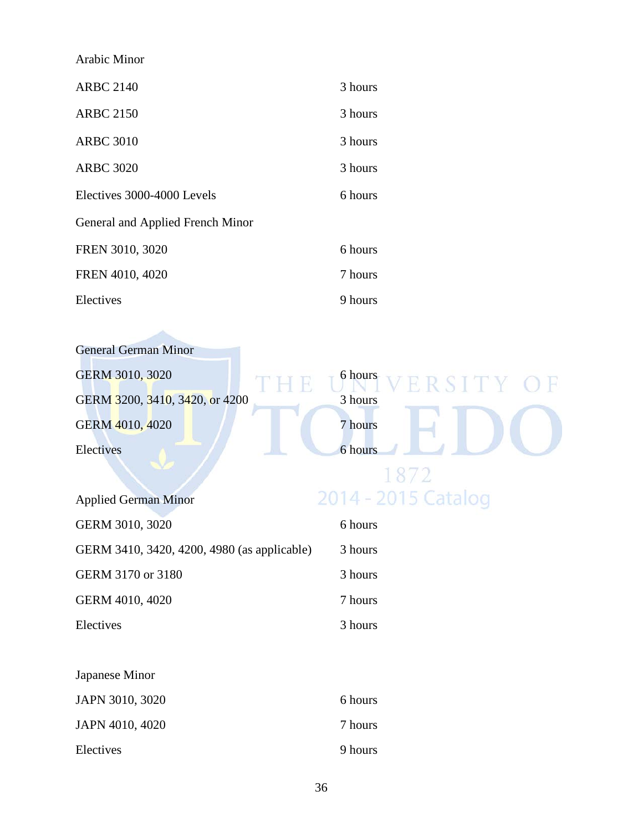| Arabic Minor                     |         |
|----------------------------------|---------|
| <b>ARBC 2140</b>                 | 3 hours |
| <b>ARBC 2150</b>                 | 3 hours |
| <b>ARBC 3010</b>                 | 3 hours |
| <b>ARBC 3020</b>                 | 3 hours |
| Electives 3000-4000 Levels       | 6 hours |
| General and Applied French Minor |         |
| FREN 3010, 3020                  | 6 hours |
| FREN 4010, 4020                  | 7 hours |
| Electives                        | 9 hours |

| <b>General German Minor</b>    |                   |
|--------------------------------|-------------------|
| GERM 3010, 3020                | 6 hours<br>ERSITY |
| GERM 3200, 3410, 3420, or 4200 | 3 hours           |
| GERM 4010, 4020                | 7 hours           |
| Electives                      | 6 hours           |
|                                |                   |

| <b>Applied German Minor</b>                 | 2014 - 201 |
|---------------------------------------------|------------|
| GERM 3010, 3020                             | 6 hours    |
| GERM 3410, 3420, 4200, 4980 (as applicable) | 3 hours    |
| GERM 3170 or 3180                           | 3 hours    |
| GERM 4010, 4020                             | 7 hours    |
| Electives                                   | 3 hours    |

| Japanese Minor  |         |
|-----------------|---------|
| JAPN 3010, 3020 | 6 hours |
| JAPN 4010, 4020 | 7 hours |
| Electives       | 9 hours |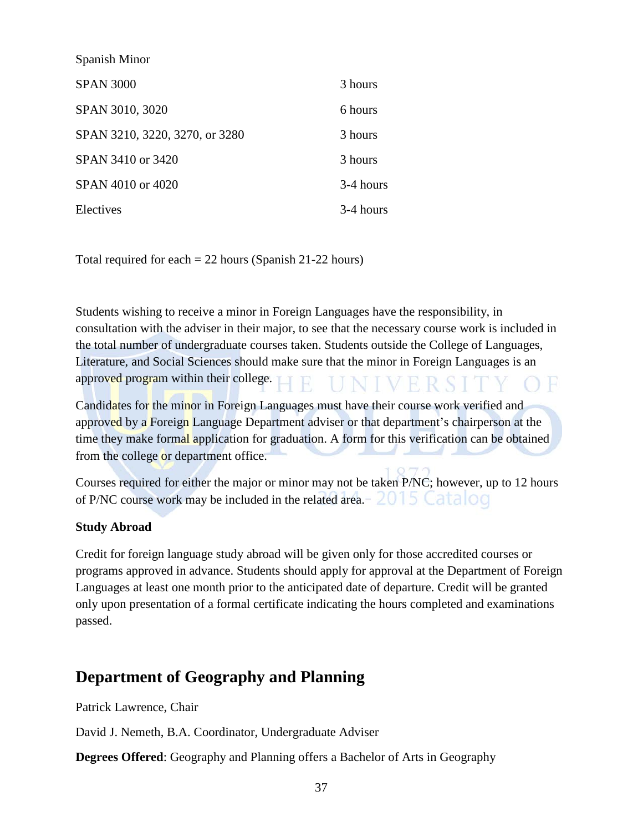| Spanish Minor                  |           |
|--------------------------------|-----------|
| <b>SPAN 3000</b>               | 3 hours   |
| SPAN 3010, 3020                | 6 hours   |
| SPAN 3210, 3220, 3270, or 3280 | 3 hours   |
| SPAN 3410 or 3420              | 3 hours   |
| SPAN 4010 or 4020              | 3-4 hours |
| Electives                      | 3-4 hours |

Total required for each = 22 hours (Spanish 21-22 hours)

Students wishing to receive a minor in Foreign Languages have the responsibility, in consultation with the adviser in their major, to see that the necessary course work is included in the total number of undergraduate courses taken. Students outside the College of Languages, Literature, and Social Sciences should make sure that the minor in Foreign Languages is an approved program within their college.

Candidates for the minor in Foreign Languages must have their course work verified and approved by a Foreign Language Department adviser or that department's chairperson at the time they make formal application for graduation. A form for this verification can be obtained from the college or department office.

Courses required for either the major or minor may not be taken P/NC; however, up to 12 hours of P/NC course work may be included in the related area.  $\angle 015$  Catalog

### **Study Abroad**

Credit for foreign language study abroad will be given only for those accredited courses or programs approved in advance. Students should apply for approval at the Department of Foreign Languages at least one month prior to the anticipated date of departure. Credit will be granted only upon presentation of a formal certificate indicating the hours completed and examinations passed.

### **Department of Geography and Planning**

Patrick Lawrence, Chair

David J. Nemeth, B.A. Coordinator, Undergraduate Adviser

**Degrees Offered**: Geography and Planning offers a Bachelor of Arts in Geography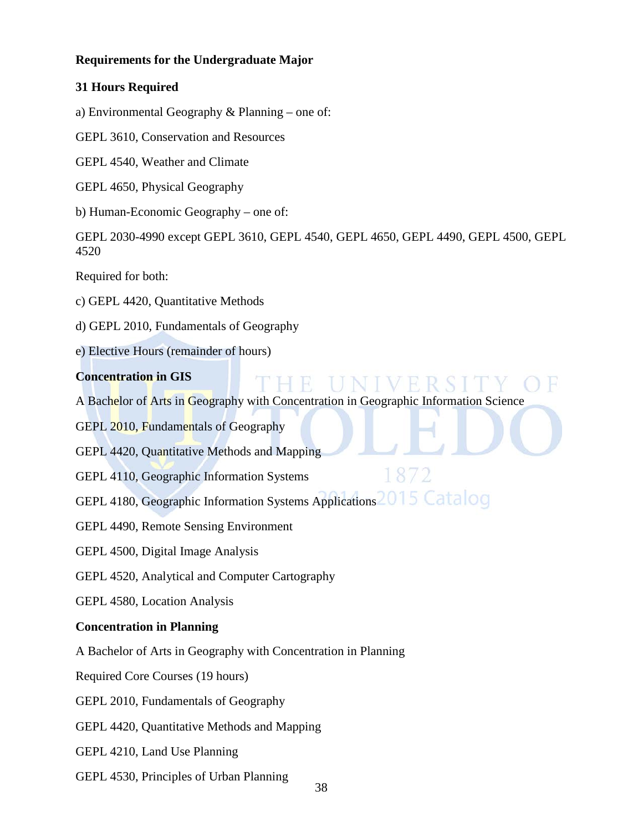### **Requirements for the Undergraduate Major**

### **31 Hours Required**

a) Environmental Geography & Planning – one of:

GEPL 3610, Conservation and Resources

GEPL 4540, Weather and Climate

GEPL 4650, Physical Geography

b) Human-Economic Geography – one of:

GEPL 2030-4990 except GEPL 3610, GEPL 4540, GEPL 4650, GEPL 4490, GEPL 4500, GEPL 4520

Required for both:

- c) GEPL 4420, Quantitative Methods
- d) GEPL 2010, Fundamentals of Geography
- e) Elective Hours (remainder of hours)

### **Concentration in GIS**

A Bachelor of Arts in Geography with Concentration in Geographic Information Science

187

- GEPL 2010, Fundamentals of Geography
- GEPL 4420, Quantitative Methods and Mapping
- GEPL 4110, Geographic Information Systems
- GEPL 4180, Geographic Information Systems Applications<sup>2015</sup> Catalog
- GEPL 4490, Remote Sensing Environment
- GEPL 4500, Digital Image Analysis
- GEPL 4520, Analytical and Computer Cartography
- GEPL 4580, Location Analysis

### **Concentration in Planning**

A Bachelor of Arts in Geography with Concentration in Planning

Required Core Courses (19 hours)

GEPL 2010, Fundamentals of Geography

- GEPL 4420, Quantitative Methods and Mapping
- GEPL 4210, Land Use Planning
- GEPL 4530, Principles of Urban Planning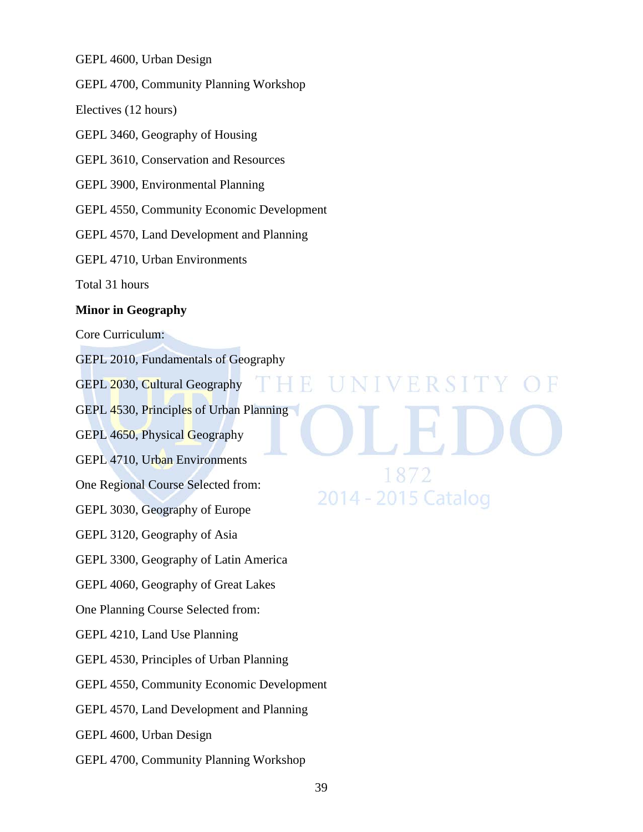GEPL 4600, Urban Design

GEPL 4700, Community Planning Workshop

Electives (12 hours)

GEPL 3460, Geography of Housing

GEPL 3610, Conservation and Resources

GEPL 3900, Environmental Planning

GEPL 4550, Community Economic Development

GEPL 4570, Land Development and Planning

GEPL 4710, Urban Environments

Total 31 hours

#### **Minor in Geography**

Core Curriculum:

GEPL 2010, Fundamentals of Geography

GEPL 2030, Cultural Geography

GEPL 4530, Principles of Urban Planning

GEPL 4650, Physical Geography

GEPL 4710, Urban Environments

One Regional Course Selected from:

GEPL 3030, Geography of Europe

GEPL 3120, Geography of Asia

GEPL 3300, Geography of Latin America

GEPL 4060, Geography of Great Lakes

One Planning Course Selected from:

GEPL 4210, Land Use Planning

GEPL 4530, Principles of Urban Planning

GEPL 4550, Community Economic Development

GEPL 4570, Land Development and Planning

GEPL 4600, Urban Design

GEPL 4700, Community Planning Workshop

VERSIT R. 1872 2014 - 2015 Catalog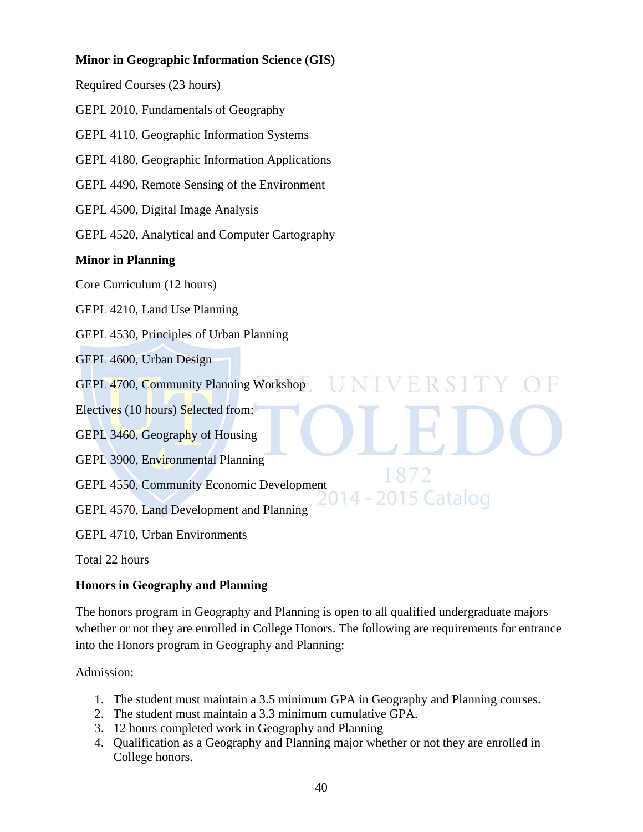### **Minor in Geographic Information Science (GIS)**

Required Courses (23 hours)

GEPL 2010, Fundamentals of Geography

GEPL 4110, Geographic Information Systems

GEPL 4180, Geographic Information Applications

GEPL 4490, Remote Sensing of the Environment

GEPL 4500, Digital Image Analysis

GEPL 4520, Analytical and Computer Cartography

### **Minor in Planning**

Core Curriculum (12 hours)

GEPL 4210, Land Use Planning

GEPL 4530, Principles of Urban Planning

GEPL 4600, Urban Design

GEPL 4700, Community Planning Workshop

Electives (10 hours) Selected from:

GEPL 3460, Geography of Housing

GEPL 3900, Environmental Planning

GEPL 4550, Community Economic Development

GEPL 4570, Land Development and Planning

GEPL 4710, Urban Environments

Total 22 hours

### **Honors in Geography and Planning**

The honors program in Geography and Planning is open to all qualified undergraduate majors whether or not they are enrolled in College Honors. The following are requirements for entrance into the Honors program in Geography and Planning:

VERSIT

2015 Catalog

 $187$ 

14 -

Admission:

- 1. The student must maintain a 3.5 minimum GPA in Geography and Planning courses.
- 2. The student must maintain a 3.3 minimum cumulative GPA.
- 3. 12 hours completed work in Geography and Planning
- 4. Qualification as a Geography and Planning major whether or not they are enrolled in College honors.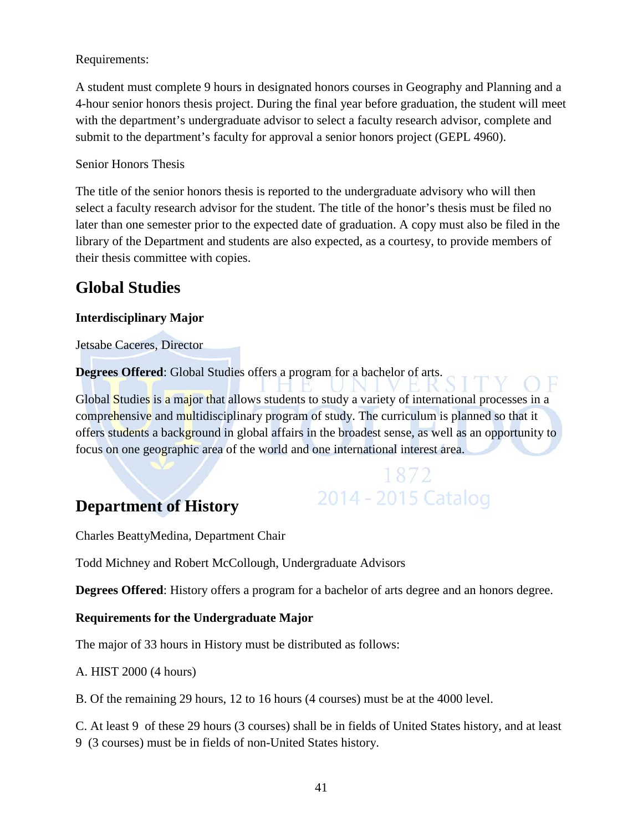### Requirements:

A student must complete 9 hours in designated honors courses in Geography and Planning and a 4-hour senior honors thesis project. During the final year before graduation, the student will meet with the department's undergraduate advisor to select a faculty research advisor, complete and submit to the department's faculty for approval a senior honors project (GEPL 4960).

### Senior Honors Thesis

The title of the senior honors thesis is reported to the undergraduate advisory who will then select a faculty research advisor for the student. The title of the honor's thesis must be filed no later than one semester prior to the expected date of graduation. A copy must also be filed in the library of the Department and students are also expected, as a courtesy, to provide members of their thesis committee with copies.

### **Global Studies**

### **Interdisciplinary Major**

Jetsabe Caceres, Director

**Degrees Offered**: Global Studies offers a program for a bachelor of arts.

Global Studies is a major that allows students to study a variety of international processes in a comprehensive and multidisciplinary program of study. The curriculum is planned so that it offers students a background in global affairs in the broadest sense, as well as an opportunity to focus on one geographic area of the world and one international interest area.

> 1872 2014 - 2015 Catalog

### **Department of History**

Charles BeattyMedina, Department Chair

Todd Michney and Robert McCollough, Undergraduate Advisors

**Degrees Offered:** History offers a program for a bachelor of arts degree and an honors degree.

### **Requirements for the Undergraduate Major**

The major of 33 hours in History must be distributed as follows:

A. HIST 2000 (4 hours)

B. Of the remaining 29 hours, 12 to 16 hours (4 courses) must be at the 4000 level.

C. At least 9 of these 29 hours (3 courses) shall be in fields of United States history, and at least

9 (3 courses) must be in fields of non-United States history.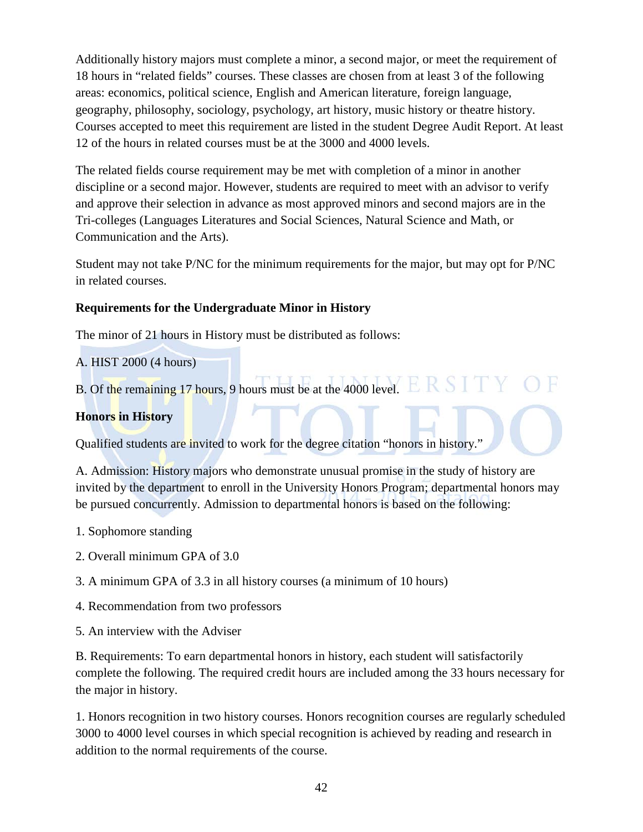Additionally history majors must complete a minor, a second major, or meet the requirement of 18 hours in "related fields" courses. These classes are chosen from at least 3 of the following areas: economics, political science, English and American literature, foreign language, geography, philosophy, sociology, psychology, art history, music history or theatre history. Courses accepted to meet this requirement are listed in the student Degree Audit Report. At least 12 of the hours in related courses must be at the 3000 and 4000 levels.

The related fields course requirement may be met with completion of a minor in another discipline or a second major. However, students are required to meet with an advisor to verify and approve their selection in advance as most approved minors and second majors are in the Tri-colleges (Languages Literatures and Social Sciences, Natural Science and Math, or Communication and the Arts).

Student may not take P/NC for the minimum requirements for the major, but may opt for P/NC in related courses.

### **Requirements for the Undergraduate Minor in History**

The minor of 21 hours in History must be distributed as follows:

A. HIST 2000 (4 hours)

B. Of the remaining 17 hours, 9 hours must be at the 4000 level. ERSIT

### **Honors in History**

Qualified students are invited to work for the degree citation "honors in history."

A. Admission: History majors who demonstrate unusual promise in the study of history are invited by the department to enroll in the University Honors Program; departmental honors may be pursued concurrently. Admission to departmental honors is based on the following:

- 1. Sophomore standing
- 2. Overall minimum GPA of 3.0
- 3. A minimum GPA of 3.3 in all history courses (a minimum of 10 hours)
- 4. Recommendation from two professors
- 5. An interview with the Adviser

B. Requirements: To earn departmental honors in history, each student will satisfactorily complete the following. The required credit hours are included among the 33 hours necessary for the major in history.

1. Honors recognition in two history courses. Honors recognition courses are regularly scheduled 3000 to 4000 level courses in which special recognition is achieved by reading and research in addition to the normal requirements of the course.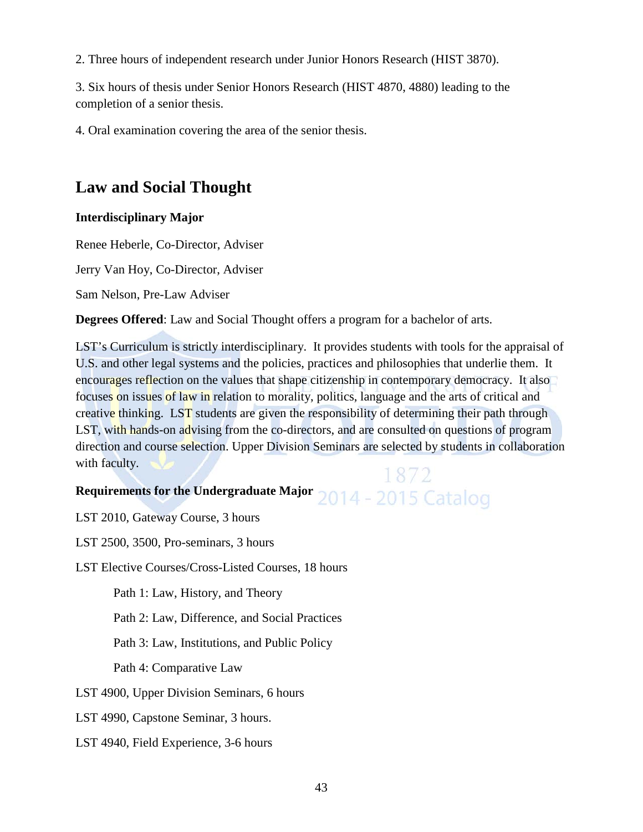2. Three hours of independent research under Junior Honors Research (HIST 3870).

3. Six hours of thesis under Senior Honors Research (HIST 4870, 4880) leading to the completion of a senior thesis.

4. Oral examination covering the area of the senior thesis.

### **Law and Social Thought**

### **Interdisciplinary Major**

Renee Heberle, Co-Director, Adviser

Jerry Van Hoy, Co-Director, Adviser

Sam Nelson, Pre-Law Adviser

**Degrees Offered**: Law and Social Thought offers a program for a bachelor of arts.

LST's Curriculum is strictly interdisciplinary. It provides students with tools for the appraisal of U.S. and other legal systems and the policies, practices and philosophies that underlie them. It encourages reflection on the values that shape citizenship in contemporary democracy. It also focuses on issues of law in relation to morality, politics, language and the arts of critical and creative thinking. LST students are given the responsibility of determining their path through LST, with hands-on advising from the co-directors, and are consulted on questions of program direction and course selection. Upper Division Seminars are selected by students in collaboration with faculty.

## Requirements for the Undergraduate Major 2014 - 2015 Catalog

LST 2010, Gateway Course, 3 hours

LST 2500, 3500, Pro-seminars, 3 hours

LST Elective Courses/Cross-Listed Courses, 18 hours

Path 1: Law, History, and Theory

Path 2: Law, Difference, and Social Practices

Path 3: Law, Institutions, and Public Policy

Path 4: Comparative Law

- LST 4900, Upper Division Seminars, 6 hours
- LST 4990, Capstone Seminar, 3 hours.
- LST 4940, Field Experience, 3-6 hours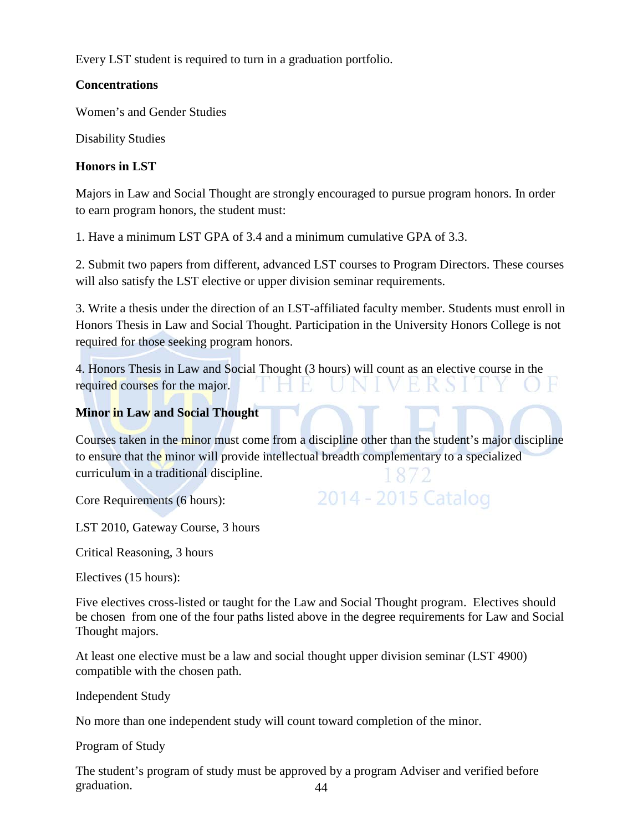Every LST student is required to turn in a graduation portfolio.

### **Concentrations**

Women's and Gender Studies

Disability Studies

### **Honors in LST**

Majors in Law and Social Thought are strongly encouraged to pursue program honors. In order to earn program honors, the student must:

1. Have a minimum LST GPA of 3.4 and a minimum cumulative GPA of 3.3.

2. Submit two papers from different, advanced LST courses to Program Directors. These courses will also satisfy the LST elective or upper division seminar requirements.

3. Write a thesis under the direction of an LST-affiliated faculty member. Students must enroll in Honors Thesis in Law and Social Thought. Participation in the University Honors College is not required for those seeking program honors.

4. Honors Thesis in Law and Social Thought (3 hours) will count as an elective course in the required courses for the major. K H.

### **Minor in Law and Social Thought**

Courses taken in the minor must come from a discipline other than the student's major discipline to ensure that the minor will provide intellectual breadth complementary to a specialized curriculum in a traditional discipline.

Core Requirements (6 hours):

```
2014 - 2015 Catalog
```
LST 2010, Gateway Course, 3 hours

Critical Reasoning, 3 hours

Electives (15 hours):

Five electives cross-listed or taught for the Law and Social Thought program. Electives should be chosen from one of the four paths listed above in the degree requirements for Law and Social Thought majors.

At least one elective must be a law and social thought upper division seminar (LST 4900) compatible with the chosen path.

Independent Study

No more than one independent study will count toward completion of the minor.

Program of Study

44 The student's program of study must be approved by a program Adviser and verified before graduation.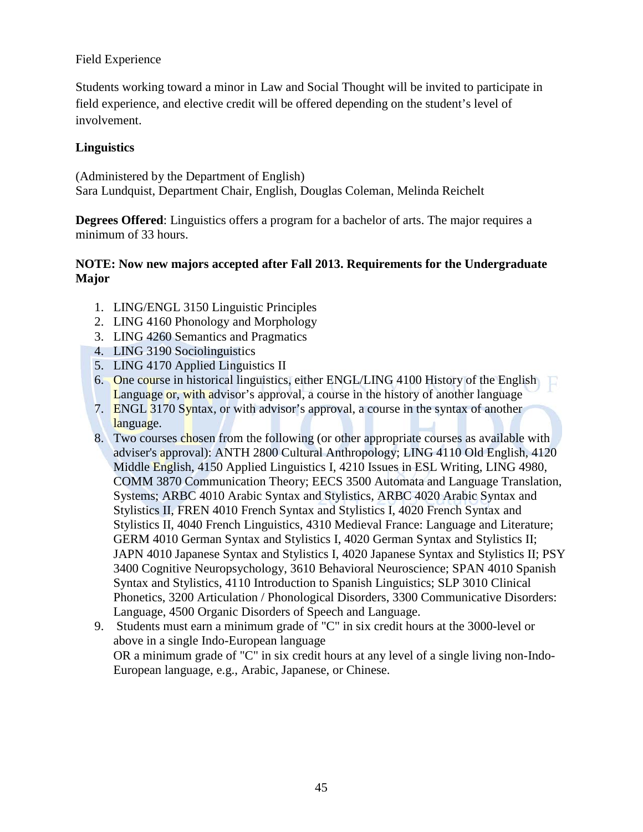### Field Experience

Students working toward a minor in Law and Social Thought will be invited to participate in field experience, and elective credit will be offered depending on the student's level of involvement.

### **Linguistics**

(Administered by the Department of English) Sara Lundquist, Department Chair, English, Douglas Coleman, Melinda Reichelt

**Degrees Offered**: Linguistics offers a program for a bachelor of arts. The major requires a minimum of 33 hours.

### **NOTE: Now new majors accepted after Fall 2013. Requirements for the Undergraduate Major**

- 1. LING/ENGL 3150 Linguistic Principles
- 2. LING 4160 Phonology and Morphology
- 3. LING 4260 Semantics and Pragmatics
- 4. LING 3190 Sociolinguistics
- 5. LING 4170 Applied Linguistics II
- 6. One course in historical linguistics, either ENGL/LING 4100 History of the English Language or, with advisor's approval, a course in the history of another language
- 7. ENGL 3170 Syntax, or with advisor's approval, a course in the syntax of another language.
- 8. Two courses chosen from the following (or other appropriate courses as available with adviser's approval): ANTH 2800 Cultural Anthropology; LING 4110 Old English, 4120 Middle English, 4150 Applied Linguistics I, 4210 Issues in ESL Writing, LING 4980, COMM 3870 Communication Theory; EECS 3500 Automata and Language Translation, Systems; ARBC 4010 Arabic Syntax and Stylistics, ARBC 4020 Arabic Syntax and Stylistics II, FREN 4010 French Syntax and Stylistics I, 4020 French Syntax and Stylistics II, 4040 French Linguistics, 4310 Medieval France: Language and Literature; GERM 4010 German Syntax and Stylistics I, 4020 German Syntax and Stylistics II; JAPN 4010 Japanese Syntax and Stylistics I, 4020 Japanese Syntax and Stylistics II; PSY 3400 Cognitive Neuropsychology, 3610 Behavioral Neuroscience; SPAN 4010 Spanish Syntax and Stylistics, 4110 Introduction to Spanish Linguistics; SLP 3010 Clinical Phonetics, 3200 Articulation / Phonological Disorders, 3300 Communicative Disorders: Language, 4500 Organic Disorders of Speech and Language.
- 9. Students must earn a minimum grade of "C" in six credit hours at the 3000-level or above in a single Indo-European language OR a minimum grade of "C" in six credit hours at any level of a single living non-Indo-European language, e.g., Arabic, Japanese, or Chinese.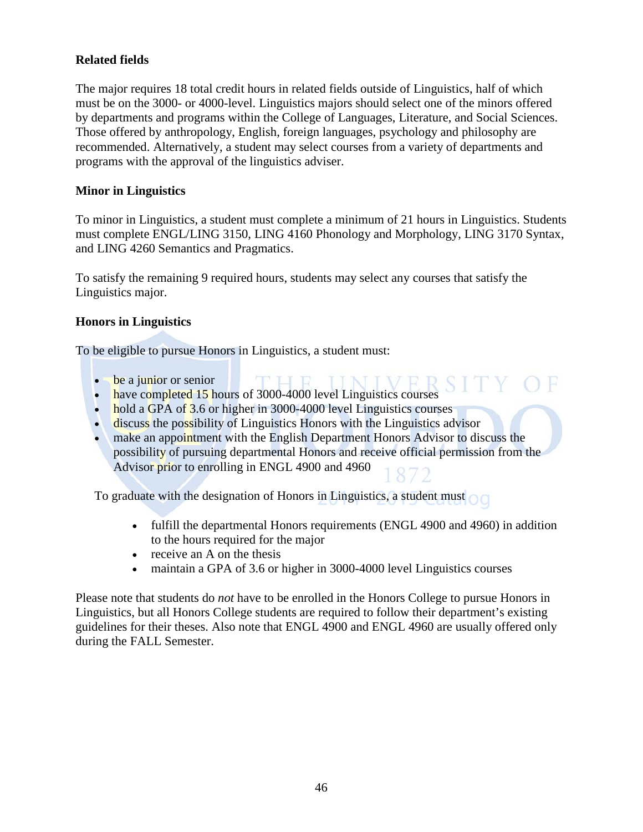### **Related fields**

The major requires 18 total credit hours in related fields outside of Linguistics, half of which must be on the 3000- or 4000-level. Linguistics majors should select one of the minors offered by departments and programs within the College of Languages, Literature, and Social Sciences. Those offered by anthropology, English, foreign languages, psychology and philosophy are recommended. Alternatively, a student may select courses from a variety of departments and programs with the approval of the linguistics adviser.

### **Minor in Linguistics**

To minor in Linguistics, a student must complete a minimum of 21 hours in Linguistics. Students must complete ENGL/LING 3150, LING 4160 Phonology and Morphology, LING 3170 Syntax, and LING 4260 Semantics and Pragmatics.

To satisfy the remaining 9 required hours, students may select any courses that satisfy the Linguistics major.

### **Honors in Linguistics**

To be eligible to pursue Honors in Linguistics, a student must:

- be a junior or senior
- have completed 15 hours of 3000-4000 level Linguistics courses
- hold a GPA of 3.6 or higher in 3000-4000 level Linguistics courses
- discuss the possibility of Linguistics Honors with the Linguistics advisor
- make an appointment with the English Department Honors Advisor to discuss the possibility of pursuing departmental Honors and receive official permission from the Advisor prior to enrolling in ENGL 4900 and 4960

To graduate with the designation of Honors in Linguistics, a student must

- fulfill the departmental Honors requirements (ENGL 4900 and 4960) in addition to the hours required for the major
- receive an A on the thesis
- maintain a GPA of 3.6 or higher in 3000-4000 level Linguistics courses

Please note that students do *not* have to be enrolled in the Honors College to pursue Honors in Linguistics, but all Honors College students are required to follow their department's existing guidelines for their theses. Also note that ENGL 4900 and ENGL 4960 are usually offered only during the FALL Semester.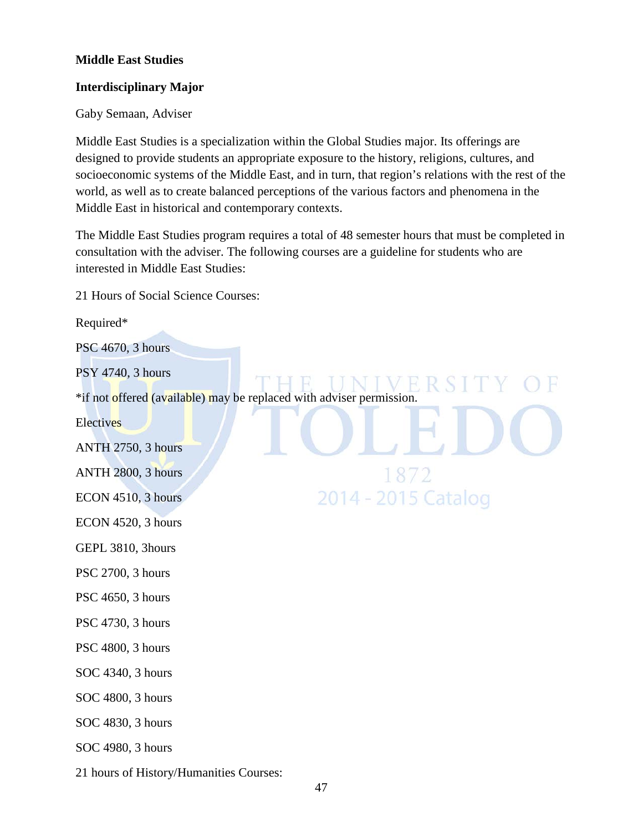### **Middle East Studies**

#### **Interdisciplinary Major**

#### Gaby Semaan, Adviser

Middle East Studies is a specialization within the Global Studies major. Its offerings are designed to provide students an appropriate exposure to the history, religions, cultures, and socioeconomic systems of the Middle East, and in turn, that region's relations with the rest of the world, as well as to create balanced perceptions of the various factors and phenomena in the Middle East in historical and contemporary contexts.

The Middle East Studies program requires a total of 48 semester hours that must be completed in consultation with the adviser. The following courses are a guideline for students who are interested in Middle East Studies:

21 Hours of Social Science Courses:

## Required\* PSC 4670, 3 hours PSY 4740, 3 hours \*if not offered (available) may be replaced with adviser permission. **Electives** ANTH 2750, 3 hours ANTH 2800, 3 hours 187 2014 - 2015 Catalog ECON 4510, 3 hours ECON 4520, 3 hours GEPL 3810, 3hours PSC 2700, 3 hours PSC 4650, 3 hours PSC 4730, 3 hours PSC 4800, 3 hours SOC 4340, 3 hours SOC 4800, 3 hours SOC 4830, 3 hours SOC 4980, 3 hours

21 hours of History/Humanities Courses: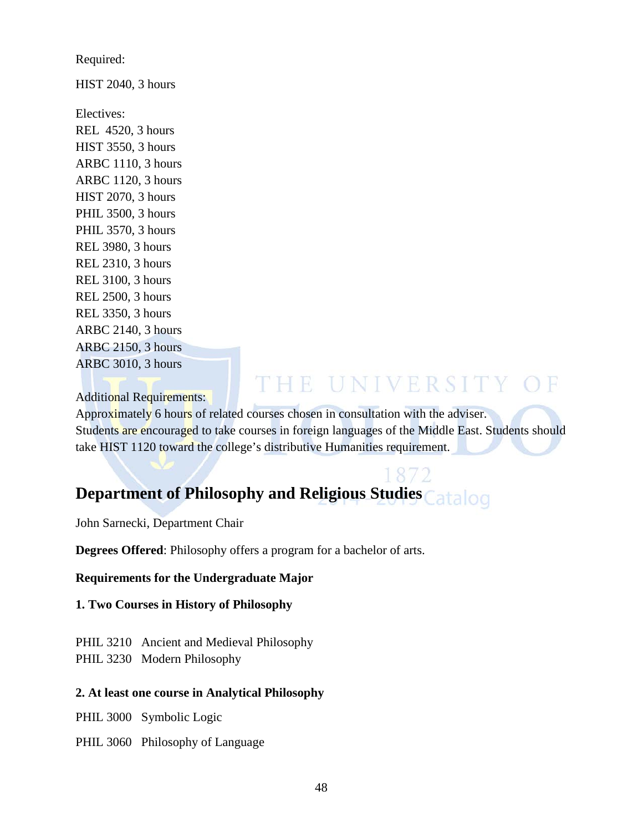Required:

HIST 2040, 3 hours

Electives: REL 4520, 3 hours HIST 3550, 3 hours ARBC 1110, 3 hours ARBC 1120, 3 hours HIST 2070, 3 hours PHIL 3500, 3 hours PHIL 3570, 3 hours REL 3980, 3 hours REL 2310, 3 hours REL 3100, 3 hours REL 2500, 3 hours REL 3350, 3 hours ARBC 2140, 3 hours ARBC 2150, 3 hours ARBC 3010, 3 hours

## THE UNIVERSITY OF

Additional Requirements:

Approximately 6 hours of related courses chosen in consultation with the adviser. Students are encouraged to take courses in foreign languages of the Middle East. Students should take HIST 1120 toward the college's distributive Humanities requirement.

# **Department of Philosophy and Religious Studies**

John Sarnecki, Department Chair

**Degrees Offered**: Philosophy offers a program for a bachelor of arts.

### **Requirements for the Undergraduate Major**

### **1. Two Courses in History of Philosophy**

PHIL 3210 Ancient and Medieval Philosophy PHIL 3230 Modern Philosophy

### **2. At least one course in Analytical Philosophy**

PHIL 3000 Symbolic Logic

PHIL 3060 Philosophy of Language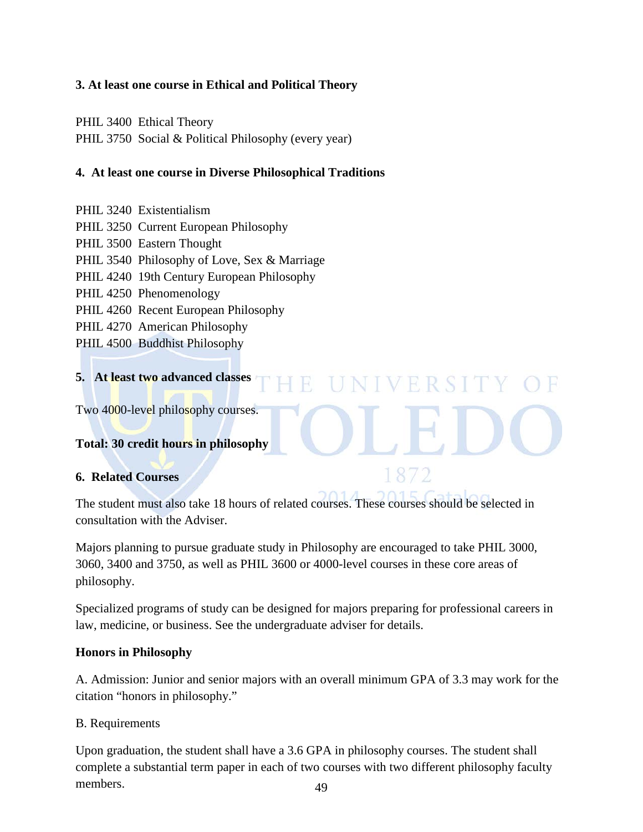### **3. At least one course in Ethical and Political Theory**

PHIL 3400 Ethical Theory

PHIL 3750 Social & Political Philosophy (every year)

### **4. At least one course in Diverse Philosophical Traditions**

- PHIL 3240 Existentialism
- PHIL 3250 Current European Philosophy
- PHIL 3500 Eastern Thought
- PHIL 3540 Philosophy of Love, Sex & Marriage
- PHIL 4240 19th Century European Philosophy
- PHIL 4250 Phenomenology
- PHIL 4260 Recent European Philosophy
- PHIL 4270 American Philosophy
- PHIL 4500 Buddhist Philosophy

#### **5. At least two advanced classes**  NIVERSIT

Two 4000-level philosophy courses.

### **Total: 30 credit hours in philosophy**

### **6. Related Courses**

The student must also take 18 hours of related courses. These courses should be selected in consultation with the Adviser.

Majors planning to pursue graduate study in Philosophy are encouraged to take PHIL 3000, 3060, 3400 and 3750, as well as PHIL 3600 or 4000-level courses in these core areas of philosophy.

Specialized programs of study can be designed for majors preparing for professional careers in law, medicine, or business. See the undergraduate adviser for details.

### **Honors in Philosophy**

A. Admission: Junior and senior majors with an overall minimum GPA of 3.3 may work for the citation "honors in philosophy."

### B. Requirements

49 Upon graduation, the student shall have a 3.6 GPA in philosophy courses. The student shall complete a substantial term paper in each of two courses with two different philosophy faculty members.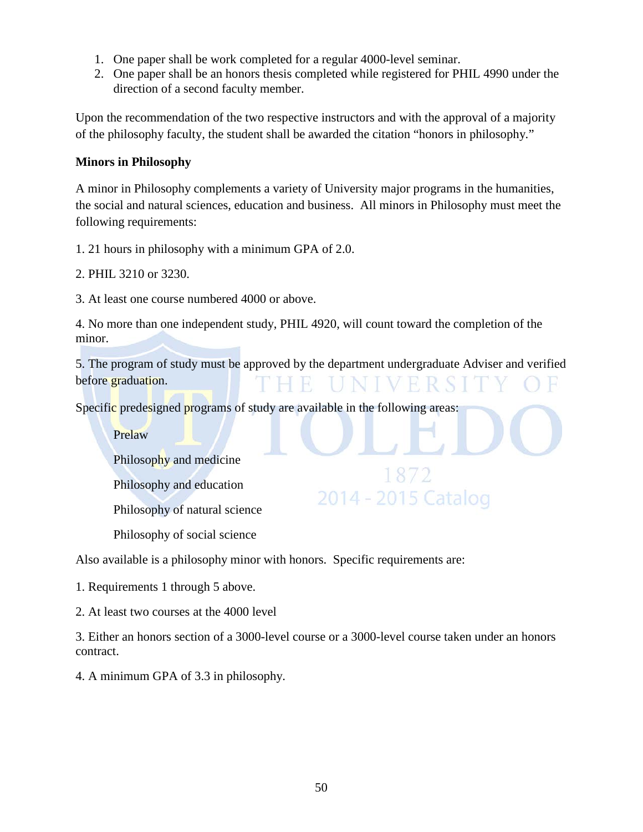- 1. One paper shall be work completed for a regular 4000-level seminar.
- 2. One paper shall be an honors thesis completed while registered for PHIL 4990 under the direction of a second faculty member.

Upon the recommendation of the two respective instructors and with the approval of a majority of the philosophy faculty, the student shall be awarded the citation "honors in philosophy."

### **Minors in Philosophy**

A minor in Philosophy complements a variety of University major programs in the humanities, the social and natural sciences, education and business. All minors in Philosophy must meet the following requirements:

1. 21 hours in philosophy with a minimum GPA of 2.0.

2. PHIL 3210 or 3230.

3. At least one course numbered 4000 or above.

4. No more than one independent study, PHIL 4920, will count toward the completion of the minor.

5. The program of study must be approved by the department undergraduate Adviser and verified before graduation.

18

2014 - 2015 Catalog

Specific predesigned programs of study are available in the following areas:

Prelaw

Philosophy and medicine

Philosophy and education

Philosophy of natural science

Philosophy of social science

Also available is a philosophy minor with honors. Specific requirements are:

1. Requirements 1 through 5 above.

2. At least two courses at the 4000 level

3. Either an honors section of a 3000-level course or a 3000-level course taken under an honors contract.

4. A minimum GPA of 3.3 in philosophy.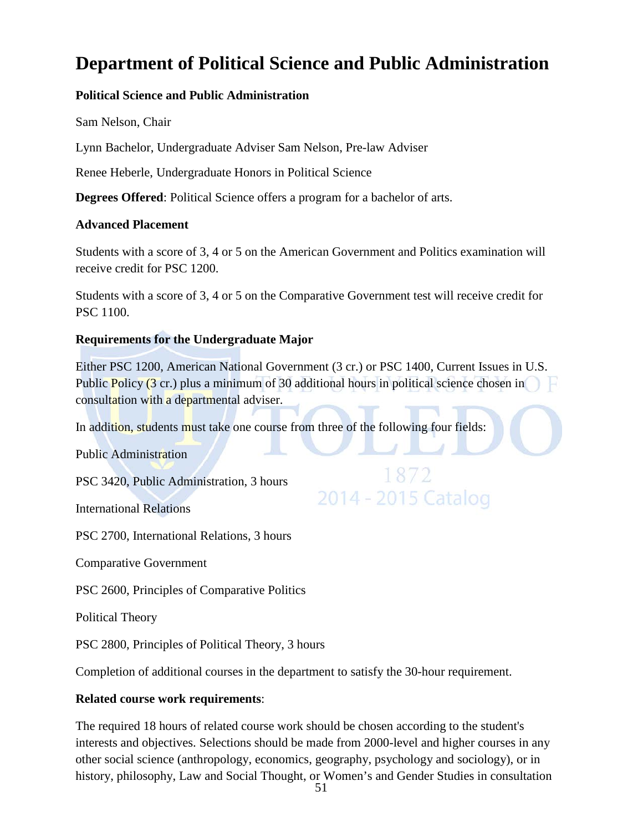## **Department of Political Science and Public Administration**

### **Political Science and Public Administration**

Sam Nelson, Chair

Lynn Bachelor, Undergraduate Adviser Sam Nelson, Pre-law Adviser

Renee Heberle, Undergraduate Honors in Political Science

**Degrees Offered**: Political Science offers a program for a bachelor of arts.

### **Advanced Placement**

Students with a score of 3, 4 or 5 on the American Government and Politics examination will receive credit for PSC 1200.

Students with a score of 3, 4 or 5 on the Comparative Government test will receive credit for PSC 1100.

### **Requirements for the Undergraduate Major**

Either PSC 1200, American National Government (3 cr.) or PSC 1400, Current Issues in U.S. Public Policy (3 cr.) plus a minimum of 30 additional hours in political science chosen in consultation with a departmental adviser.

1872

2014 - 2015 Catalog

In addition, students must take one course from three of the following four fields:

Public Administration

PSC 3420, Public Administration, 3 hours

International Relations

PSC 2700, International Relations, 3 hours

Comparative Government

PSC 2600, Principles of Comparative Politics

Political Theory

PSC 2800, Principles of Political Theory, 3 hours

Completion of additional courses in the department to satisfy the 30-hour requirement.

### **Related course work requirements**:

The required 18 hours of related course work should be chosen according to the student's interests and objectives. Selections should be made from 2000-level and higher courses in any other social science (anthropology, economics, geography, psychology and sociology), or in history, philosophy, Law and Social Thought, or Women's and Gender Studies in consultation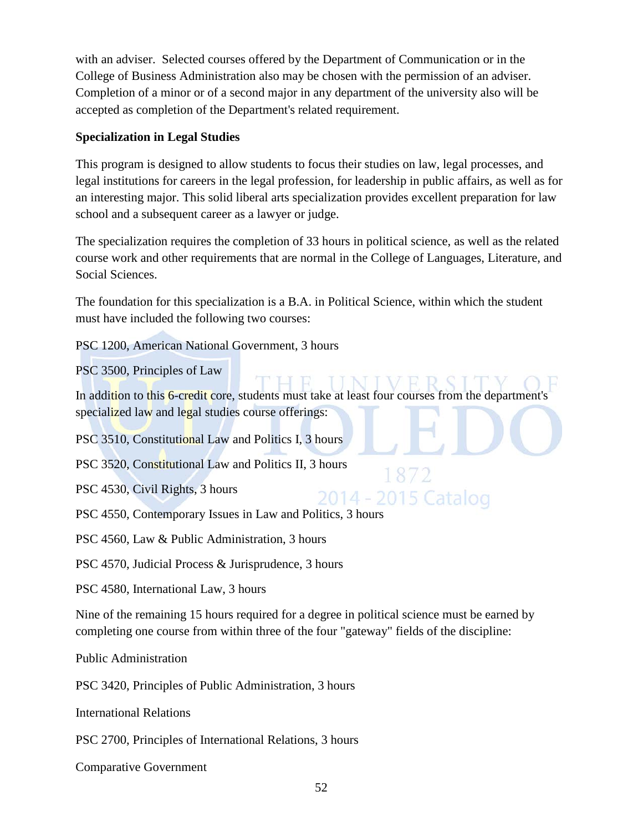with an adviser. Selected courses offered by the Department of Communication or in the College of Business Administration also may be chosen with the permission of an adviser. Completion of a minor or of a second major in any department of the university also will be accepted as completion of the Department's related requirement.

### **Specialization in Legal Studies**

This program is designed to allow students to focus their studies on law, legal processes, and legal institutions for careers in the legal profession, for leadership in public affairs, as well as for an interesting major. This solid liberal arts specialization provides excellent preparation for law school and a subsequent career as a lawyer or judge.

The specialization requires the completion of 33 hours in political science, as well as the related course work and other requirements that are normal in the College of Languages, Literature, and Social Sciences.

The foundation for this specialization is a B.A. in Political Science, within which the student must have included the following two courses:

PSC 1200, American National Government, 3 hours

PSC 3500, Principles of Law

In addition to this 6-credit core, students must take at least four courses from the department's specialized law and legal studies course offerings:

1 8 7

2014 - 2015 Catalog

PSC 3510, Constitutional Law and Politics I, 3 hours

PSC 3520, Constitutional Law and Politics II, 3 hours

PSC 4530, Civil Rights, 3 hours

PSC 4550, Contemporary Issues in Law and Politics, 3 hours

PSC 4560, Law & Public Administration, 3 hours

PSC 4570, Judicial Process & Jurisprudence, 3 hours

PSC 4580, International Law, 3 hours

Nine of the remaining 15 hours required for a degree in political science must be earned by completing one course from within three of the four "gateway" fields of the discipline:

Public Administration

PSC 3420, Principles of Public Administration, 3 hours

International Relations

PSC 2700, Principles of International Relations, 3 hours

Comparative Government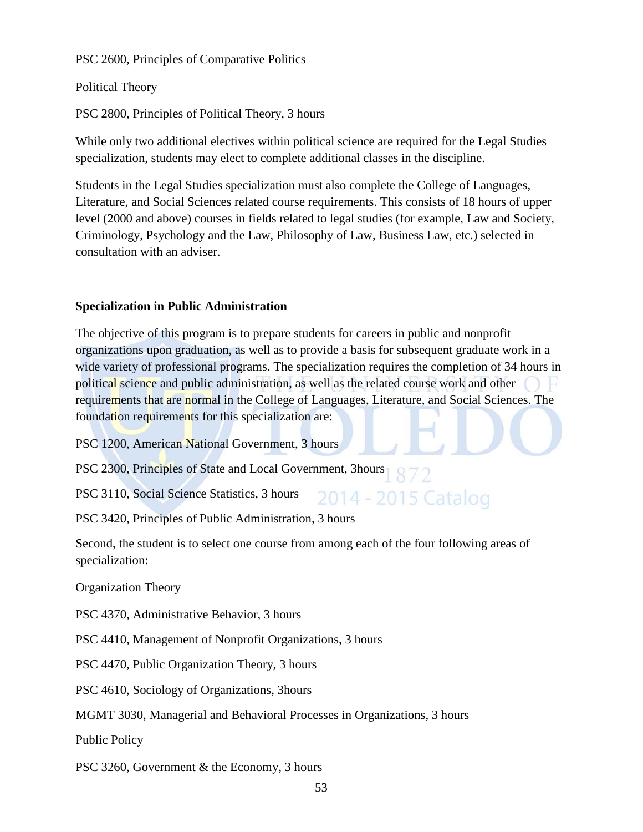PSC 2600, Principles of Comparative Politics

Political Theory

PSC 2800, Principles of Political Theory, 3 hours

While only two additional electives within political science are required for the Legal Studies specialization, students may elect to complete additional classes in the discipline.

Students in the Legal Studies specialization must also complete the College of Languages, Literature, and Social Sciences related course requirements. This consists of 18 hours of upper level (2000 and above) courses in fields related to legal studies (for example, Law and Society, Criminology, Psychology and the Law, Philosophy of Law, Business Law, etc.) selected in consultation with an adviser.

### **Specialization in Public Administration**

The objective of this program is to prepare students for careers in public and nonprofit organizations upon graduation, as well as to provide a basis for subsequent graduate work in a wide variety of professional programs. The specialization requires the completion of 34 hours in political science and public administration, as well as the related course work and other requirements that are normal in the College of Languages, Literature, and Social Sciences. The foundation requirements for this specialization are:

2014 - 2015 Catalog

PSC 1200, American National Government, 3 hours

PSC 2300, Principles of State and Local Government, 3hours

PSC 3110, Social Science Statistics, 3 hours

PSC 3420, Principles of Public Administration, 3 hours

Second, the student is to select one course from among each of the four following areas of specialization:

Organization Theory

PSC 4370, Administrative Behavior, 3 hours

PSC 4410, Management of Nonprofit Organizations, 3 hours

PSC 4470, Public Organization Theory, 3 hours

PSC 4610, Sociology of Organizations, 3hours

MGMT 3030, Managerial and Behavioral Processes in Organizations, 3 hours

Public Policy

PSC 3260, Government & the Economy, 3 hours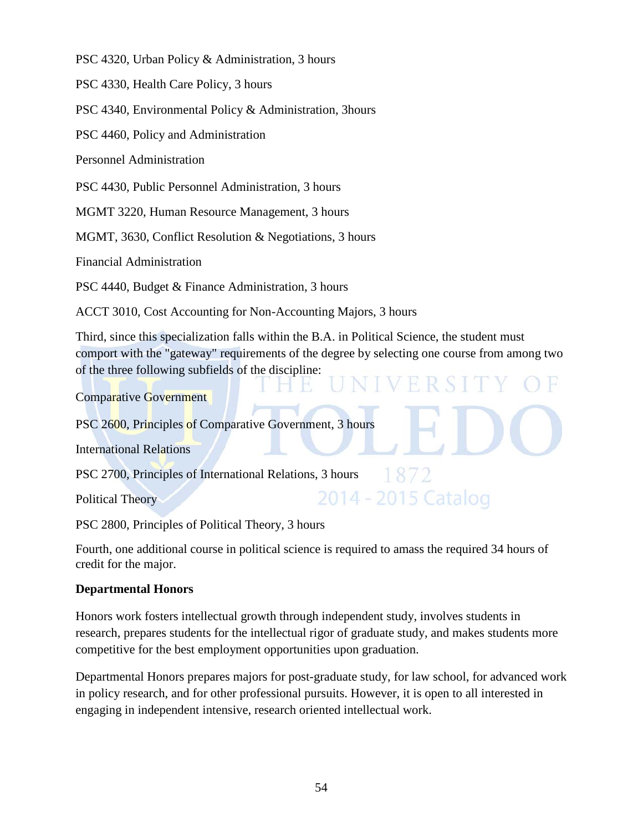PSC 4320, Urban Policy & Administration, 3 hours

PSC 4330, Health Care Policy, 3 hours

PSC 4340, Environmental Policy & Administration, 3hours

PSC 4460, Policy and Administration

Personnel Administration

PSC 4430, Public Personnel Administration, 3 hours

MGMT 3220, Human Resource Management, 3 hours

MGMT, 3630, Conflict Resolution & Negotiations, 3 hours

Financial Administration

PSC 4440, Budget & Finance Administration, 3 hours

ACCT 3010, Cost Accounting for Non-Accounting Majors, 3 hours

Third, since this specialization falls within the B.A. in Political Science, the student must comport with the "gateway" requirements of the degree by selecting one course from among two of the three following subfields of the discipline:

Comparative Government

PSC 2600, Principles of Comparative Government, 3 hours

International Relations

PSC 2700, Principles of International Relations, 3 hours

Political Theory

2014 - 2015 Catalog

PSC 2800, Principles of Political Theory, 3 hours

Fourth, one additional course in political science is required to amass the required 34 hours of credit for the major.

### **Departmental Honors**

Honors work fosters intellectual growth through independent study, involves students in research, prepares students for the intellectual rigor of graduate study, and makes students more competitive for the best employment opportunities upon graduation.

Departmental Honors prepares majors for post-graduate study, for law school, for advanced work in policy research, and for other professional pursuits. However, it is open to all interested in engaging in independent intensive, research oriented intellectual work.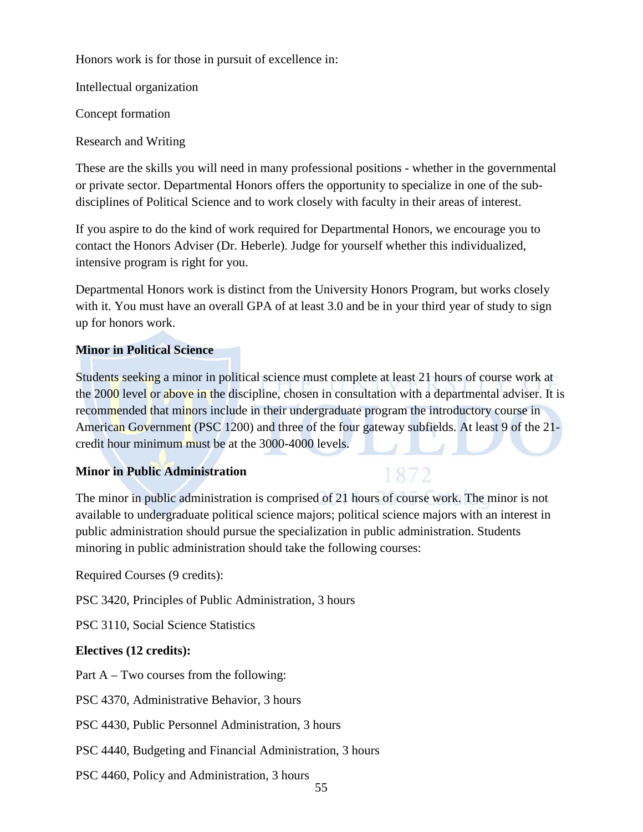Honors work is for those in pursuit of excellence in:

Intellectual organization

Concept formation

Research and Writing

These are the skills you will need in many professional positions - whether in the governmental or private sector. Departmental Honors offers the opportunity to specialize in one of the subdisciplines of Political Science and to work closely with faculty in their areas of interest.

If you aspire to do the kind of work required for Departmental Honors, we encourage you to contact the Honors Adviser (Dr. Heberle). Judge for yourself whether this individualized, intensive program is right for you.

Departmental Honors work is distinct from the University Honors Program, but works closely with it. You must have an overall GPA of at least 3.0 and be in your third year of study to sign up for honors work.

### **Minor in Political Science**

Students seeking a minor in political science must complete at least 21 hours of course work at the 2000 level or above in the discipline, chosen in consultation with a departmental adviser. It is recommended that minors include in their undergraduate program the introductory course in American Government (PSC 1200) and three of the four gateway subfields. At least 9 of the 21credit hour minimum must be at the 3000-4000 levels.

### **Minor in Public Administration**

### 1872

The minor in public administration is comprised of 21 hours of course work. The minor is not available to undergraduate political science majors; political science majors with an interest in public administration should pursue the specialization in public administration. Students minoring in public administration should take the following courses:

Required Courses (9 credits):

PSC 3420, Principles of Public Administration, 3 hours

PSC 3110, Social Science Statistics

### **Electives (12 credits):**

Part A – Two courses from the following:

PSC 4370, Administrative Behavior, 3 hours

PSC 4430, Public Personnel Administration, 3 hours

PSC 4440, Budgeting and Financial Administration, 3 hours

PSC 4460, Policy and Administration, 3 hours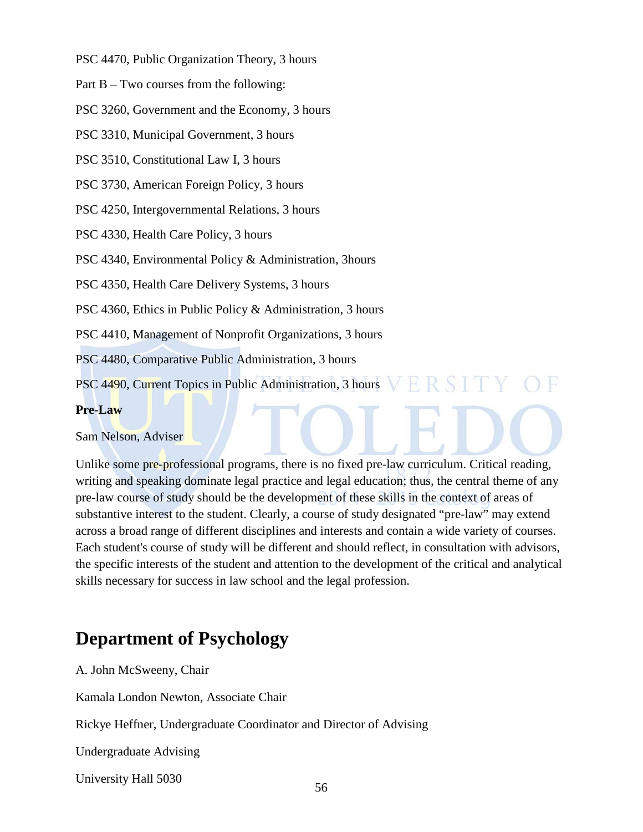PSC 4470, Public Organization Theory, 3 hours

Part B – Two courses from the following:

PSC 3260, Government and the Economy, 3 hours

PSC 3310, Municipal Government, 3 hours

PSC 3510, Constitutional Law I, 3 hours

PSC 3730, American Foreign Policy, 3 hours

PSC 4250, Intergovernmental Relations, 3 hours

PSC 4330, Health Care Policy, 3 hours

PSC 4340, Environmental Policy & Administration, 3hours

PSC 4350, Health Care Delivery Systems, 3 hours

PSC 4360, Ethics in Public Policy & Administration, 3 hours

PSC 4410, Management of Nonprofit Organizations, 3 hours

PSC 4480, Comparative Public Administration, 3 hours

PSC 4490, Current Topics in Public Administration, 3 hours

### **Pre-Law**

Sam Nelson, Adviser

Unlike some pre-professional programs, there is no fixed pre-law curriculum. Critical reading, writing and speaking dominate legal practice and legal education; thus, the central theme of any pre-law course of study should be the development of these skills in the context of areas of substantive interest to the student. Clearly, a course of study designated "pre-law" may extend across a broad range of different disciplines and interests and contain a wide variety of courses. Each student's course of study will be different and should reflect, in consultation with advisors, the specific interests of the student and attention to the development of the critical and analytical skills necessary for success in law school and the legal profession.

## **Department of Psychology**

A. John McSweeny, Chair

Kamala London Newton, Associate Chair

Rickye Heffner, Undergraduate Coordinator and Director of Advising

Undergraduate Advising

University Hall 5030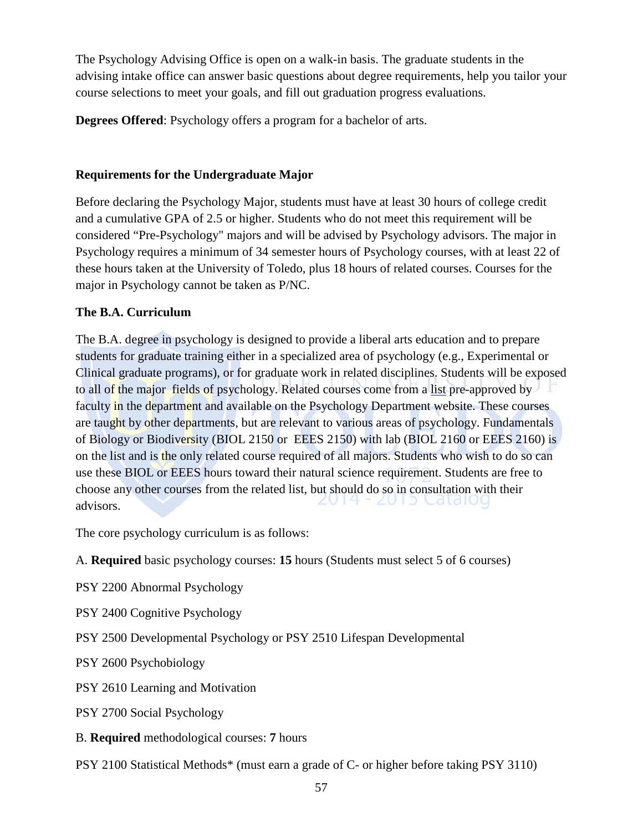The Psychology Advising Office is open on a walk-in basis. The graduate students in the advising intake office can answer basic questions about degree requirements, help you tailor your course selections to meet your goals, and fill out graduation progress evaluations.

**Degrees Offered**: Psychology offers a program for a bachelor of arts.

### **Requirements for the Undergraduate Major**

Before declaring the Psychology Major, students must have at least 30 hours of college credit and a cumulative GPA of 2.5 or higher. Students who do not meet this requirement will be considered "Pre-Psychology" majors and will be advised by Psychology advisors. The major in Psychology requires a minimum of 34 semester hours of Psychology courses, with at least 22 of these hours taken at the University of Toledo, plus 18 hours of related courses. Courses for the major in Psychology cannot be taken as P/NC.

### **The B.A. Curriculum**

The B.A. degree in psychology is designed to provide a liberal arts education and to prepare students for graduate training either in a specialized area of psychology (e.g., Experimental or Clinical graduate programs), or for graduate work in related disciplines. Students will be exposed to all of the major fields of psychology. Related courses come from a list pre-approved by faculty in the department and available on the Psychology Department website. These courses are taught by other departments, but are relevant to various areas of psychology. Fundamentals of Biology or Biodiversity (BIOL 2150 or EEES 2150) with lab (BIOL 2160 or EEES 2160) is on the list and is the only related course required of all majors. Students who wish to do so can use these BIOL or EEES hours toward their natural science requirement. Students are free to choose any other courses from the related list, but should do so in consultation with their advisors.

The core psychology curriculum is as follows:

A. **Required** basic psychology courses: **15** hours (Students must select 5 of 6 courses)

PSY 2200 Abnormal Psychology

PSY 2400 Cognitive Psychology

PSY 2500 Developmental Psychology or PSY 2510 Lifespan Developmental

PSY 2600 Psychobiology

PSY 2610 Learning and Motivation

PSY 2700 Social Psychology

B. **Required** methodological courses: **7** hours

PSY 2100 Statistical Methods\* (must earn a grade of C- or higher before taking PSY 3110)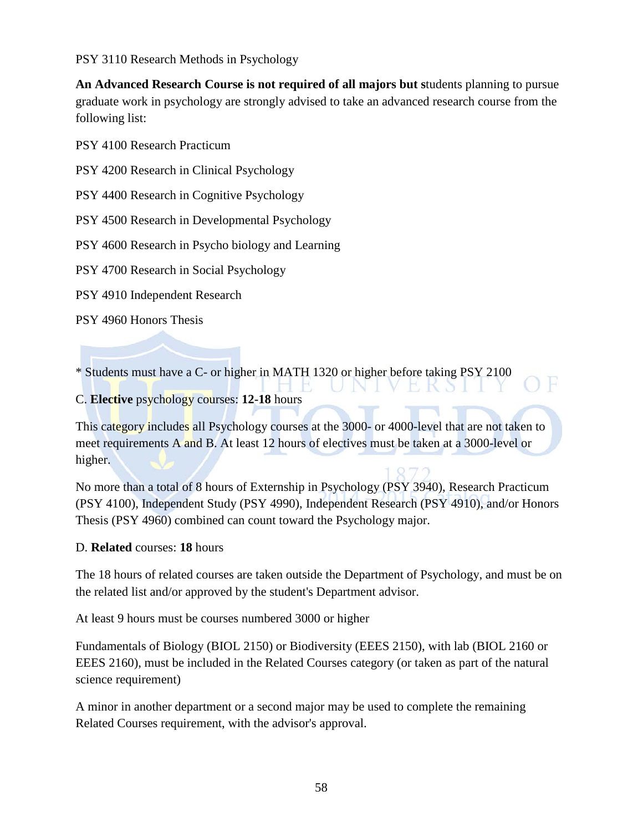PSY 3110 Research Methods in Psychology

**An Advanced Research Course is not required of all majors but s**tudents planning to pursue graduate work in psychology are strongly advised to take an advanced research course from the following list:

PSY 4100 Research Practicum

PSY 4200 Research in Clinical Psychology

PSY 4400 Research in Cognitive Psychology

PSY 4500 Research in Developmental Psychology

PSY 4600 Research in Psycho biology and Learning

PSY 4700 Research in Social Psychology

PSY 4910 Independent Research

PSY 4960 Honors Thesis

\* Students must have a C- or higher in MATH 1320 or higher before taking PSY 2100

### C. **Elective** psychology courses: **12-18** hours

This category includes all Psychology courses at the 3000- or 4000-level that are not taken to meet requirements A and B. At least 12 hours of electives must be taken at a 3000-level or higher.

R

No more than a total of 8 hours of Externship in Psychology (PSY 3940), Research Practicum (PSY 4100), Independent Study (PSY 4990), Independent Research (PSY 4910), and/or Honors Thesis (PSY 4960) combined can count toward the Psychology major.

### D. **Related** courses: **18** hours

The 18 hours of related courses are taken outside the Department of Psychology, and must be on the related list and/or approved by the student's Department advisor.

At least 9 hours must be courses numbered 3000 or higher

Fundamentals of Biology (BIOL 2150) or Biodiversity (EEES 2150), with lab (BIOL 2160 or EEES 2160), must be included in the Related Courses category (or taken as part of the natural science requirement)

A minor in another department or a second major may be used to complete the remaining Related Courses requirement, with the advisor's approval.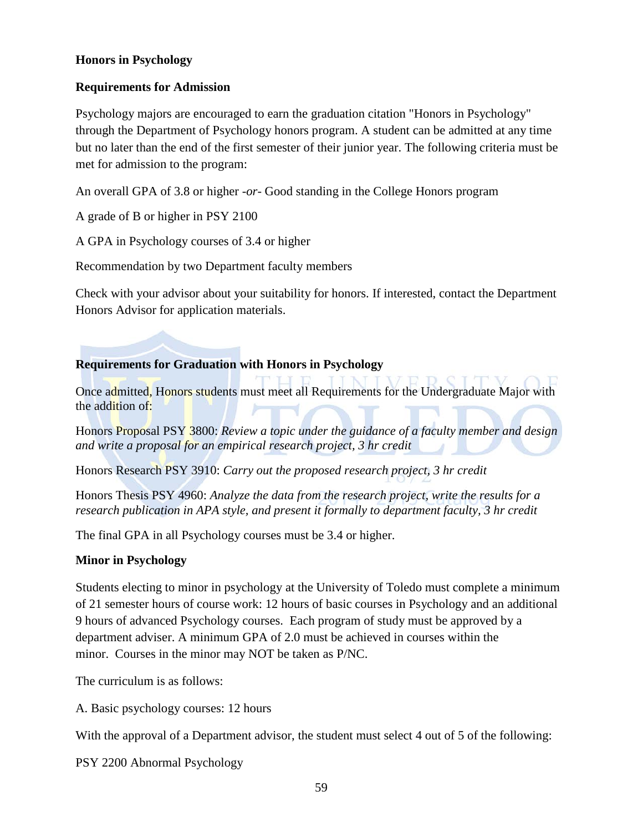### **Honors in Psychology**

### **Requirements for Admission**

Psychology majors are encouraged to earn the graduation citation "Honors in Psychology" through the Department of Psychology honors program. A student can be admitted at any time but no later than the end of the first semester of their junior year. The following criteria must be met for admission to the program:

An overall GPA of 3.8 or higher -*or*- Good standing in the College Honors program

A grade of B or higher in PSY 2100

A GPA in Psychology courses of 3.4 or higher

Recommendation by two Department faculty members

Check with your advisor about your suitability for honors. If interested, contact the Department Honors Advisor for application materials.

### **Requirements for Graduation with Honors in Psychology**

Once admitted, Honors students must meet all Requirements for the Undergraduate Major with the addition of:

Honors Proposal PSY 3800: *Review a topic under the guidance of a faculty member and design and write a proposal for an empirical research project, 3 hr credit*

Honors Research PSY 3910: *Carry out the proposed research project, 3 hr credit*

Honors Thesis PSY 4960: *Analyze the data from the research project, write the results for a research publication in APA style, and present it formally to department faculty, 3 hr credit*

The final GPA in all Psychology courses must be 3.4 or higher.

### **Minor in Psychology**

Students electing to minor in psychology at the University of Toledo must complete a minimum of 21 semester hours of course work: 12 hours of basic courses in Psychology and an additional 9 hours of advanced Psychology courses. Each program of study must be approved by a department adviser. A minimum GPA of 2.0 must be achieved in courses within the minor. Courses in the minor may NOT be taken as P/NC.

The curriculum is as follows:

A. Basic psychology courses: 12 hours

With the approval of a Department advisor, the student must select 4 out of 5 of the following:

PSY 2200 Abnormal Psychology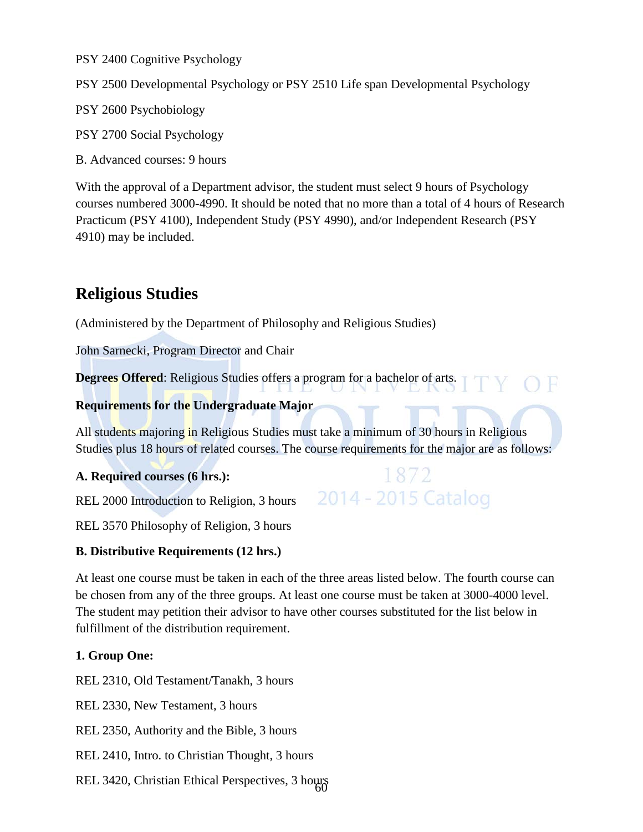PSY 2400 Cognitive Psychology

PSY 2500 Developmental Psychology or PSY 2510 Life span Developmental Psychology

PSY 2600 Psychobiology

PSY 2700 Social Psychology

B. Advanced courses: 9 hours

With the approval of a Department advisor, the student must select 9 hours of Psychology courses numbered 3000-4990. It should be noted that no more than a total of 4 hours of Research Practicum (PSY 4100), Independent Study (PSY 4990), and/or Independent Research (PSY 4910) may be included.

### **Religious Studies**

(Administered by the Department of Philosophy and Religious Studies)

John Sarnecki, Program Director and Chair

**Degrees Offered**: Religious Studies offers a program for a bachelor of arts.

### **Requirements for the Undergraduate Major**

All students majoring in Religious Studies must take a minimum of 30 hours in Religious Studies plus 18 hours of related courses. The course requirements for the major are as follows:

1872

2014 - 2015 Catalog

**A. Required courses (6 hrs.):**

REL 2000 Introduction to Religion, 3 hours

REL 3570 Philosophy of Religion, 3 hours

### **B. Distributive Requirements (12 hrs.)**

At least one course must be taken in each of the three areas listed below. The fourth course can be chosen from any of the three groups. At least one course must be taken at 3000-4000 level. The student may petition their advisor to have other courses substituted for the list below in fulfillment of the distribution requirement.

### **1. Group One:**

REL 2310, Old Testament/Tanakh, 3 hours

REL 2330, New Testament, 3 hours

REL 2350, Authority and the Bible, 3 hours

REL 2410, Intro. to Christian Thought, 3 hours

60 REL 3420, Christian Ethical Perspectives, 3 hours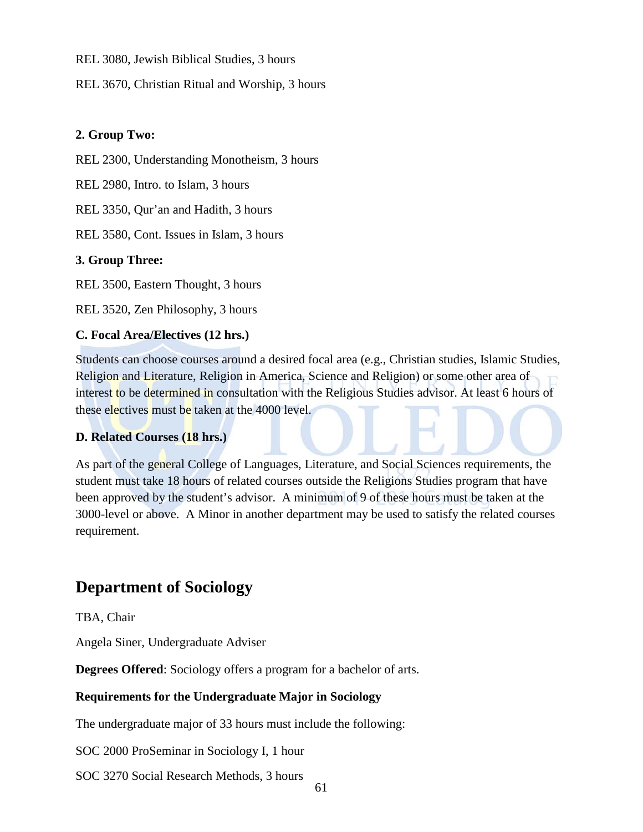REL 3080, Jewish Biblical Studies, 3 hours

REL 3670, Christian Ritual and Worship, 3 hours

### **2. Group Two:**

REL 2300, Understanding Monotheism, 3 hours

REL 2980, Intro. to Islam, 3 hours

REL 3350, Qur'an and Hadith, 3 hours

REL 3580, Cont. Issues in Islam, 3 hours

### **3. Group Three:**

REL 3500, Eastern Thought, 3 hours

REL 3520, Zen Philosophy, 3 hours

### **C. Focal Area/Electives (12 hrs.)**

Students can choose courses around a desired focal area (e.g., Christian studies, Islamic Studies, Religion and Literature, Religion in America, Science and Religion) or some other area of interest to be determined in consultation with the Religious Studies advisor. At least 6 hours of these electives must be taken at the 4000 level.

### **D. Related Courses (18 hrs.)**

As part of the general College of Languages, Literature, and Social Sciences requirements, the student must take 18 hours of related courses outside the Religions Studies program that have been approved by the student's advisor. A minimum of 9 of these hours must be taken at the 3000-level or above. A Minor in another department may be used to satisfy the related courses requirement.

### **Department of Sociology**

TBA, Chair

Angela Siner, Undergraduate Adviser

**Degrees Offered**: Sociology offers a program for a bachelor of arts.

### **Requirements for the Undergraduate Major in Sociology**

The undergraduate major of 33 hours must include the following:

SOC 2000 ProSeminar in Sociology I, 1 hour

SOC 3270 Social Research Methods, 3 hours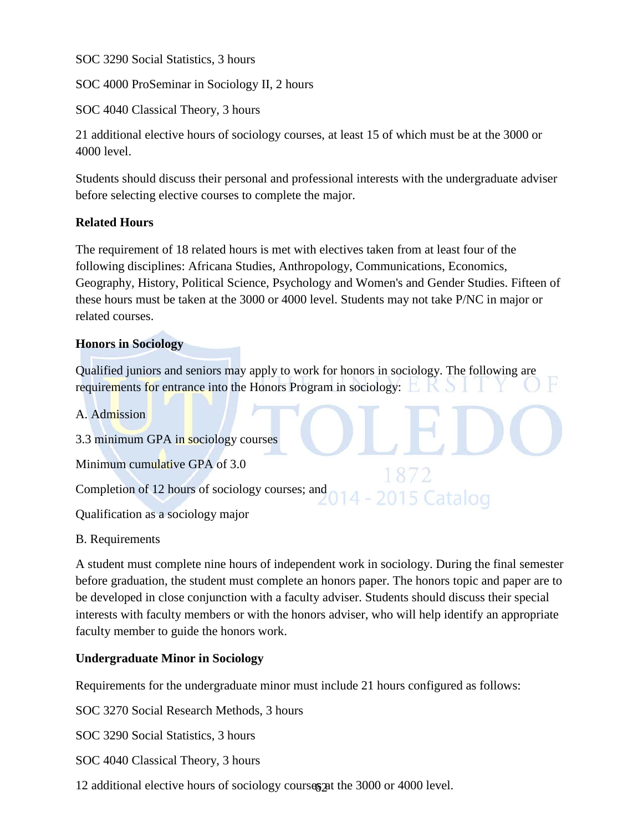SOC 3290 Social Statistics, 3 hours

SOC 4000 ProSeminar in Sociology II, 2 hours

SOC 4040 Classical Theory, 3 hours

21 additional elective hours of sociology courses, at least 15 of which must be at the 3000 or 4000 level.

Students should discuss their personal and professional interests with the undergraduate adviser before selecting elective courses to complete the major.

### **Related Hours**

The requirement of 18 related hours is met with electives taken from at least four of the following disciplines: Africana Studies, Anthropology, Communications, Economics, Geography, History, Political Science, Psychology and Women's and Gender Studies. Fifteen of these hours must be taken at the 3000 or 4000 level. Students may not take P/NC in major or related courses.

### **Honors in Sociology**

Qualified juniors and seniors may apply to work for honors in sociology. The following are requirements for entrance into the Honors Program in sociology:

A. Admission

3.3 minimum GPA in sociology courses

Minimum cumulative GPA of 3.0

Completion of 12 hours of sociology courses; and

Qualification as a sociology major

B. Requirements

A student must complete nine hours of independent work in sociology. During the final semester before graduation, the student must complete an honors paper. The honors topic and paper are to be developed in close conjunction with a faculty adviser. Students should discuss their special interests with faculty members or with the honors adviser, who will help identify an appropriate faculty member to guide the honors work.

2015 Catalog

### **Undergraduate Minor in Sociology**

Requirements for the undergraduate minor must include 21 hours configured as follows:

SOC 3270 Social Research Methods, 3 hours

SOC 3290 Social Statistics, 3 hours

SOC 4040 Classical Theory, 3 hours

12 additional elective hours of sociology courses pat the 3000 or 4000 level.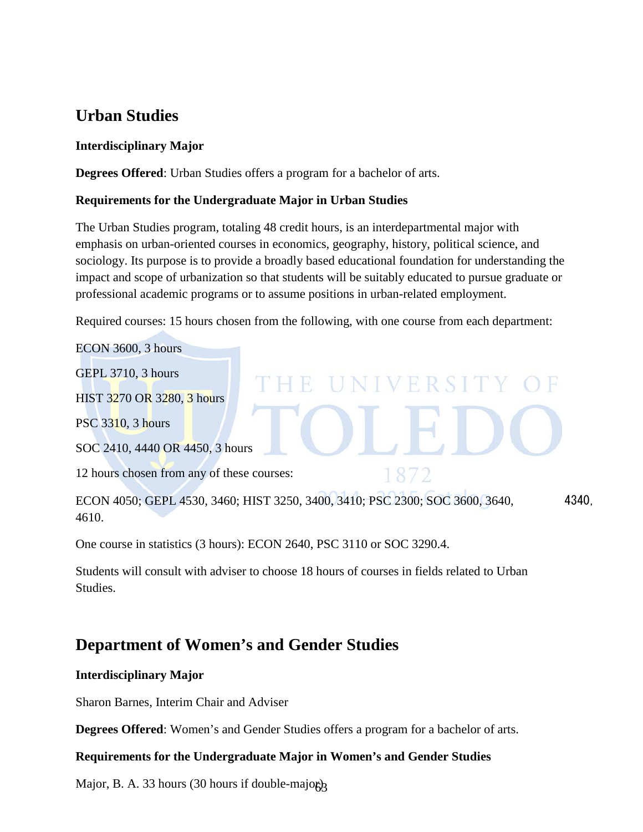### **Urban Studies**

### **Interdisciplinary Major**

**Degrees Offered**: Urban Studies offers a program for a bachelor of arts.

### **Requirements for the Undergraduate Major in Urban Studies**

The Urban Studies program, totaling 48 credit hours, is an interdepartmental major with emphasis on urban-oriented courses in economics, geography, history, political science, and sociology. Its purpose is to provide a broadly based educational foundation for understanding the impact and scope of urbanization so that students will be suitably educated to pursue graduate or professional academic programs or to assume positions in urban-related employment.

Required courses: 15 hours chosen from the following, with one course from each department:

H.

ECON 3600, 3 hours

GEPL 3710, 3 hours

HIST 3270 OR 3280, 3 hours

PSC 3310, 3 hours

SOC 2410, 4440 OR 4450, 3 hours

12 hours chosen from any of these courses:

ECON 4050; GEPL 4530, 3460; HIST 3250, 3400, 3410; PSC 2300; SOC 3600, 3640, 4340, 4610.

UNIVERSIT

1872

One course in statistics (3 hours): ECON 2640, PSC 3110 or SOC 3290.4.

Students will consult with adviser to choose 18 hours of courses in fields related to Urban Studies.

### **Department of Women's and Gender Studies**

### **Interdisciplinary Major**

Sharon Barnes, Interim Chair and Adviser

**Degrees Offered**: Women's and Gender Studies offers a program for a bachelor of arts.

### **Requirements for the Undergraduate Major in Women's and Gender Studies**

Major, B. A. 33 hours (30 hours if double-majog<sub>3</sub>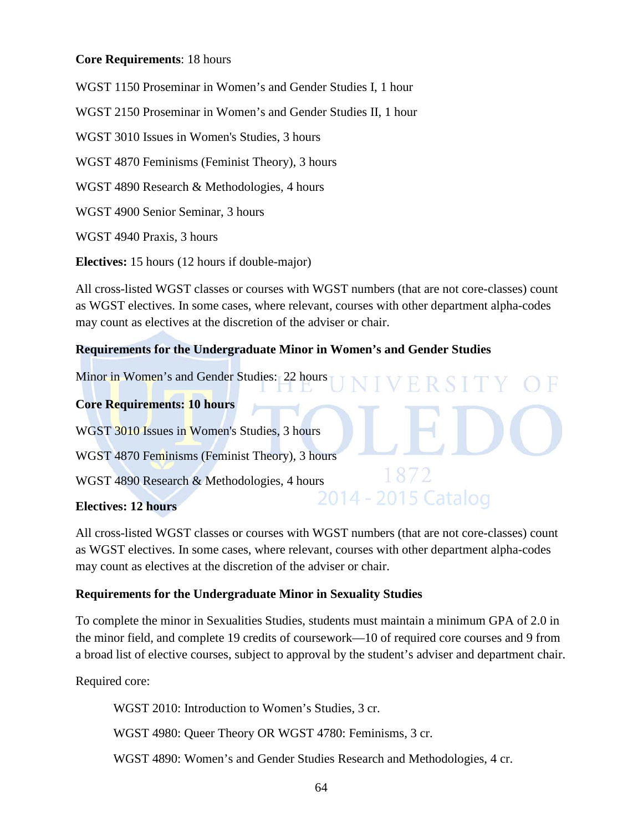### **Core Requirements**: 18 hours

WGST 1150 Proseminar in Women's and Gender Studies I, 1 hour WGST 2150 Proseminar in Women's and Gender Studies II, 1 hour WGST 3010 Issues in Women's Studies, 3 hours WGST 4870 Feminisms (Feminist Theory), 3 hours WGST 4890 Research & Methodologies, 4 hours WGST 4900 Senior Seminar, 3 hours WGST 4940 Praxis, 3 hours

**Electives:** 15 hours (12 hours if double-major)

All cross-listed WGST classes or courses with WGST numbers (that are not core-classes) count as WGST electives. In some cases, where relevant, courses with other department alpha-codes may count as electives at the discretion of the adviser or chair.

### **Requirements for the Undergraduate Minor in Women's and Gender Studies**

Minor in Women's and Gender Studies: 22 hours

### **Core Requirements: 10 hours**

WGST 3010 Issues in Women's Studies, 3 hours WGST 4870 Feminisms (Feminist Theory), 3 hours WGST 4890 Research & Methodologies, 4 hours<br>  $\frac{10}{2014} - \frac{10}{2015}$  Catalog

### **Electives: 12 hours**

All cross-listed WGST classes or courses with WGST numbers (that are not core-classes) count as WGST electives. In some cases, where relevant, courses with other department alpha-codes may count as electives at the discretion of the adviser or chair.

1872

### **Requirements for the Undergraduate Minor in Sexuality Studies**

To complete the minor in Sexualities Studies, students must maintain a minimum GPA of 2.0 in the minor field, and complete 19 credits of coursework—10 of required core courses and 9 from a broad list of elective courses, subject to approval by the student's adviser and department chair.

Required core:

WGST 2010: Introduction to Women's Studies, 3 cr.

WGST 4980: Queer Theory OR WGST 4780: Feminisms, 3 cr.

WGST 4890: Women's and Gender Studies Research and Methodologies, 4 cr.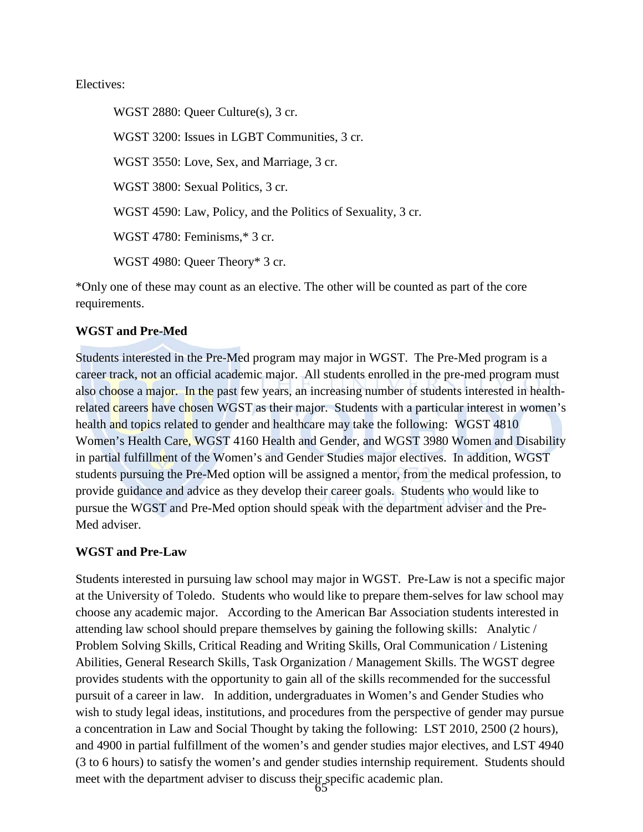### Electives:

WGST 2880: Queer Culture(s), 3 cr. WGST 3200: Issues in LGBT Communities, 3 cr. WGST 3550: Love, Sex, and Marriage, 3 cr. WGST 3800: Sexual Politics, 3 cr. WGST 4590: Law, Policy, and the Politics of Sexuality, 3 cr. WGST 4780: Feminisms,\* 3 cr. WGST 4980: Queer Theory\* 3 cr.

\*Only one of these may count as an elective. The other will be counted as part of the core requirements.

### **WGST and Pre-Med**

Students interested in the Pre-Med program may major in WGST. The Pre-Med program is a career track, not an official academic major. All students enrolled in the pre-med program must also choose a major. In the past few years, an increasing number of students interested in healthrelated careers have chosen WGST as their major. Students with a particular interest in women's health and topics related to gender and healthcare may take the following: WGST 4810 Women's Health Care, WGST 4160 Health and Gender, and WGST 3980 Women and Disability in partial fulfillment of the Women's and Gender Studies major electives. In addition, WGST students pursuing the Pre-Med option will be assigned a mentor, from the medical profession, to provide guidance and advice as they develop their career goals. Students who would like to pursue the WGST and Pre-Med option should speak with the department adviser and the Pre-Med adviser.

### **WGST and Pre-Law**

65 Students interested in pursuing law school may major in WGST. Pre-Law is not a specific major at the University of Toledo. Students who would like to prepare them-selves for law school may choose any academic major. According to the American Bar Association students interested in attending law school should prepare themselves by gaining the following skills: Analytic / Problem Solving Skills, Critical Reading and Writing Skills, Oral Communication / Listening Abilities, General Research Skills, Task Organization / Management Skills. The WGST degree provides students with the opportunity to gain all of the skills recommended for the successful pursuit of a career in law. In addition, undergraduates in Women's and Gender Studies who wish to study legal ideas, institutions, and procedures from the perspective of gender may pursue a concentration in Law and Social Thought by taking the following: LST 2010, 2500 (2 hours), and 4900 in partial fulfillment of the women's and gender studies major electives, and LST 4940 (3 to 6 hours) to satisfy the women's and gender studies internship requirement. Students should meet with the department adviser to discuss their specific academic plan.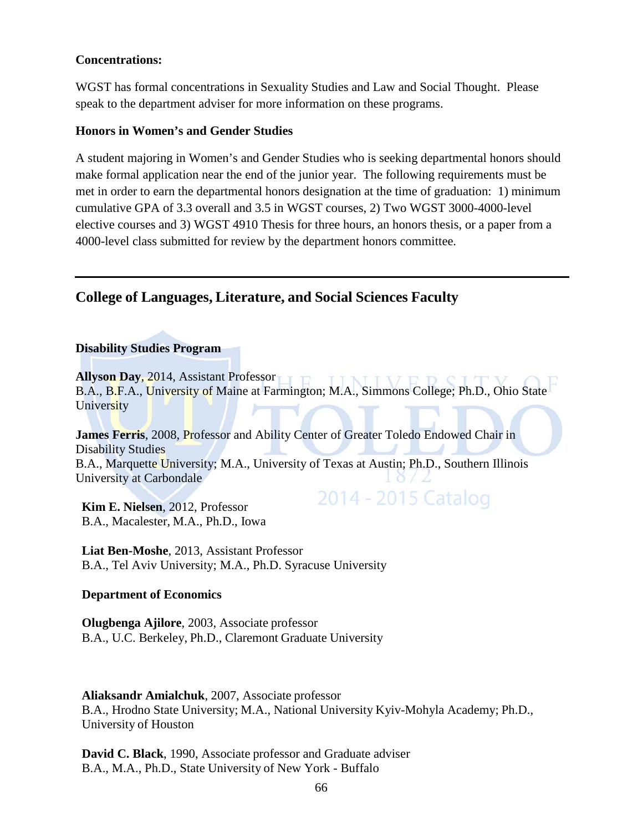### **Concentrations:**

WGST has formal concentrations in Sexuality Studies and Law and Social Thought. Please speak to the department adviser for more information on these programs.

### **Honors in Women's and Gender Studies**

A student majoring in Women's and Gender Studies who is seeking departmental honors should make formal application near the end of the junior year. The following requirements must be met in order to earn the departmental honors designation at the time of graduation: 1) minimum cumulative GPA of 3.3 overall and 3.5 in WGST courses, 2) Two WGST 3000-4000-level elective courses and 3) WGST 4910 Thesis for three hours, an honors thesis, or a paper from a 4000-level class submitted for review by the department honors committee.

### **College of Languages, Literature, and Social Sciences Faculty**

### **Disability Studies Program**

**Allyson Day, 2014, Assistant Professor IIVED CITI** B.A., B.F.A., University of Maine at Farmington; M.A., Simmons College; Ph.D., Ohio State **University** 

**James Ferris**, 2008, Professor and Ability Center of Greater Toledo Endowed Chair in Disability Studies B.A., Marquette University; M.A., University of Texas at Austin; Ph.D., Southern Illinois University at Carbondale

2014 - 2015 Catalog

**Kim E. Nielsen**, 2012, Professor B.A., Macalester, M.A., Ph.D., Iowa

**Liat Ben-Moshe**, 2013, Assistant Professor B.A., Tel Aviv University; M.A., Ph.D. Syracuse University

### **Department of Economics**

**Olugbenga Ajilore**, 2003, Associate professor B.A., U.C. Berkeley, Ph.D., Claremont Graduate University

**Aliaksandr Amialchuk**, 2007, Associate professor B.A., Hrodno State University; M.A., National University Kyiv-Mohyla Academy; Ph.D., University of Houston

**David C. Black**, 1990, Associate professor and Graduate adviser B.A., M.A., Ph.D., State University of New York - Buffalo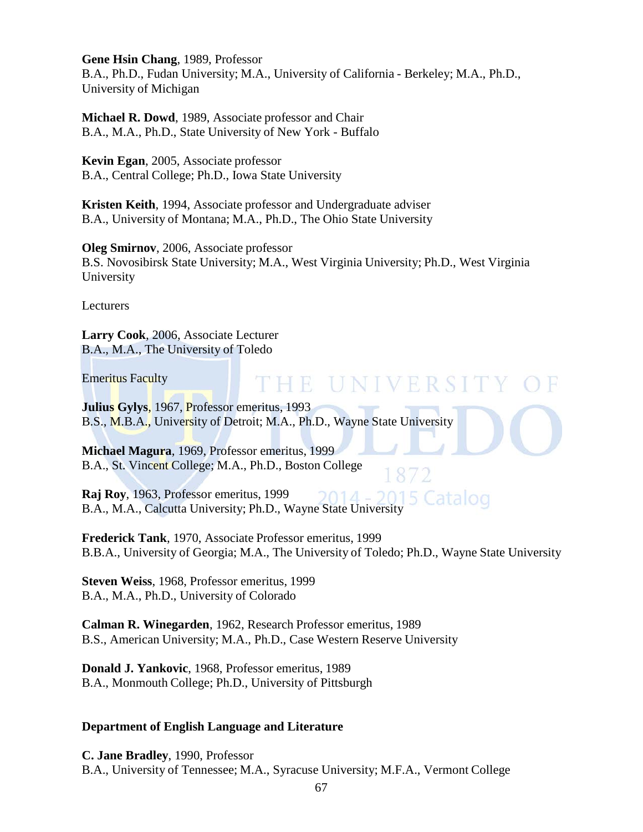**Gene Hsin Chang**, 1989, Professor

B.A., Ph.D., Fudan University; M.A., University of California - Berkeley; M.A., Ph.D., University of Michigan

**Michael R. Dowd**, 1989, Associate professor and Chair B.A., M.A., Ph.D., State University of New York - Buffalo

**Kevin Egan**, 2005, Associate professor B.A., Central College; Ph.D., Iowa State University

**Kristen Keith**, 1994, Associate professor and Undergraduate adviser B.A., University of Montana; M.A., Ph.D., The Ohio State University

**Oleg Smirnov**, 2006, Associate professor B.S. Novosibirsk State University; M.A., West Virginia University; Ph.D., West Virginia University

Lecturers

**Larry Cook**, 2006, Associate Lecturer B.A., M.A., The University of Toledo

Emeritus Faculty

## THE UNIVERSITY

**Julius Gylys**, 1967, Professor emeritus, 1993 B.S., M.B.A., University of Detroit; M.A., Ph.D., Wayne State University

**Michael Magura**, 1969, Professor emeritus, 1999 B.A., St. Vincent College; M.A., Ph.D., Boston College

**Raj Roy**, 1963, Professor emeritus, 1999 5 Catalog  $2014 -$ B.A., M.A., Calcutta University; Ph.D., Wayne State University

**Frederick Tank**, 1970, Associate Professor emeritus, 1999 B.B.A., University of Georgia; M.A., The University of Toledo; Ph.D., Wayne State University

**Steven Weiss**, 1968, Professor emeritus, 1999 B.A., M.A., Ph.D., University of Colorado

**Calman R. Winegarden**, 1962, Research Professor emeritus, 1989 B.S., American University; M.A., Ph.D., Case Western Reserve University

**Donald J. Yankovic**, 1968, Professor emeritus, 1989 B.A., Monmouth College; Ph.D., University of Pittsburgh

### **Department of English Language and Literature**

**C. Jane Bradley**, 1990, Professor B.A., University of Tennessee; M.A., Syracuse University; M.F.A., Vermont College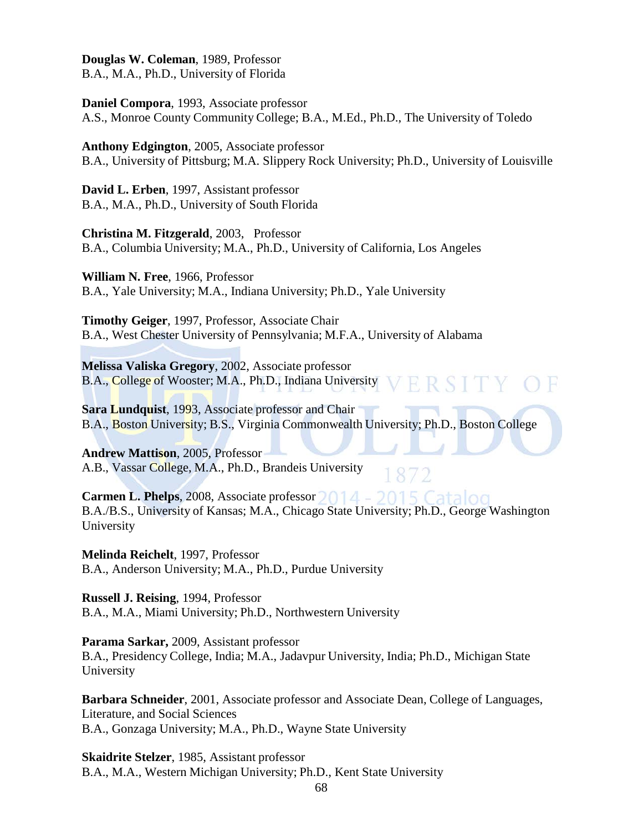**Douglas W. Coleman**, 1989, Professor B.A., M.A., Ph.D., University of Florida

**Daniel Compora**, 1993, Associate professor A.S., Monroe County Community College; B.A., M.Ed., Ph.D., The University of Toledo

**Anthony Edgington**, 2005, Associate professor

B.A., University of Pittsburg; M.A. Slippery Rock University; Ph.D., University of Louisville

**David L. Erben**, 1997, Assistant professor B.A., M.A., Ph.D., University of South Florida

**Christina M. Fitzgerald**, 2003, Professor B.A., Columbia University; M.A., Ph.D., University of California, Los Angeles

**William N. Free**, 1966, Professor B.A., Yale University; M.A., Indiana University; Ph.D., Yale University

**Timothy Geiger**, 1997, Professor, Associate Chair B.A., West Chester University of Pennsylvania; M.F.A., University of Alabama

**Melissa Valiska Gregory**, 2002, Associate professor B.A., College of Wooster; M.A., Ph.D., Indiana University

**Sara Lundquist**, 1993, Associate professor and Chair B.A., Boston University; B.S., Virginia Commonwealth University; Ph.D., Boston College

**Andrew Mattison**, 2005, Professor A.B., Vassar College, M.A., Ph.D., Brandeis University

**Carmen L. Phelps**, 2008, Associate professor 2014 - 2015 Catalog B.A./B.S., University of Kansas; M.A., Chicago State University; Ph.D., George Washington University

**Melinda Reichelt**, 1997, Professor B.A., Anderson University; M.A., Ph.D., Purdue University

**Russell J. Reising**, 1994, Professor B.A., M.A., Miami University; Ph.D., Northwestern University

**Parama Sarkar,** 2009, Assistant professor B.A., Presidency College, India; M.A., Jadavpur University, India; Ph.D., Michigan State University

**Barbara Schneider**, 2001, Associate professor and Associate Dean, College of Languages, Literature, and Social Sciences B.A., Gonzaga University; M.A., Ph.D., Wayne State University

**Skaidrite Stelzer**, 1985, Assistant professor B.A., M.A., Western Michigan University; Ph.D., Kent State University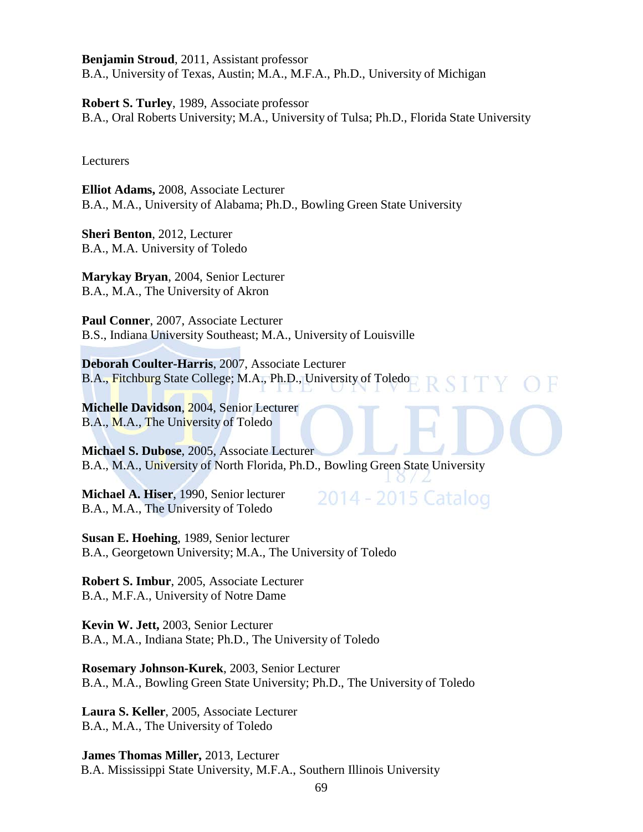**Benjamin Stroud**, 2011, Assistant professor B.A., University of Texas, Austin; M.A., M.F.A., Ph.D., University of Michigan

**Robert S. Turley**, 1989, Associate professor B.A., Oral Roberts University; M.A., University of Tulsa; Ph.D., Florida State University

Lecturers

**Elliot Adams,** 2008, Associate Lecturer B.A., M.A., University of Alabama; Ph.D., Bowling Green State University

**Sheri Benton**, 2012, Lecturer B.A., M.A. University of Toledo

**Marykay Bryan**, 2004, Senior Lecturer B.A., M.A., The University of Akron

**Paul Conner**, 2007, Associate Lecturer B.S., Indiana University Southeast; M.A., University of Louisville

**Deborah Coulter-Harris**, 2007, Associate Lecturer B.A., Fitchburg State College; M.A., Ph.D., University of Toledo

**Michelle Davidson**, 2004, Senior Lecturer B.A., M.A., The University of Toledo

**Michael S. Dubose**, 2005, Associate Lecturer B.A., M.A., University of North Florida, Ph.D., Bowling Green State University

**Michael A. Hiser**, 1990, Senior lecturer B.A., M.A., The University of Toledo

2014 - 2015 Catalog

**Susan E. Hoehing**, 1989, Senior lecturer B.A., Georgetown University; M.A., The University of Toledo

**Robert S. Imbur**, 2005, Associate Lecturer B.A., M.F.A., University of Notre Dame

**Kevin W. Jett,** 2003, Senior Lecturer B.A., M.A., Indiana State; Ph.D., The University of Toledo

**Rosemary Johnson-Kurek**, 2003, Senior Lecturer B.A., M.A., Bowling Green State University; Ph.D., The University of Toledo

**Laura S. Keller**, 2005, Associate Lecturer B.A., M.A., The University of Toledo

**James Thomas Miller,** 2013, Lecturer B.A. Mississippi State University, M.F.A., Southern Illinois University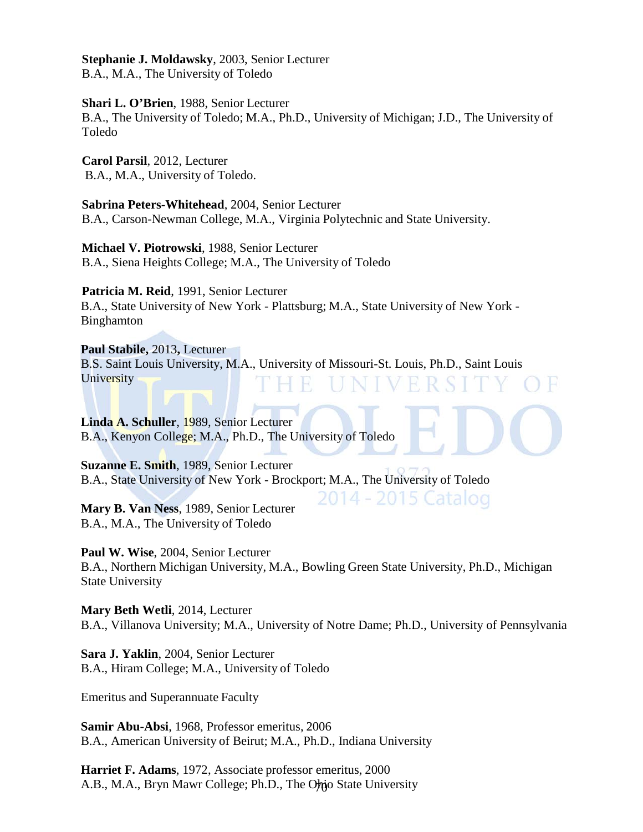**Stephanie J. Moldawsky**, 2003, Senior Lecturer B.A., M.A., The University of Toledo

**Shari L. O'Brien**, 1988, Senior Lecturer B.A., The University of Toledo; M.A., Ph.D., University of Michigan; J.D., The University of Toledo

**Carol Parsil**, 2012, Lecturer B.A., M.A., University of Toledo.

**Sabrina Peters-Whitehead**, 2004, Senior Lecturer B.A., Carson-Newman College, M.A., Virginia Polytechnic and State University.

**Michael V. Piotrowski**, 1988, Senior Lecturer B.A., Siena Heights College; M.A., The University of Toledo

**Patricia M. Reid**, 1991, Senior Lecturer B.A., State University of New York - Plattsburg; M.A., State University of New York - Binghamton

**Paul Stabile,** 2013**,** Lecturer B.S. Saint Louis University, M.A., University of Missouri-St. Louis, Ph.D., Saint Louis **University** 

**Linda A. Schuller**, 1989, Senior Lecturer B.A., Kenyon College; M.A., Ph.D., The University of Toledo

**Suzanne E. Smith**, 1989, Senior Lecturer B.A., State University of New York - Brockport; M.A., The University of Toledo

**Mary B. Van Ness**, 1989, Senior Lecturer B.A., M.A., The University of Toledo

**Paul W. Wise**, 2004, Senior Lecturer

B.A., Northern Michigan University, M.A., Bowling Green State University, Ph.D., Michigan State University

2014 - 2015 Catalog

**Mary Beth Wetli**, 2014, Lecturer B.A., Villanova University; M.A., University of Notre Dame; Ph.D., University of Pennsylvania

**Sara J. Yaklin**, 2004, Senior Lecturer B.A., Hiram College; M.A., University of Toledo

Emeritus and Superannuate Faculty

**Samir Abu-Absi**, 1968, Professor emeritus, 2006 B.A., American University of Beirut; M.A., Ph.D., Indiana University

A.B., M.A., Bryn Mawr College; Ph.D., The Ohio State University **Harriet F. Adams**, 1972, Associate professor emeritus, 2000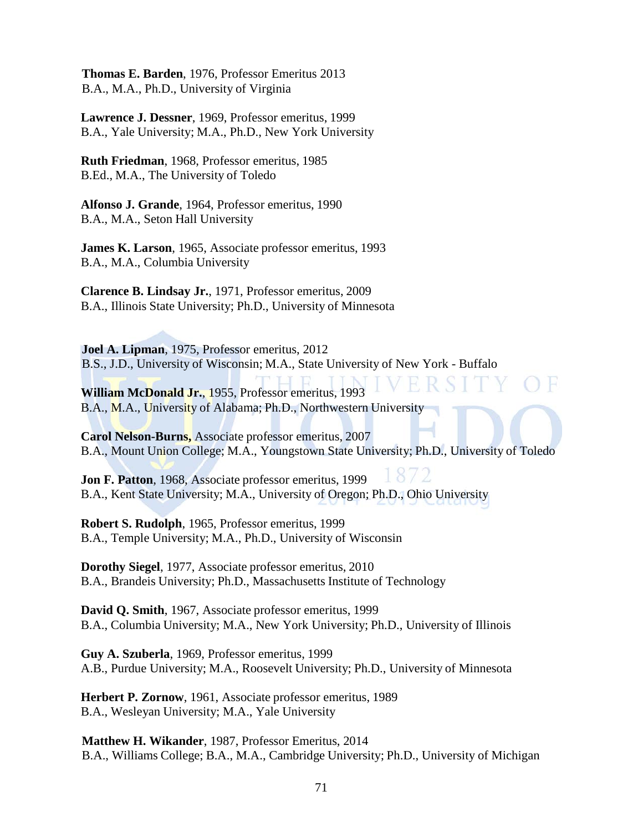**Thomas E. Barden**, 1976, Professor Emeritus 2013 B.A., M.A., Ph.D., University of Virginia

**Lawrence J. Dessner**, 1969, Professor emeritus, 1999 B.A., Yale University; M.A., Ph.D., New York University

**Ruth Friedman**, 1968, Professor emeritus, 1985 B.Ed., M.A., The University of Toledo

**Alfonso J. Grande**, 1964, Professor emeritus, 1990 B.A., M.A., Seton Hall University

**James K. Larson**, 1965, Associate professor emeritus, 1993 B.A., M.A., Columbia University

**Clarence B. Lindsay Jr.**, 1971, Professor emeritus, 2009 B.A., Illinois State University; Ph.D., University of Minnesota

**Joel A. Lipman**, 1975, Professor emeritus, 2012 B.S., J.D., University of Wisconsin; M.A., State University of New York - Buffalo

**William McDonald Jr.**, 1955, Professor emeritus, 1993 B.A., M.A., University of Alabama; Ph.D., Northwestern University

**Carol Nelson-Burns,** Associate professor emeritus, 2007 B.A., Mount Union College; M.A., Youngstown State University; Ph.D., University of Toledo

**Jon F. Patton**, 1968, Associate professor emeritus, 1999 B.A., Kent State University; M.A., University of Oregon; Ph.D., Ohio University

**Robert S. Rudolph**, 1965, Professor emeritus, 1999 B.A., Temple University; M.A., Ph.D., University of Wisconsin

**Dorothy Siegel**, 1977, Associate professor emeritus, 2010 B.A., Brandeis University; Ph.D., Massachusetts Institute of Technology

**David Q. Smith**, 1967, Associate professor emeritus, 1999 B.A., Columbia University; M.A., New York University; Ph.D., University of Illinois

**Guy A. Szuberla**, 1969, Professor emeritus, 1999 A.B., Purdue University; M.A., Roosevelt University; Ph.D., University of Minnesota

**Herbert P. Zornow**, 1961, Associate professor emeritus, 1989 B.A., Wesleyan University; M.A., Yale University

**Matthew H. Wikander**, 1987, Professor Emeritus, 2014 B.A., Williams College; B.A., M.A., Cambridge University; Ph.D., University of Michigan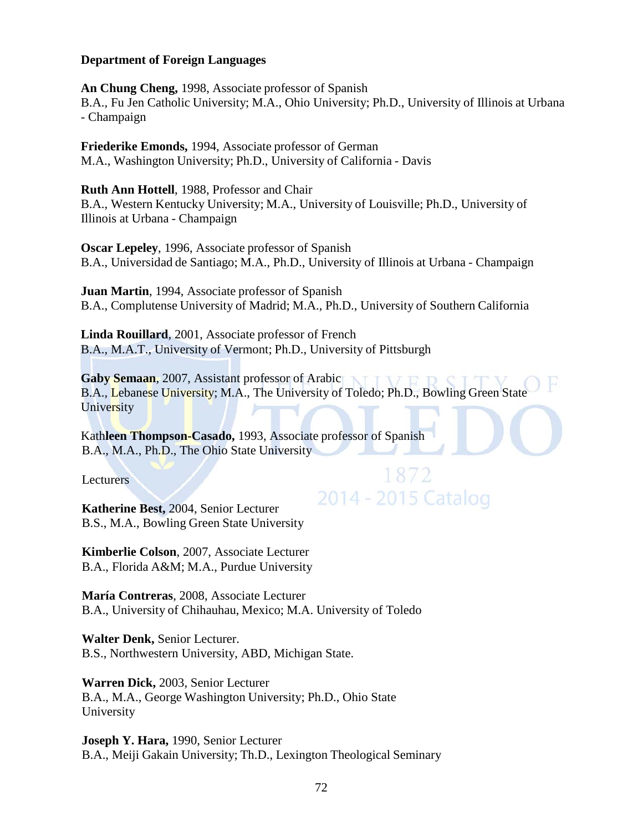#### **Department of Foreign Languages**

**An Chung Cheng,** 1998, Associate professor of Spanish B.A., Fu Jen Catholic University; M.A., Ohio University; Ph.D., University of Illinois at Urbana - Champaign

**Friederike Emonds,** 1994, Associate professor of German M.A., Washington University; Ph.D., University of California - Davis

**Ruth Ann Hottell**, 1988, Professor and Chair B.A., Western Kentucky University; M.A., University of Louisville; Ph.D., University of Illinois at Urbana - Champaign

**Oscar Lepeley**, 1996, Associate professor of Spanish B.A., Universidad de Santiago; M.A., Ph.D., University of Illinois at Urbana - Champaign

**Juan Martin**, 1994, Associate professor of Spanish B.A., Complutense University of Madrid; M.A., Ph.D., University of Southern California

**Linda Rouillard**, 2001, Associate professor of French B.A., M.A.T., University of Vermont; Ph.D., University of Pittsburgh

**Gaby Semaan**, 2007, Assistant professor of Arabic B.A., Lebanese University; M.A., The University of Toledo; Ph.D., Bowling Green State **University** 

1872

2014 - 2015 Catalog

Kath**leen Thompson-Casado,** 1993, Associate professor of Spanish B.A., M.A., Ph.D., The Ohio State University

**Lecturers** 

**Katherine Best,** 2004, Senior Lecturer B.S., M.A., Bowling Green State University

**Kimberlie Colson**, 2007, Associate Lecturer B.A., Florida A&M; M.A., Purdue University

**María Contreras**, 2008, Associate Lecturer B.A., University of Chihauhau, Mexico; M.A. University of Toledo

**Walter Denk,** Senior Lecturer. B.S., Northwestern University, ABD, Michigan State.

**Warren Dick,** 2003, Senior Lecturer B.A., M.A., George Washington University; Ph.D., Ohio State University

**Joseph Y. Hara,** 1990, Senior Lecturer B.A., Meiji Gakain University; Th.D., Lexington Theological Seminary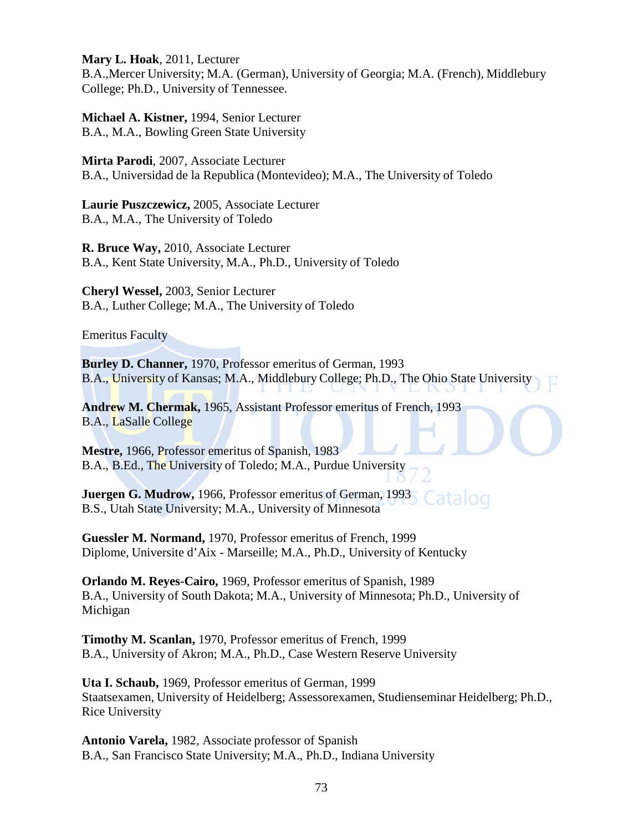**Mary L. Hoak**, 2011, Lecturer

B.A.,Mercer University; M.A. (German), University of Georgia; M.A. (French), Middlebury College; Ph.D., University of Tennessee.

**Michael A. Kistner,** 1994, Senior Lecturer B.A., M.A., Bowling Green State University

**Mirta Parodi**, 2007, Associate Lecturer B.A., Universidad de la Republica (Montevideo); M.A., The University of Toledo

**Laurie Puszczewicz,** 2005, Associate Lecturer B.A., M.A., The University of Toledo

**R. Bruce Way,** 2010, Associate Lecturer B.A., Kent State University, M.A., Ph.D., University of Toledo

**Cheryl Wessel,** 2003, Senior Lecturer B.A., Luther College; M.A., The University of Toledo

Emeritus Faculty

**Burley D. Channer,** 1970, Professor emeritus of German, 1993 B.A., University of Kansas; M.A., Middlebury College; Ph.D., The Ohio State University

**Andrew M. Chermak,** 1965, Assistant Professor emeritus of French, 1993 B.A., LaSalle College

**Mestre,** 1966, Professor emeritus of Spanish, 1983 B.A., B.Ed., The University of Toledo; M.A., Purdue University

**Juergen G. Mudrow,** 1966, Professor emeritus of German, 1993 ataloo B.S., Utah State University; M.A., University of Minnesota

**Guessler M. Normand,** 1970, Professor emeritus of French, 1999 Diplome, Universite d'Aix - Marseille; M.A., Ph.D., University of Kentucky

**Orlando M. Reyes-Cairo,** 1969, Professor emeritus of Spanish, 1989 B.A., University of South Dakota; M.A., University of Minnesota; Ph.D., University of Michigan

**Timothy M. Scanlan,** 1970, Professor emeritus of French, 1999 B.A., University of Akron; M.A., Ph.D., Case Western Reserve University

**Uta I. Schaub,** 1969, Professor emeritus of German, 1999 Staatsexamen, University of Heidelberg; Assessorexamen, Studienseminar Heidelberg; Ph.D., Rice University

**Antonio Varela,** 1982, Associate professor of Spanish B.A., San Francisco State University; M.A., Ph.D., Indiana University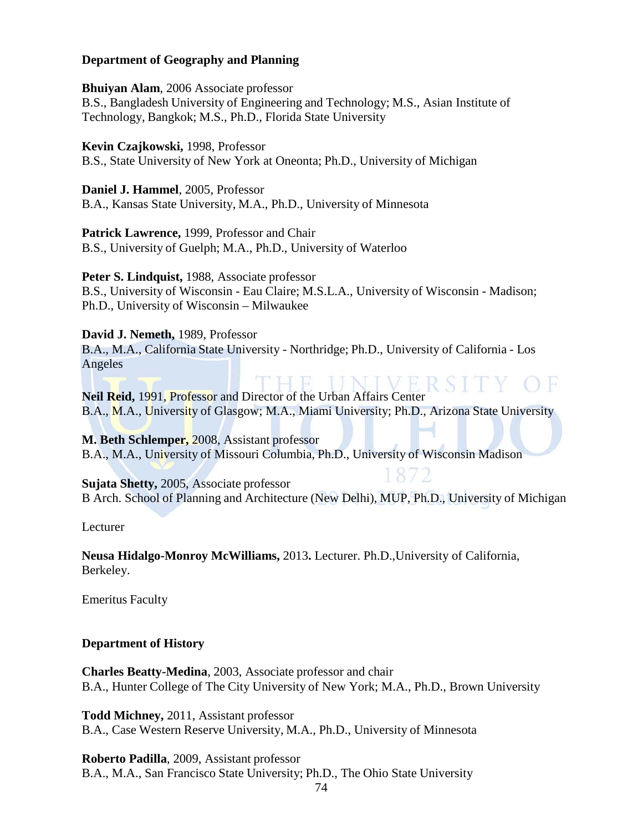### **Department of Geography and Planning**

**Bhuiyan Alam**, 2006 Associate professor B.S., Bangladesh University of Engineering and Technology; M.S., Asian Institute of Technology, Bangkok; M.S., Ph.D., Florida State University

**Kevin Czajkowski,** 1998, Professor

B.S., State University of New York at Oneonta; Ph.D., University of Michigan

**Daniel J. Hammel**, 2005, Professor B.A., Kansas State University, M.A., Ph.D., University of Minnesota

**Patrick Lawrence,** 1999, Professor and Chair B.S., University of Guelph; M.A., Ph.D., University of Waterloo

**Peter S. Lindquist,** 1988, Associate professor B.S., University of Wisconsin - Eau Claire; M.S.L.A., University of Wisconsin - Madison; Ph.D., University of Wisconsin – Milwaukee

**David J. Nemeth,** 1989, Professor

B.A., M.A., California State University - Northridge; Ph.D., University of California - Los Angeles

**Neil Reid,** 1991, Professor and Director of the Urban Affairs Center B.A., M.A., University of Glasgow; M.A., Miami University; Ph.D., Arizona State University

**M. Beth Schlemper,** 2008, Assistant professor B.A., M.A., University of Missouri Columbia, Ph.D., University of Wisconsin Madison

**Sujata Shetty,** 2005, Associate professor B Arch. School of Planning and Architecture (New Delhi), MUP, Ph.D., University of Michigan

Lecturer

**Neusa Hidalgo-Monroy McWilliams,** 2013**.** Lecturer. Ph.D.,University of California, Berkeley.

Emeritus Faculty

**Department of History**

**Charles Beatty-Medina**, 2003, Associate professor and chair B.A., Hunter College of The City University of New York; M.A., Ph.D., Brown University

**Todd Michney,** 2011, Assistant professor B.A., Case Western Reserve University, M.A., Ph.D., University of Minnesota

**Roberto Padilla**, 2009, Assistant professor

B.A., M.A., San Francisco State University; Ph.D., The Ohio State University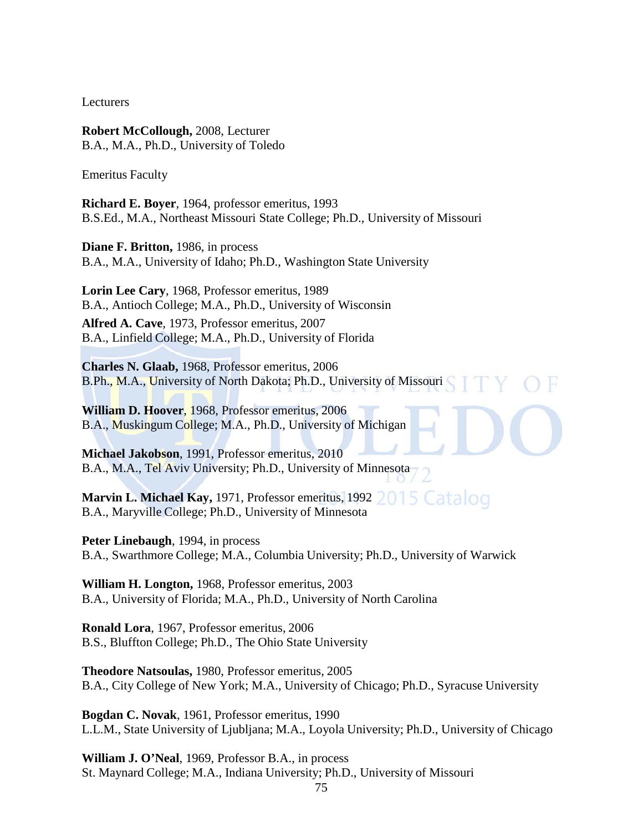Lecturers

**Robert McCollough,** 2008, Lecturer B.A., M.A., Ph.D., University of Toledo

Emeritus Faculty

**Richard E. Boyer**, 1964, professor emeritus, 1993 B.S.Ed., M.A., Northeast Missouri State College; Ph.D., University of Missouri

**Diane F. Britton,** 1986, in process B.A., M.A., University of Idaho; Ph.D., Washington State University

**Lorin Lee Cary**, 1968, Professor emeritus, 1989 B.A., Antioch College; M.A., Ph.D., University of Wisconsin

**Alfred A. Cave**, 1973, Professor emeritus, 2007 B.A., Linfield College; M.A., Ph.D., University of Florida

**Charles N. Glaab,** 1968, Professor emeritus, 2006 B.Ph., M.A., University of North Dakota; Ph.D., University of Missouri

**William D. Hoover**, 1968, Professor emeritus, 2006 B.A., Muskingum College; M.A., Ph.D., University of Michigan

**Michael Jakobson**, 1991, Professor emeritus, 2010 B.A., M.A., Tel Aviv University; Ph.D., University of Minnesota

Marvin L. Michael Kay, 1971, Professor emeritus, 1992 2015 Catalog B.A., Maryville College; Ph.D., University of Minnesota

**Peter Linebaugh**, 1994, in process B.A., Swarthmore College; M.A., Columbia University; Ph.D., University of Warwick

**William H. Longton,** 1968, Professor emeritus, 2003 B.A., University of Florida; M.A., Ph.D., University of North Carolina

**Ronald Lora**, 1967, Professor emeritus, 2006 B.S., Bluffton College; Ph.D., The Ohio State University

**Theodore Natsoulas,** 1980, Professor emeritus, 2005 B.A., City College of New York; M.A., University of Chicago; Ph.D., Syracuse University

**Bogdan C. Novak**, 1961, Professor emeritus, 1990 L.L.M., State University of Ljubljana; M.A., Loyola University; Ph.D., University of Chicago

**William J. O'Neal**, 1969, Professor B.A., in process St. Maynard College; M.A., Indiana University; Ph.D., University of Missouri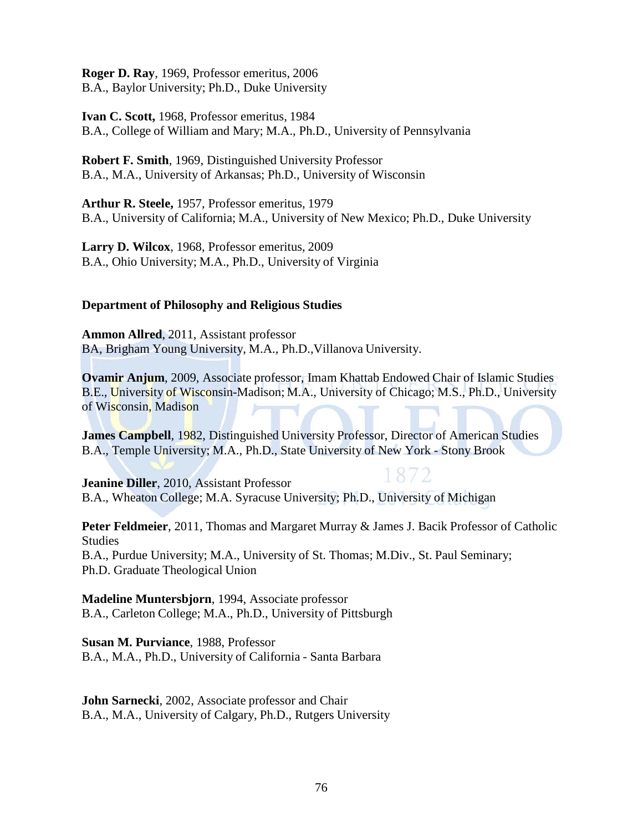**Roger D. Ray**, 1969, Professor emeritus, 2006 B.A., Baylor University; Ph.D., Duke University

**Ivan C. Scott,** 1968, Professor emeritus, 1984 B.A., College of William and Mary; M.A., Ph.D., University of Pennsylvania

**Robert F. Smith**, 1969, Distinguished University Professor B.A., M.A., University of Arkansas; Ph.D., University of Wisconsin

**Arthur R. Steele,** 1957, Professor emeritus, 1979 B.A., University of California; M.A., University of New Mexico; Ph.D., Duke University

**Larry D. Wilcox**, 1968, Professor emeritus, 2009 B.A., Ohio University; M.A., Ph.D., University of Virginia

## **Department of Philosophy and Religious Studies**

**Ammon Allred**, 2011, Assistant professor BA, Brigham Young University, M.A., Ph.D.,Villanova University.

**Ovamir Anjum**, 2009, Associate professor, Imam Khattab Endowed Chair of Islamic Studies B.E., University of Wisconsin-Madison; M.A., University of Chicago; M.S., Ph.D., University of Wisconsin, Madison

**James Campbell**, 1982, Distinguished University Professor, Director of American Studies B.A., Temple University; M.A., Ph.D., State University of New York - Stony Brook

**Jeanine Diller**, 2010, Assistant Professor B.A., Wheaton College; M.A. Syracuse University; Ph.D., University of Michigan

**Peter Feldmeier**, 2011, Thomas and Margaret Murray & James J. Bacik Professor of Catholic Studies B.A., Purdue University; M.A., University of St. Thomas; M.Div., St. Paul Seminary;

Ph.D. Graduate Theological Union

**Madeline Muntersbjorn**, 1994, Associate professor B.A., Carleton College; M.A., Ph.D., University of Pittsburgh

**Susan M. Purviance**, 1988, Professor B.A., M.A., Ph.D., University of California - Santa Barbara

**John Sarnecki**, 2002, Associate professor and Chair B.A., M.A., University of Calgary, Ph.D., Rutgers University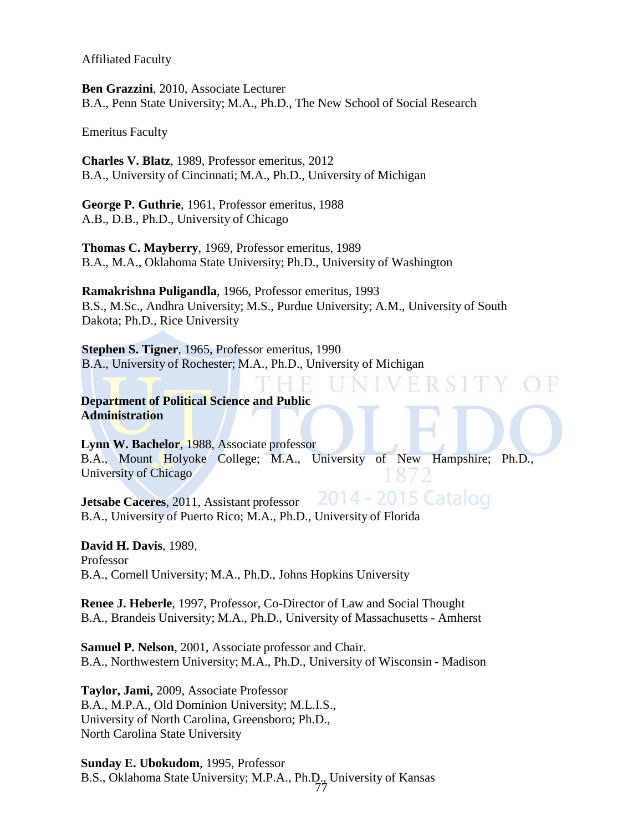Affiliated Faculty

**Ben Grazzini**, 2010, Associate Lecturer B.A., Penn State University; M.A., Ph.D., The New School of Social Research

Emeritus Faculty

**Charles V. Blatz**, 1989, Professor emeritus, 2012 B.A., University of Cincinnati; M.A., Ph.D., University of Michigan

**George P. Guthrie**, 1961, Professor emeritus, 1988 A.B., D.B., Ph.D., University of Chicago

**Thomas C. Mayberry**, 1969, Professor emeritus, 1989 B.A., M.A., Oklahoma State University; Ph.D., University of Washington

**Ramakrishna Puligandla**, 1966, Professor emeritus, 1993 B.S., M.Sc., Andhra University; M.S., Purdue University; A.M., University of South Dakota; Ph.D., Rice University

**Stephen S. Tigner**, 1965, Professor emeritus, 1990 B.A., University of Rochester; M.A., Ph.D., University of Michigan

**Department of Political Science and Public Administration**

**Lynn W. Bachelor**, 1988, Associate professor B.A., Mount Holyoke College; M.A., University of New Hampshire; Ph.D., University of Chicago

2014 - 2015 Catalog **Jetsabe Caceres**, 2011, Assistant professor B.A., University of Puerto Rico; M.A., Ph.D., University of Florida

**David H. Davis**, 1989, Professor B.A., Cornell University; M.A., Ph.D., Johns Hopkins University

**Renee J. Heberle**, 1997, Professor, Co-Director of Law and Social Thought B.A., Brandeis University; M.A., Ph.D., University of Massachusetts - Amherst

**Samuel P. Nelson**, 2001, Associate professor and Chair. B.A., Northwestern University; M.A., Ph.D., University of Wisconsin - Madison

**Taylor, Jami,** 2009, Associate Professor B.A., M.P.A., Old Dominion University; M.L.I.S., University of North Carolina, Greensboro; Ph.D., North Carolina State University

77 **Sunday E. Ubokudom**, 1995, Professor B.S., Oklahoma State University; M.P.A., Ph.D., University of Kansas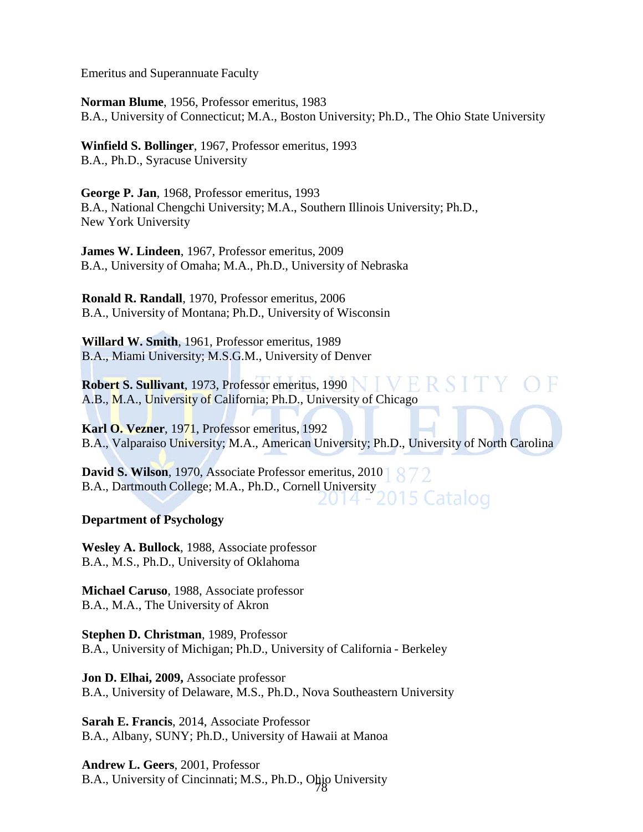Emeritus and Superannuate Faculty

**Norman Blume**, 1956, Professor emeritus, 1983 B.A., University of Connecticut; M.A., Boston University; Ph.D., The Ohio State University

**Winfield S. Bollinger**, 1967, Professor emeritus, 1993 B.A., Ph.D., Syracuse University

**George P. Jan**, 1968, Professor emeritus, 1993 B.A., National Chengchi University; M.A., Southern Illinois University; Ph.D., New York University

**James W. Lindeen**, 1967, Professor emeritus, 2009 B.A., University of Omaha; M.A., Ph.D., University of Nebraska

 **Ronald R. Randall**, 1970, Professor emeritus, 2006 B.A., University of Montana; Ph.D., University of Wisconsin

**Willard W. Smith**, 1961, Professor emeritus, 1989 B.A., Miami University; M.S.G.M., University of Denver

**Robert S. Sullivant**, 1973, Professor emeritus, 1990 A.B., M.A., University of California; Ph.D., University of Chicago

**Karl O. Vezner**, 1971, Professor emeritus, 1992 B.A., Valparaiso University; M.A., American University; Ph.D., University of North Carolina

**David S. Wilson**, 1970, Associate Professor emeritus, 2010 B.A., Dartmouth College; M.A., Ph.D., Cornell University<br>2015 Catalog

### **Department of Psychology**

**Wesley A. Bullock**, 1988, Associate professor B.A., M.S., Ph.D., University of Oklahoma

**Michael Caruso**, 1988, Associate professor B.A., M.A., The University of Akron

**Stephen D. Christman**, 1989, Professor B.A., University of Michigan; Ph.D., University of California - Berkeley

**Jon D. Elhai, 2009,** Associate professor B.A., University of Delaware, M.S., Ph.D., Nova Southeastern University

**Sarah E. Francis**, 2014, Associate Professor B.A., Albany, SUNY; Ph.D., University of Hawaii at Manoa

B.A., University of Cincinnati; M.S., Ph.D., Ohio University **Andrew L. Geers**, 2001, Professor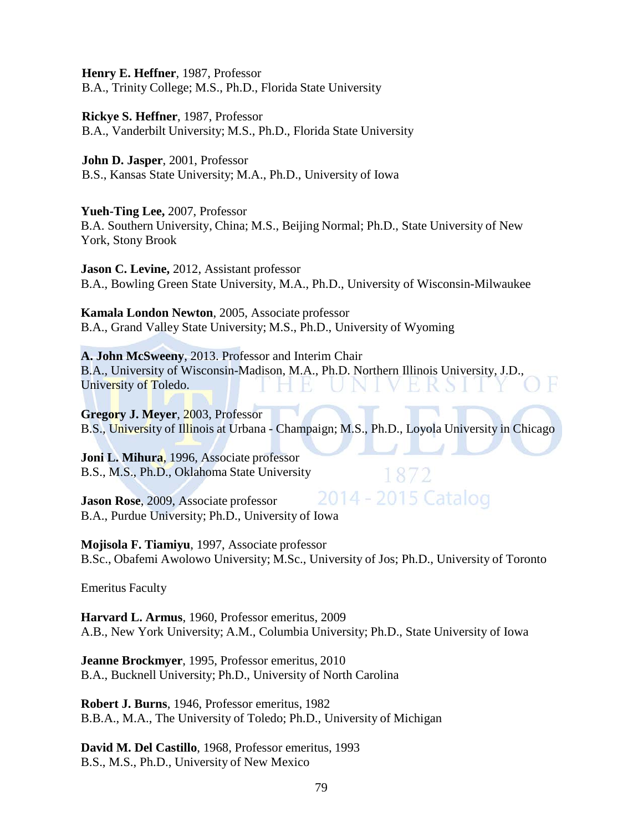**Henry E. Heffner**, 1987, Professor B.A., Trinity College; M.S., Ph.D., Florida State University

**Rickye S. Heffner**, 1987, Professor B.A., Vanderbilt University; M.S., Ph.D., Florida State University

**John D. Jasper**, 2001, Professor B.S., Kansas State University; M.A., Ph.D., University of Iowa

**Yueh-Ting Lee,** 2007, Professor B.A. Southern University, China; M.S., Beijing Normal; Ph.D., State University of New York, Stony Brook

**Jason C. Levine,** 2012, Assistant professor B.A., Bowling Green State University, M.A., Ph.D., University of Wisconsin-Milwaukee

**Kamala London Newton**, 2005, Associate professor B.A., Grand Valley State University; M.S., Ph.D., University of Wyoming

**A. John McSweeny**, 2013. Professor and Interim Chair B.A., University of Wisconsin-Madison, M.A., Ph.D. Northern Illinois University, J.D., University of Toledo.

**Gregory J. Meyer**, 2003, Professor B.S., University of Illinois at Urbana - Champaign; M.S., Ph.D., Loyola University in Chicago

**Joni L. Mihura**, 1996, Associate professor B.S., M.S., Ph.D., Oklahoma State University

**Jason Rose**, 2009, Associate professor B.A., Purdue University; Ph.D., University of Iowa

**Mojisola F. Tiamiyu**, 1997, Associate professor

# 1872 2014 - 2015 Catalog

B.Sc., Obafemi Awolowo University; M.Sc., University of Jos; Ph.D., University of Toronto

Emeritus Faculty

**Harvard L. Armus**, 1960, Professor emeritus, 2009 A.B., New York University; A.M., Columbia University; Ph.D., State University of Iowa

**Jeanne Brockmyer**, 1995, Professor emeritus, 2010 B.A., Bucknell University; Ph.D., University of North Carolina

**Robert J. Burns**, 1946, Professor emeritus, 1982 B.B.A., M.A., The University of Toledo; Ph.D., University of Michigan

**David M. Del Castillo**, 1968, Professor emeritus, 1993 B.S., M.S., Ph.D., University of New Mexico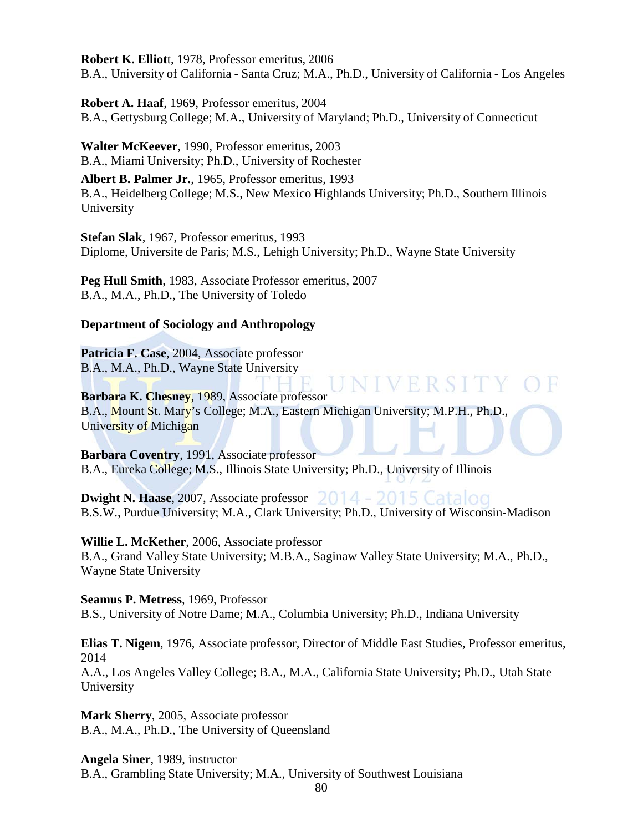**Robert K. Elliot**t, 1978, Professor emeritus, 2006 B.A., University of California - Santa Cruz; M.A., Ph.D., University of California - Los Angeles

**Robert A. Haaf**, 1969, Professor emeritus, 2004 B.A., Gettysburg College; M.A., University of Maryland; Ph.D., University of Connecticut

**Walter McKeever**, 1990, Professor emeritus, 2003 B.A., Miami University; Ph.D., University of Rochester

**Albert B. Palmer Jr.**, 1965, Professor emeritus, 1993 B.A., Heidelberg College; M.S., New Mexico Highlands University; Ph.D., Southern Illinois University

**Stefan Slak**, 1967, Professor emeritus, 1993 Diplome, Universite de Paris; M.S., Lehigh University; Ph.D., Wayne State University

**Peg Hull Smith**, 1983, Associate Professor emeritus, 2007 B.A., M.A., Ph.D., The University of Toledo

### **Department of Sociology and Anthropology**

**Patricia F. Case**, 2004, Associate professor B.A., M.A., Ph.D., Wayne State University

VIVERSITY **Barbara K. Chesney**, 1989, Associate professor B.A., Mount St. Mary's College; M.A., Eastern Michigan University; M.P.H., Ph.D., University of Michigan

**Barbara Coventry**, 1991, Associate professor B.A., Eureka College; M.S., Illinois State University; Ph.D., University of Illinois

**Dwight N. Haase**, 2007, Associate professor B.S.W., Purdue University; M.A., Clark University; Ph.D., University of Wisconsin-Madison

**Willie L. McKether**, 2006, Associate professor B.A., Grand Valley State University; M.B.A., Saginaw Valley State University; M.A., Ph.D., Wayne State University

**Seamus P. Metress**, 1969, Professor B.S., University of Notre Dame; M.A., Columbia University; Ph.D., Indiana University

**Elias T. Nigem**, 1976, Associate professor, Director of Middle East Studies, Professor emeritus, 2014 A.A., Los Angeles Valley College; B.A., M.A., California State University; Ph.D., Utah State University

**Mark Sherry**, 2005, Associate professor B.A., M.A., Ph.D., The University of Queensland

**Angela Siner**, 1989, instructor B.A., Grambling State University; M.A., University of Southwest Louisiana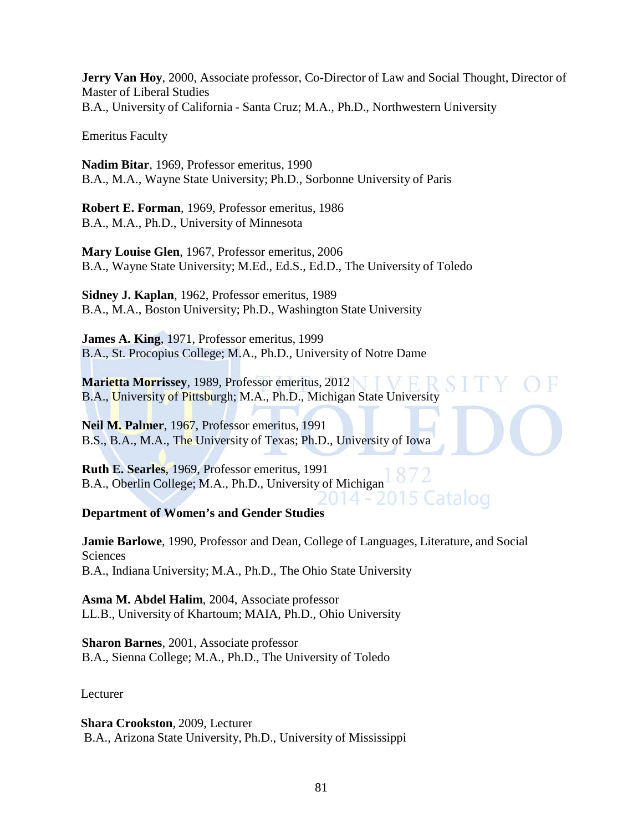**Jerry Van Hoy**, 2000, Associate professor, Co-Director of Law and Social Thought, Director of Master of Liberal Studies B.A., University of California - Santa Cruz; M.A., Ph.D., Northwestern University

Emeritus Faculty

**Nadim Bitar**, 1969, Professor emeritus, 1990 B.A., M.A., Wayne State University; Ph.D., Sorbonne University of Paris

**Robert E. Forman**, 1969, Professor emeritus, 1986 B.A., M.A., Ph.D., University of Minnesota

**Mary Louise Glen**, 1967, Professor emeritus, 2006 B.A., Wayne State University; M.Ed., Ed.S., Ed.D., The University of Toledo

**Sidney J. Kaplan**, 1962, Professor emeritus, 1989 B.A., M.A., Boston University; Ph.D., Washington State University

**James A. King**, 1971, Professor emeritus, 1999 B.A., St. Procopius College; M.A., Ph.D., University of Notre Dame

**Marietta Morrissey**, 1989, Professor emeritus, 2012 B.A., University of Pittsburgh; M.A., Ph.D., Michigan State University

**Neil M. Palmer**, 1967, Professor emeritus, 1991 B.S., B.A., M.A., The University of Texas; Ph.D., University of Iowa

**Ruth E. Searles**, 1969, Professor emeritus, 1991 B.A., Oberlin College; M.A., Ph.D., University of Michigan Catalog

**Department of Women's and Gender Studies**

**Jamie Barlowe**, 1990, Professor and Dean, College of Languages, Literature, and Social Sciences B.A., Indiana University; M.A., Ph.D., The Ohio State University

**Asma M. Abdel Halim**, 2004, Associate professor LL.B., University of Khartoum; MAIA, Ph.D., Ohio University

**Sharon Barnes**, 2001, Associate professor B.A., Sienna College; M.A., Ph.D., The University of Toledo

Lecturer

**Shara Crookston**, 2009, Lecturer B.A., Arizona State University, Ph.D., University of Mississippi